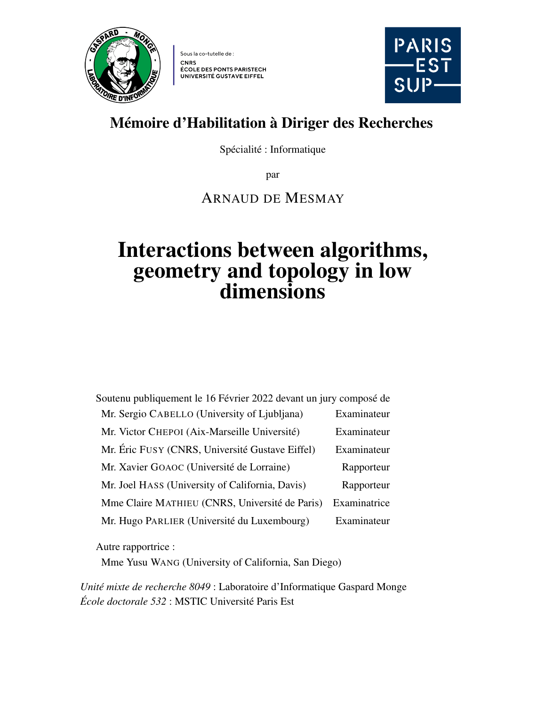<span id="page-0-0"></span>

Sous la co-tutelle de : **CNRS ÉCOLE DES PONTS PARISTECH** UNIVERSITÉ GUSTAVE EIFFEL



### Mémoire d'Habilitation à Diriger des Recherches

Spécialité : Informatique

par

#### ARNAUD DE MESMAY

# Interactions between algorithms, geometry and topology in low dimensions

Soutenu publiquement le 16 Février 2022 devant un jury composé de Mr. Sergio CABELLO (University of Ljubljana) Examinateur Mr. Victor CHEPOI (Aix-Marseille Université) Examinateur Mr. Éric FUSY (CNRS, Université Gustave Eiffel) Examinateur Mr. Xavier GOAOC (Université de Lorraine) Rapporteur Mr. Joel HASS (University of California, Davis) Rapporteur Mme Claire MATHIEU (CNRS, Université de Paris) Examinatrice Mr. Hugo PARLIER (Université du Luxembourg) Examinateur

Autre rapportrice :

Mme Yusu WANG (University of California, San Diego)

*Unité mixte de recherche 8049* : Laboratoire d'Informatique Gaspard Monge *École doctorale 532* : MSTIC Université Paris Est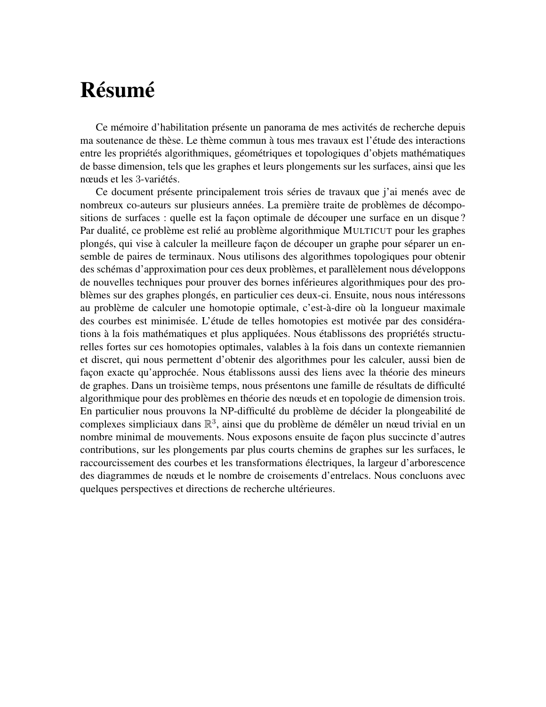# <span id="page-1-0"></span>Résumé

Ce mémoire d'habilitation présente un panorama de mes activités de recherche depuis ma soutenance de thèse. Le thème commun à tous mes travaux est l'étude des interactions entre les propriétés algorithmiques, géométriques et topologiques d'objets mathématiques de basse dimension, tels que les graphes et leurs plongements sur les surfaces, ainsi que les nœuds et les 3-variétés.

Ce document présente principalement trois séries de travaux que j'ai menés avec de nombreux co-auteurs sur plusieurs années. La première traite de problèmes de décompositions de surfaces : quelle est la façon optimale de découper une surface en un disque ? Par dualité, ce problème est relié au problème algorithmique MULTICUT pour les graphes plongés, qui vise à calculer la meilleure façon de découper un graphe pour séparer un ensemble de paires de terminaux. Nous utilisons des algorithmes topologiques pour obtenir des schémas d'approximation pour ces deux problèmes, et parallèlement nous développons de nouvelles techniques pour prouver des bornes inférieures algorithmiques pour des problèmes sur des graphes plongés, en particulier ces deux-ci. Ensuite, nous nous intéressons au problème de calculer une homotopie optimale, c'est-à-dire où la longueur maximale des courbes est minimisée. L'étude de telles homotopies est motivée par des considérations à la fois mathématiques et plus appliquées. Nous établissons des propriétés structurelles fortes sur ces homotopies optimales, valables à la fois dans un contexte riemannien et discret, qui nous permettent d'obtenir des algorithmes pour les calculer, aussi bien de façon exacte qu'approchée. Nous établissons aussi des liens avec la théorie des mineurs de graphes. Dans un troisième temps, nous présentons une famille de résultats de difficulté algorithmique pour des problèmes en théorie des nœuds et en topologie de dimension trois. En particulier nous prouvons la NP-difficulté du problème de décider la plongeabilité de complexes simpliciaux dans R 3 , ainsi que du problème de démêler un nœud trivial en un nombre minimal de mouvements. Nous exposons ensuite de façon plus succincte d'autres contributions, sur les plongements par plus courts chemins de graphes sur les surfaces, le raccourcissement des courbes et les transformations électriques, la largeur d'arborescence des diagrammes de nœuds et le nombre de croisements d'entrelacs. Nous concluons avec quelques perspectives et directions de recherche ultérieures.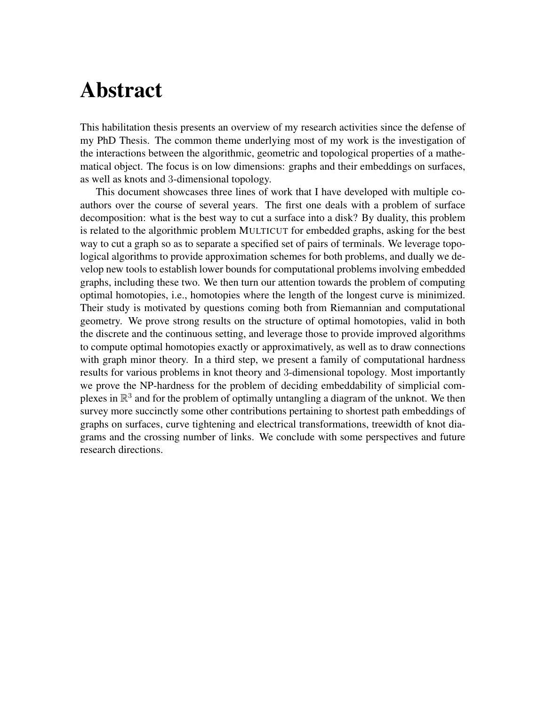# <span id="page-2-0"></span>Abstract

This habilitation thesis presents an overview of my research activities since the defense of my PhD Thesis. The common theme underlying most of my work is the investigation of the interactions between the algorithmic, geometric and topological properties of a mathematical object. The focus is on low dimensions: graphs and their embeddings on surfaces, as well as knots and 3-dimensional topology.

This document showcases three lines of work that I have developed with multiple coauthors over the course of several years. The first one deals with a problem of surface decomposition: what is the best way to cut a surface into a disk? By duality, this problem is related to the algorithmic problem MULTICUT for embedded graphs, asking for the best way to cut a graph so as to separate a specified set of pairs of terminals. We leverage topological algorithms to provide approximation schemes for both problems, and dually we develop new tools to establish lower bounds for computational problems involving embedded graphs, including these two. We then turn our attention towards the problem of computing optimal homotopies, i.e., homotopies where the length of the longest curve is minimized. Their study is motivated by questions coming both from Riemannian and computational geometry. We prove strong results on the structure of optimal homotopies, valid in both the discrete and the continuous setting, and leverage those to provide improved algorithms to compute optimal homotopies exactly or approximatively, as well as to draw connections with graph minor theory. In a third step, we present a family of computational hardness results for various problems in knot theory and 3-dimensional topology. Most importantly we prove the NP-hardness for the problem of deciding embeddability of simplicial complexes in  $\mathbb{R}^3$  and for the problem of optimally untangling a diagram of the unknot. We then survey more succinctly some other contributions pertaining to shortest path embeddings of graphs on surfaces, curve tightening and electrical transformations, treewidth of knot diagrams and the crossing number of links. We conclude with some perspectives and future research directions.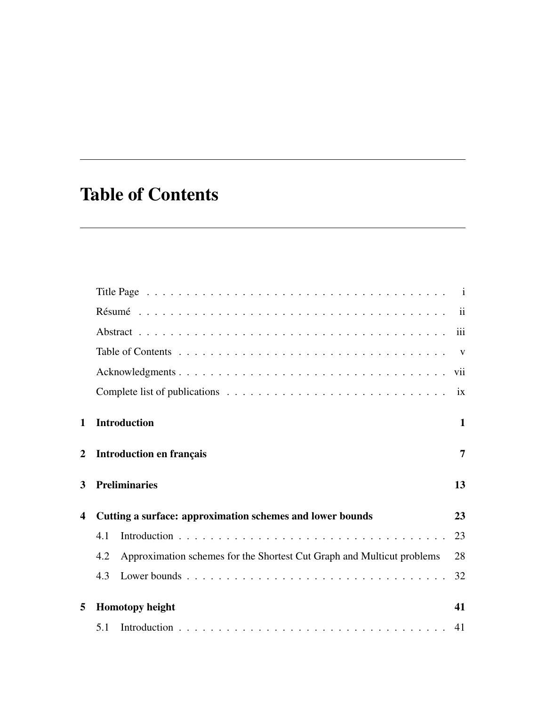## <span id="page-4-0"></span>Table of Contents

|                         |                                                           |                                                                        | i <b>x</b>   |
|-------------------------|-----------------------------------------------------------|------------------------------------------------------------------------|--------------|
| $\mathbf 1$             |                                                           | <b>Introduction</b>                                                    | $\mathbf{1}$ |
| $\mathbf{2}$            |                                                           | <b>Introduction en français</b>                                        |              |
| 3                       | <b>Preliminaries</b>                                      |                                                                        |              |
| $\overline{\mathbf{4}}$ | Cutting a surface: approximation schemes and lower bounds |                                                                        |              |
|                         | 4.1                                                       |                                                                        | 23           |
|                         | 4.2                                                       | Approximation schemes for the Shortest Cut Graph and Multicut problems | 28           |
|                         | 4.3                                                       |                                                                        | 32           |
| 5                       | <b>Homotopy height</b>                                    |                                                                        |              |
|                         | 5.1                                                       |                                                                        | 41           |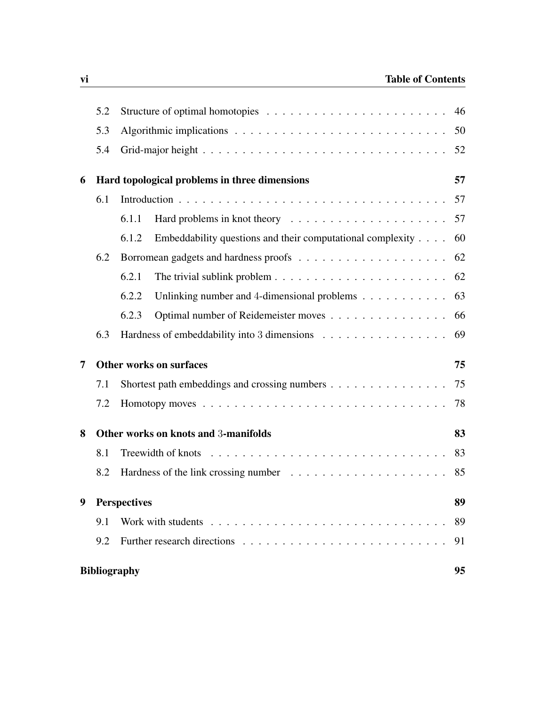|                                           | 5.2                       | 46                                                                                          |    |  |  |
|-------------------------------------------|---------------------------|---------------------------------------------------------------------------------------------|----|--|--|
|                                           | 5.3                       |                                                                                             |    |  |  |
|                                           | 5.4                       |                                                                                             |    |  |  |
| 6                                         |                           | Hard topological problems in three dimensions                                               |    |  |  |
|                                           | 6.1                       |                                                                                             |    |  |  |
|                                           |                           | 6.1.1<br>Hard problems in knot theory $\ldots \ldots \ldots \ldots \ldots \ldots \ldots 57$ |    |  |  |
|                                           |                           | Embeddability questions and their computational complexity $\ldots$ .<br>6.1.2              | 60 |  |  |
|                                           | 6.2                       |                                                                                             | 62 |  |  |
|                                           |                           | 6.2.1<br>The trivial sublink problem $\dots \dots \dots \dots \dots \dots \dots \dots$      | 62 |  |  |
|                                           |                           | 6.2.2<br>Unlinking number and 4-dimensional problems $\dots \dots \dots$                    | 63 |  |  |
|                                           |                           | Optimal number of Reidemeister moves<br>6.2.3                                               | 66 |  |  |
|                                           | 6.3                       | Hardness of embeddability into 3 dimensions                                                 | 69 |  |  |
| $\overline{7}$                            |                           | <b>Other works on surfaces</b>                                                              |    |  |  |
|                                           | 7.1                       | Shortest path embeddings and crossing numbers                                               | 75 |  |  |
|                                           | 7.2                       |                                                                                             | 78 |  |  |
| Other works on knots and 3-manifolds<br>8 |                           |                                                                                             | 83 |  |  |
|                                           | 8.1                       |                                                                                             | 83 |  |  |
|                                           | 8.2                       | Hardness of the link crossing number $\dots \dots \dots \dots \dots \dots \dots$            | 85 |  |  |
| 9 Perspectives                            |                           |                                                                                             | 89 |  |  |
|                                           | 9.1                       |                                                                                             | 89 |  |  |
|                                           | 9.2                       |                                                                                             | 91 |  |  |
|                                           | <b>Bibliography</b><br>95 |                                                                                             |    |  |  |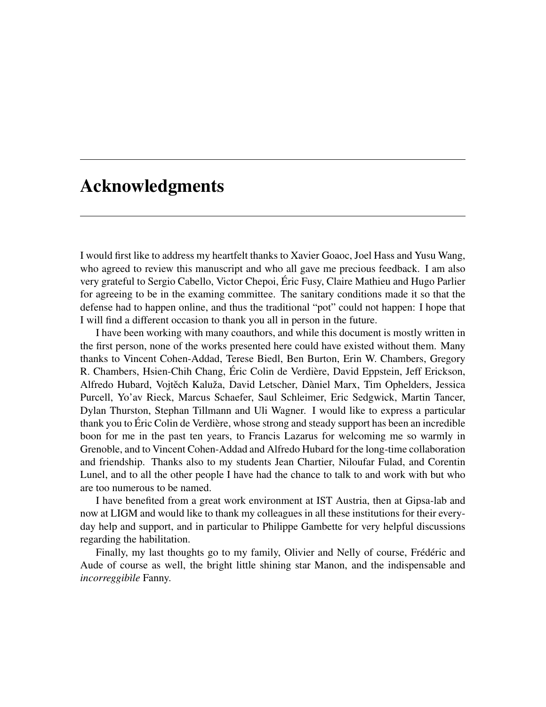#### <span id="page-6-0"></span>Acknowledgments

I would first like to address my heartfelt thanks to Xavier Goaoc, Joel Hass and Yusu Wang, who agreed to review this manuscript and who all gave me precious feedback. I am also very grateful to Sergio Cabello, Victor Chepoi, Éric Fusy, Claire Mathieu and Hugo Parlier for agreeing to be in the examing committee. The sanitary conditions made it so that the defense had to happen online, and thus the traditional "pot" could not happen: I hope that I will find a different occasion to thank you all in person in the future.

I have been working with many coauthors, and while this document is mostly written in the first person, none of the works presented here could have existed without them. Many thanks to Vincent Cohen-Addad, Terese Biedl, Ben Burton, Erin W. Chambers, Gregory R. Chambers, Hsien-Chih Chang, Éric Colin de Verdière, David Eppstein, Jeff Erickson, Alfredo Hubard, Vojtech Kaluža, David Letscher, Dàniel Marx, Tim Ophelders, Jessica ˇ Purcell, Yo'av Rieck, Marcus Schaefer, Saul Schleimer, Eric Sedgwick, Martin Tancer, Dylan Thurston, Stephan Tillmann and Uli Wagner. I would like to express a particular thank you to Éric Colin de Verdière, whose strong and steady support has been an incredible boon for me in the past ten years, to Francis Lazarus for welcoming me so warmly in Grenoble, and to Vincent Cohen-Addad and Alfredo Hubard for the long-time collaboration and friendship. Thanks also to my students Jean Chartier, Niloufar Fulad, and Corentin Lunel, and to all the other people I have had the chance to talk to and work with but who are too numerous to be named.

I have benefited from a great work environment at IST Austria, then at Gipsa-lab and now at LIGM and would like to thank my colleagues in all these institutions for their everyday help and support, and in particular to Philippe Gambette for very helpful discussions regarding the habilitation.

Finally, my last thoughts go to my family, Olivier and Nelly of course, Frédéric and Aude of course as well, the bright little shining star Manon, and the indispensable and *incorreggibìle* Fanny.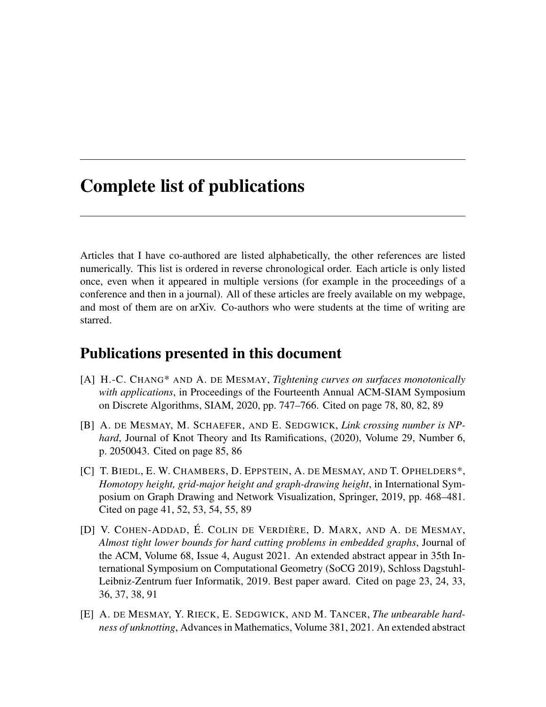#### <span id="page-8-0"></span>Complete list of publications

Articles that I have co-authored are listed alphabetically, the other references are listed numerically. This list is ordered in reverse chronological order. Each article is only listed once, even when it appeared in multiple versions (for example in the proceedings of a conference and then in a journal). All of these articles are freely available on my webpage, and most of them are on arXiv. Co-authors who were students at the time of writing are starred.

#### Publications presented in this document

- [A] H.-C. CHANG\* AND A. DE MESMAY, *Tightening curves on surfaces monotonically with applications*, in Proceedings of the Fourteenth Annual ACM-SIAM Symposium on Discrete Algorithms, SIAM, 2020, pp. 747–766. Cited on page [78,](#page-89-1) [80,](#page-91-0) [82,](#page-93-0) [89](#page-100-2)
- [B] A. DE MESMAY, M. SCHAEFER, AND E. SEDGWICK, *Link crossing number is NPhard*, Journal of Knot Theory and Its Ramifications, (2020), Volume 29, Number 6, p. 2050043. Cited on page [85,](#page-96-1) [86](#page-97-0)
- [C] T. BIEDL, E. W. CHAMBERS, D. EPPSTEIN, A. DE MESMAY, AND T. OPHELDERS\*, *Homotopy height, grid-major height and graph-drawing height*, in International Symposium on Graph Drawing and Network Visualization, Springer, 2019, pp. 468–481. Cited on page [41,](#page-52-2) [52,](#page-63-1) [53,](#page-64-0) [54,](#page-65-0) [55,](#page-66-0) [89](#page-100-2)
- <span id="page-8-1"></span>[D] V. COHEN-ADDAD, É. COLIN DE VERDIÈRE, D. MARX, AND A. DE MESMAY, *Almost tight lower bounds for hard cutting problems in embedded graphs*, Journal of the ACM, Volume 68, Issue 4, August 2021. An extended abstract appear in 35th International Symposium on Computational Geometry (SoCG 2019), Schloss Dagstuhl-Leibniz-Zentrum fuer Informatik, 2019. Best paper award. Cited on page [23,](#page-34-2) [24,](#page-35-0) [33,](#page-44-0) [36,](#page-47-0) [37,](#page-48-0) [38,](#page-49-0) [91](#page-102-1)
- [E] A. DE MESMAY, Y. RIECK, E. SEDGWICK, AND M. TANCER, *The unbearable hardness of unknotting*, Advances in Mathematics, Volume 381, 2021. An extended abstract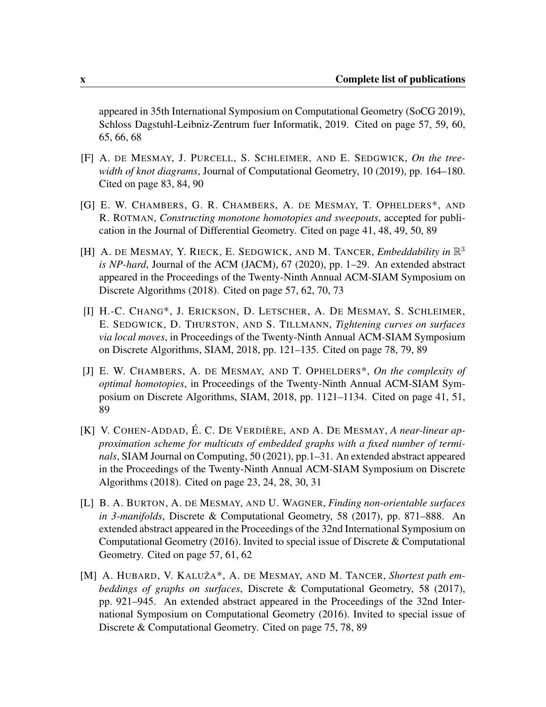appeared in 35th International Symposium on Computational Geometry (SoCG 2019), Schloss Dagstuhl-Leibniz-Zentrum fuer Informatik, 2019. Cited on page [57,](#page-68-3) [59,](#page-70-0) [60,](#page-71-1) [65,](#page-76-0) [66,](#page-77-1) [68](#page-79-0)

- [F] A. DE MESMAY, J. PURCELL, S. SCHLEIMER, AND E. SEDGWICK, *On the treewidth of knot diagrams*, Journal of Computational Geometry, 10 (2019), pp. 164–180. Cited on page [83,](#page-94-2) [84,](#page-95-0) [90](#page-101-0)
- [G] E. W. CHAMBERS, G. R. CHAMBERS, A. DE MESMAY, T. OPHELDERS\*, AND R. ROTMAN, *Constructing monotone homotopies and sweepouts*, accepted for publication in the Journal of Differential Geometry. Cited on page [41,](#page-52-2) [48,](#page-59-0) [49,](#page-60-0) [50,](#page-61-1) [89](#page-100-2)
- [H] A. DE MESMAY, Y. RIECK, E. SEDGWICK, AND M. TANCER, *Embeddability in*  $\mathbb{R}^3$ *is NP-hard*, Journal of the ACM (JACM), 67 (2020), pp. 1–29. An extended abstract appeared in the Proceedings of the Twenty-Ninth Annual ACM-SIAM Symposium on Discrete Algorithms (2018). Cited on page [57,](#page-68-3) [62,](#page-73-2) [70,](#page-81-0) [73](#page-84-0)
- [I] H.-C. CHANG\*, J. ERICKSON, D. LETSCHER, A. DE MESMAY, S. SCHLEIMER, E. SEDGWICK, D. THURSTON, AND S. TILLMANN, *Tightening curves on surfaces via local moves*, in Proceedings of the Twenty-Ninth Annual ACM-SIAM Symposium on Discrete Algorithms, SIAM, 2018, pp. 121–135. Cited on page [78,](#page-89-1) [79,](#page-90-0) [89](#page-100-2)
- [J] E. W. CHAMBERS, A. DE MESMAY, AND T. OPHELDERS\*, *On the complexity of optimal homotopies*, in Proceedings of the Twenty-Ninth Annual ACM-SIAM Symposium on Discrete Algorithms, SIAM, 2018, pp. 1121–1134. Cited on page [41,](#page-52-2) [51,](#page-62-0) [89](#page-100-2)
- <span id="page-9-0"></span>[K] V. COHEN-ADDAD, É. C. DE VERDIÈRE, AND A. DE MESMAY, *A near-linear approximation scheme for multicuts of embedded graphs with a fixed number of terminals*, SIAM Journal on Computing, 50 (2021), pp.1–31. An extended abstract appeared in the Proceedings of the Twenty-Ninth Annual ACM-SIAM Symposium on Discrete Algorithms (2018). Cited on page [23,](#page-34-2) [24,](#page-35-0) [28,](#page-39-1) [30,](#page-41-0) [31](#page-42-0)
- [L] B. A. BURTON, A. DE MESMAY, AND U. WAGNER, *Finding non-orientable surfaces in 3-manifolds*, Discrete & Computational Geometry, 58 (2017), pp. 871–888. An extended abstract appeared in the Proceedings of the 32nd International Symposium on Computational Geometry (2016). Invited to special issue of Discrete & Computational Geometry. Cited on page [57,](#page-68-3) [61,](#page-72-0) [62](#page-73-2)
- [M] A. HUBARD, V. KALUŽA\*, A. DE MESMAY, AND M. TANCER, *Shortest path embeddings of graphs on surfaces*, Discrete & Computational Geometry, 58 (2017), pp. 921–945. An extended abstract appeared in the Proceedings of the 32nd International Symposium on Computational Geometry (2016). Invited to special issue of Discrete & Computational Geometry. Cited on page [75,](#page-86-2) [78,](#page-89-1) [89](#page-100-2)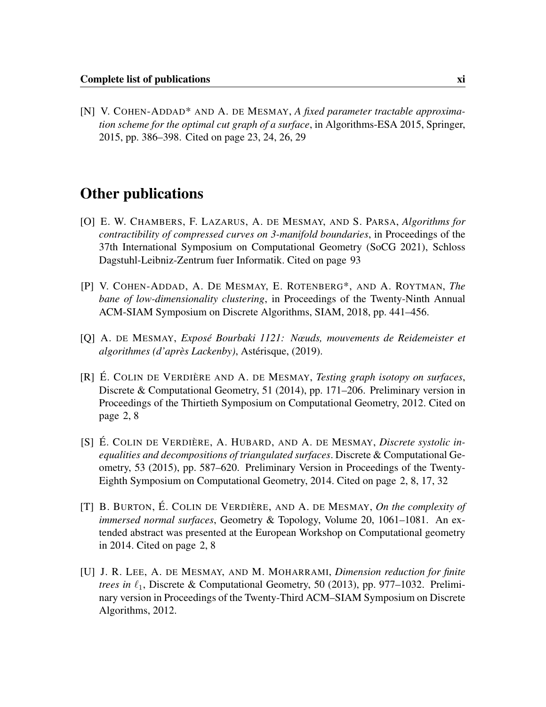<span id="page-10-3"></span>[N] V. COHEN-ADDAD\* AND A. DE MESMAY, *A fixed parameter tractable approximation scheme for the optimal cut graph of a surface*, in Algorithms-ESA 2015, Springer, 2015, pp. 386–398. Cited on page [23,](#page-34-2) [24,](#page-35-0) [26,](#page-37-0) [29](#page-40-0)

#### Other publications

- [O] E. W. CHAMBERS, F. LAZARUS, A. DE MESMAY, AND S. PARSA, *Algorithms for contractibility of compressed curves on 3-manifold boundaries*, in Proceedings of the 37th International Symposium on Computational Geometry (SoCG 2021), Schloss Dagstuhl-Leibniz-Zentrum fuer Informatik. Cited on page [93](#page-104-0)
- [P] V. COHEN-ADDAD, A. DE MESMAY, E. ROTENBERG\*, AND A. ROYTMAN, *The bane of low-dimensionality clustering*, in Proceedings of the Twenty-Ninth Annual ACM-SIAM Symposium on Discrete Algorithms, SIAM, 2018, pp. 441–456.
- [Q] A. DE MESMAY, *Exposé Bourbaki 1121: Nœuds, mouvements de Reidemeister et algorithmes (d'après Lackenby)*, Astérisque, (2019).
- <span id="page-10-0"></span>[R] É. COLIN DE VERDIÈRE AND A. DE MESMAY, *Testing graph isotopy on surfaces*, Discrete & Computational Geometry, 51 (2014), pp. 171–206. Preliminary version in Proceedings of the Thirtieth Symposium on Computational Geometry, 2012. Cited on page [2,](#page-13-0) [8](#page-19-0)
- <span id="page-10-1"></span>[S] É. COLIN DE VERDIÈRE, A. HUBARD, AND A. DE MESMAY, *Discrete systolic inequalities and decompositions of triangulated surfaces*. Discrete & Computational Geometry, 53 (2015), pp. 587–620. Preliminary Version in Proceedings of the Twenty-Eighth Symposium on Computational Geometry, 2014. Cited on page [2,](#page-13-0) [8,](#page-19-0) [17,](#page-28-0) [32](#page-43-1)
- <span id="page-10-2"></span>[T] B. BURTON, É. COLIN DE VERDIÈRE, AND A. DE MESMAY, *On the complexity of immersed normal surfaces*, Geometry & Topology, Volume 20, 1061–1081. An extended abstract was presented at the European Workshop on Computational geometry in 2014. Cited on page [2,](#page-13-0) [8](#page-19-0)
- [U] J. R. LEE, A. DE MESMAY, AND M. MOHARRAMI, *Dimension reduction for finite trees in*  $\ell_1$ , Discrete & Computational Geometry, 50 (2013), pp. 977–1032. Preliminary version in Proceedings of the Twenty-Third ACM–SIAM Symposium on Discrete Algorithms, 2012.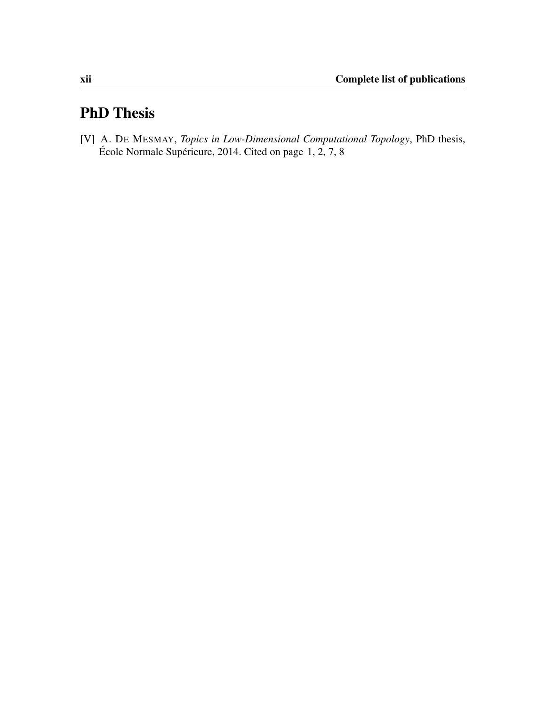### PhD Thesis

<span id="page-11-0"></span>[V] A. DE MESMAY, *Topics in Low-Dimensional Computational Topology*, PhD thesis, École Normale Supérieure, 2014. Cited on page [1,](#page-12-1) [2,](#page-13-0) [7,](#page-18-1) [8](#page-19-0)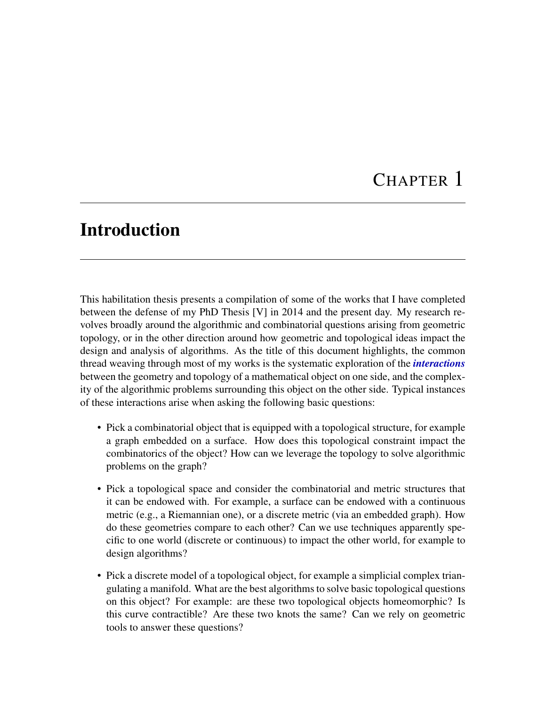### CHAPTER 1

### <span id="page-12-1"></span><span id="page-12-0"></span>Introduction

This habilitation thesis presents a compilation of some of the works that I have completed between the defense of my PhD Thesis [\[V\]](#page-11-0) in 2014 and the present day. My research revolves broadly around the algorithmic and combinatorial questions arising from geometric topology, or in the other direction around how geometric and topological ideas impact the design and analysis of algorithms. As the title of this document highlights, the common thread weaving through most of my works is the systematic exploration of the *interactions* between the geometry and topology of a mathematical object on one side, and the complexity of the algorithmic problems surrounding this object on the other side. Typical instances of these interactions arise when asking the following basic questions:

- Pick a combinatorial object that is equipped with a topological structure, for example a graph embedded on a surface. How does this topological constraint impact the combinatorics of the object? How can we leverage the topology to solve algorithmic problems on the graph?
- Pick a topological space and consider the combinatorial and metric structures that it can be endowed with. For example, a surface can be endowed with a continuous metric (e.g., a Riemannian one), or a discrete metric (via an embedded graph). How do these geometries compare to each other? Can we use techniques apparently specific to one world (discrete or continuous) to impact the other world, for example to design algorithms?
- Pick a discrete model of a topological object, for example a simplicial complex triangulating a manifold. What are the best algorithms to solve basic topological questions on this object? For example: are these two topological objects homeomorphic? Is this curve contractible? Are these two knots the same? Can we rely on geometric tools to answer these questions?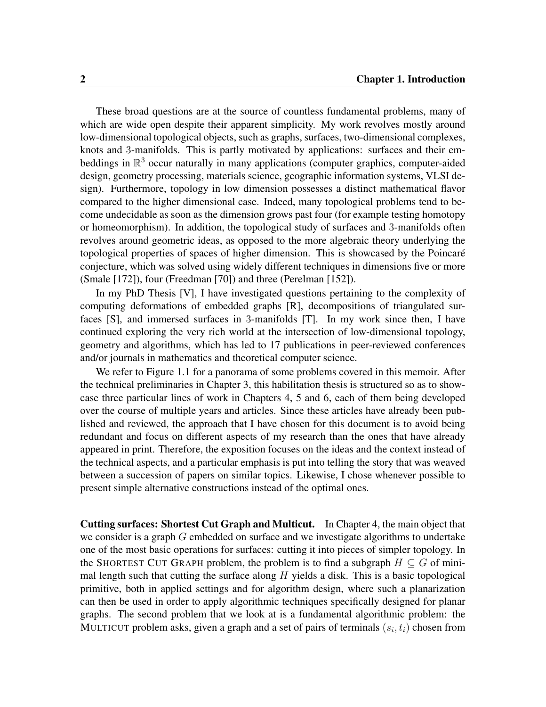<span id="page-13-0"></span>These broad questions are at the source of countless fundamental problems, many of which are wide open despite their apparent simplicity. My work revolves mostly around low-dimensional topological objects, such as graphs, surfaces, two-dimensional complexes, knots and 3-manifolds. This is partly motivated by applications: surfaces and their embeddings in  $\mathbb{R}^3$  occur naturally in many applications (computer graphics, computer-aided design, geometry processing, materials science, geographic information systems, VLSI design). Furthermore, topology in low dimension possesses a distinct mathematical flavor compared to the higher dimensional case. Indeed, many topological problems tend to become undecidable as soon as the dimension grows past four (for example testing homotopy or homeomorphism). In addition, the topological study of surfaces and 3-manifolds often revolves around geometric ideas, as opposed to the more algebraic theory underlying the topological properties of spaces of higher dimension. This is showcased by the Poincaré conjecture, which was solved using widely different techniques in dimensions five or more (Smale [\[172\]](#page-119-0)), four (Freedman [\[70\]](#page-112-0)) and three (Perelman [\[152\]](#page-118-0)).

In my PhD Thesis [\[V\]](#page-11-0), I have investigated questions pertaining to the complexity of computing deformations of embedded graphs [\[R\]](#page-10-0), decompositions of triangulated surfaces [\[S\]](#page-10-1), and immersed surfaces in 3-manifolds [\[T\]](#page-10-2). In my work since then, I have continued exploring the very rich world at the intersection of low-dimensional topology, geometry and algorithms, which has led to 17 publications in peer-reviewed conferences and/or journals in mathematics and theoretical computer science.

We refer to Figure [1.1](#page-17-0) for a panorama of some problems covered in this memoir. After the technical preliminaries in Chapter [3,](#page-24-0) this habilitation thesis is structured so as to showcase three particular lines of work in Chapters [4,](#page-34-0) [5](#page-52-0) and [6,](#page-68-0) each of them being developed over the course of multiple years and articles. Since these articles have already been published and reviewed, the approach that I have chosen for this document is to avoid being redundant and focus on different aspects of my research than the ones that have already appeared in print. Therefore, the exposition focuses on the ideas and the context instead of the technical aspects, and a particular emphasis is put into telling the story that was weaved between a succession of papers on similar topics. Likewise, I chose whenever possible to present simple alternative constructions instead of the optimal ones.

Cutting surfaces: Shortest Cut Graph and Multicut. In Chapter [4,](#page-34-0) the main object that we consider is a graph  $G$  embedded on surface and we investigate algorithms to undertake one of the most basic operations for surfaces: cutting it into pieces of simpler topology. In the SHORTEST CUT GRAPH problem, the problem is to find a subgraph  $H \subseteq G$  of minimal length such that cutting the surface along  $H$  yields a disk. This is a basic topological primitive, both in applied settings and for algorithm design, where such a planarization can then be used in order to apply algorithmic techniques specifically designed for planar graphs. The second problem that we look at is a fundamental algorithmic problem: the MULTICUT problem asks, given a graph and a set of pairs of terminals  $(s_i, t_i)$  chosen from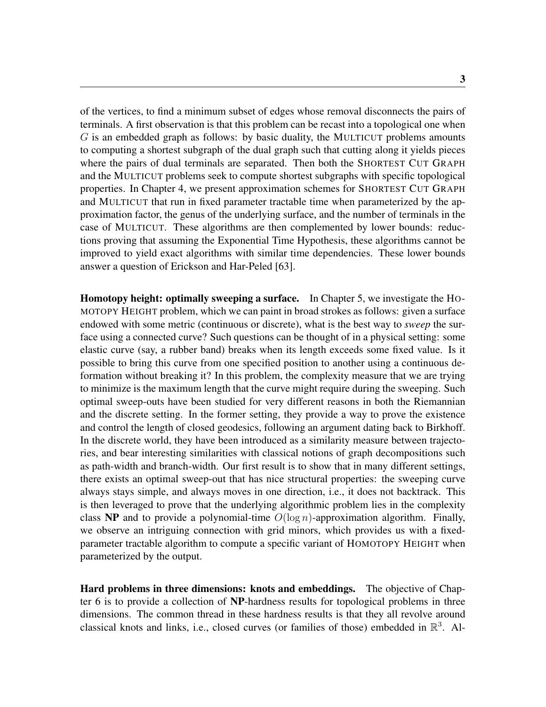of the vertices, to find a minimum subset of edges whose removal disconnects the pairs of terminals. A first observation is that this problem can be recast into a topological one when  $G$  is an embedded graph as follows: by basic duality, the MULTICUT problems amounts to computing a shortest subgraph of the dual graph such that cutting along it yields pieces where the pairs of dual terminals are separated. Then both the SHORTEST CUT GRAPH and the MULTICUT problems seek to compute shortest subgraphs with specific topological properties. In Chapter [4,](#page-34-0) we present approximation schemes for SHORTEST CUT GRAPH and MULTICUT that run in fixed parameter tractable time when parameterized by the approximation factor, the genus of the underlying surface, and the number of terminals in the case of MULTICUT. These algorithms are then complemented by lower bounds: reductions proving that assuming the Exponential Time Hypothesis, these algorithms cannot be improved to yield exact algorithms with similar time dependencies. These lower bounds answer a question of Erickson and Har-Peled [\[63\]](#page-111-0).

Homotopy height: optimally sweeping a surface. In Chapter [5,](#page-52-0) we investigate the HO-MOTOPY HEIGHT problem, which we can paint in broad strokes as follows: given a surface endowed with some metric (continuous or discrete), what is the best way to *sweep* the surface using a connected curve? Such questions can be thought of in a physical setting: some elastic curve (say, a rubber band) breaks when its length exceeds some fixed value. Is it possible to bring this curve from one specified position to another using a continuous deformation without breaking it? In this problem, the complexity measure that we are trying to minimize is the maximum length that the curve might require during the sweeping. Such optimal sweep-outs have been studied for very different reasons in both the Riemannian and the discrete setting. In the former setting, they provide a way to prove the existence and control the length of closed geodesics, following an argument dating back to Birkhoff. In the discrete world, they have been introduced as a similarity measure between trajectories, and bear interesting similarities with classical notions of graph decompositions such as path-width and branch-width. Our first result is to show that in many different settings, there exists an optimal sweep-out that has nice structural properties: the sweeping curve always stays simple, and always moves in one direction, i.e., it does not backtrack. This is then leveraged to prove that the underlying algorithmic problem lies in the complexity class **NP** and to provide a polynomial-time  $O(\log n)$ -approximation algorithm. Finally, we observe an intriguing connection with grid minors, which provides us with a fixedparameter tractable algorithm to compute a specific variant of HOMOTOPY HEIGHT when parameterized by the output.

Hard problems in three dimensions: knots and embeddings. The objective of Chapter [6](#page-68-0) is to provide a collection of NP-hardness results for topological problems in three dimensions. The common thread in these hardness results is that they all revolve around classical knots and links, i.e., closed curves (or families of those) embedded in  $\mathbb{R}^3$ . Al-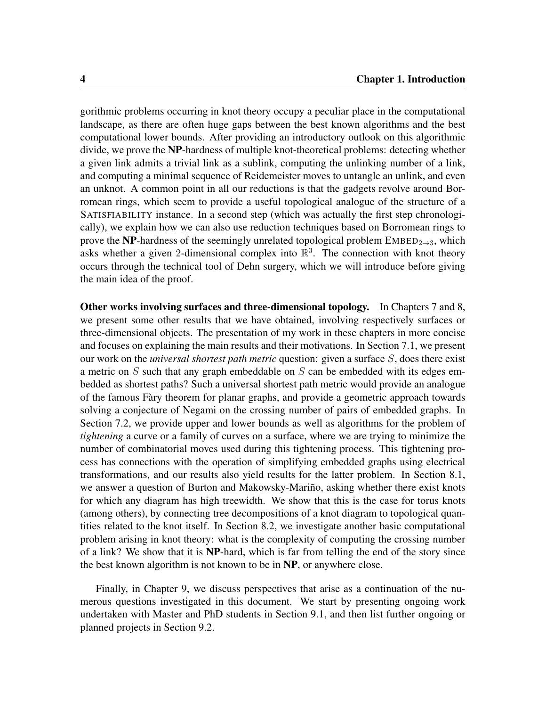gorithmic problems occurring in knot theory occupy a peculiar place in the computational landscape, as there are often huge gaps between the best known algorithms and the best computational lower bounds. After providing an introductory outlook on this algorithmic divide, we prove the NP-hardness of multiple knot-theoretical problems: detecting whether a given link admits a trivial link as a sublink, computing the unlinking number of a link, and computing a minimal sequence of Reidemeister moves to untangle an unlink, and even an unknot. A common point in all our reductions is that the gadgets revolve around Borromean rings, which seem to provide a useful topological analogue of the structure of a SATISFIABILITY instance. In a second step (which was actually the first step chronologically), we explain how we can also use reduction techniques based on Borromean rings to prove the NP-hardness of the seemingly unrelated topological problem  $EMBED_{2\rightarrow 3}$ , which asks whether a given 2-dimensional complex into  $\mathbb{R}^3$ . The connection with knot theory occurs through the technical tool of Dehn surgery, which we will introduce before giving the main idea of the proof.

Other works involving surfaces and three-dimensional topology. In Chapters [7](#page-86-0) and [8,](#page-94-0) we present some other results that we have obtained, involving respectively surfaces or three-dimensional objects. The presentation of my work in these chapters in more concise and focuses on explaining the main results and their motivations. In Section [7.1,](#page-86-1) we present our work on the *universal shortest path metric* question: given a surface S, does there exist a metric on  $S$  such that any graph embeddable on  $S$  can be embedded with its edges embedded as shortest paths? Such a universal shortest path metric would provide an analogue of the famous Fàry theorem for planar graphs, and provide a geometric approach towards solving a conjecture of Negami on the crossing number of pairs of embedded graphs. In Section [7.2,](#page-89-0) we provide upper and lower bounds as well as algorithms for the problem of *tightening* a curve or a family of curves on a surface, where we are trying to minimize the number of combinatorial moves used during this tightening process. This tightening process has connections with the operation of simplifying embedded graphs using electrical transformations, and our results also yield results for the latter problem. In Section [8.1,](#page-94-1) we answer a question of Burton and Makowsky-Mariño, asking whether there exist knots for which any diagram has high treewidth. We show that this is the case for torus knots (among others), by connecting tree decompositions of a knot diagram to topological quantities related to the knot itself. In Section [8.2,](#page-96-0) we investigate another basic computational problem arising in knot theory: what is the complexity of computing the crossing number of a link? We show that it is NP-hard, which is far from telling the end of the story since the best known algorithm is not known to be in NP, or anywhere close.

Finally, in Chapter [9,](#page-100-0) we discuss perspectives that arise as a continuation of the numerous questions investigated in this document. We start by presenting ongoing work undertaken with Master and PhD students in Section [9.1,](#page-100-1) and then list further ongoing or planned projects in Section [9.2.](#page-102-0)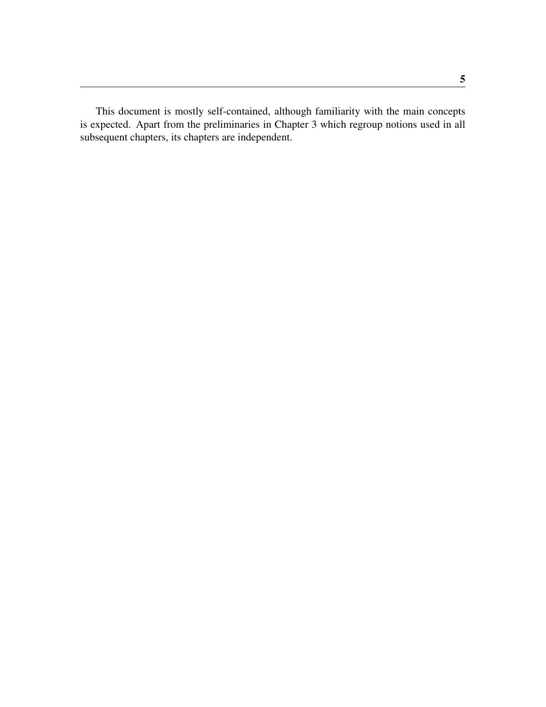This document is mostly self-contained, although familiarity with the main concepts is expected. Apart from the preliminaries in Chapter [3](#page-24-0) which regroup notions used in all subsequent chapters, its chapters are independent.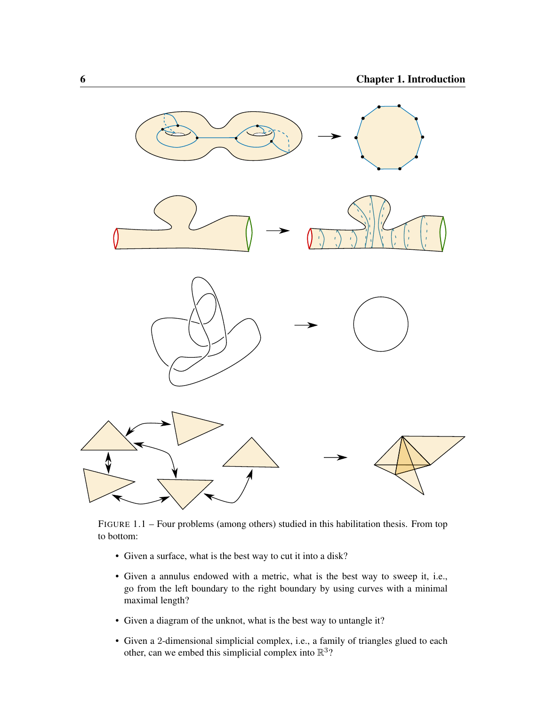<span id="page-17-0"></span>

FIGURE 1.1 – Four problems (among others) studied in this habilitation thesis. From top to bottom:

- Given a surface, what is the best way to cut it into a disk?
- Given a annulus endowed with a metric, what is the best way to sweep it, i.e., go from the left boundary to the right boundary by using curves with a minimal maximal length?
- Given a diagram of the unknot, what is the best way to untangle it?
- Given a 2-dimensional simplicial complex, i.e., a family of triangles glued to each other, can we embed this simplicial complex into  $\mathbb{R}^3$ ?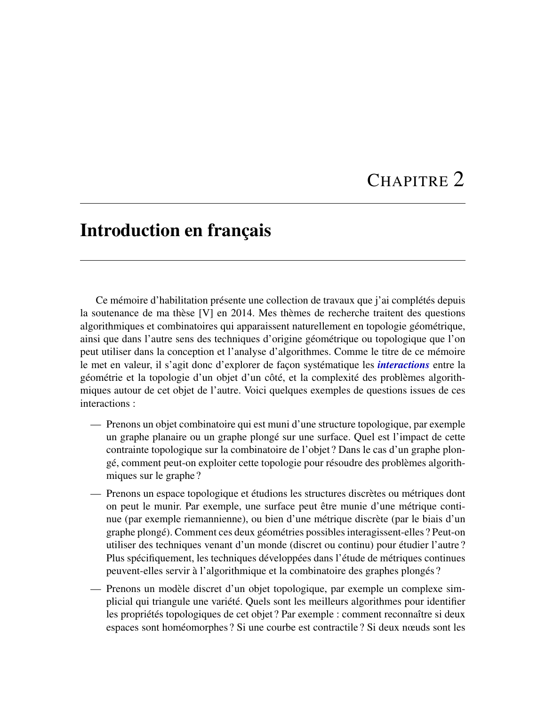# CHAPITRE 2

### <span id="page-18-1"></span><span id="page-18-0"></span>Introduction en français

Ce mémoire d'habilitation présente une collection de travaux que j'ai complétés depuis la soutenance de ma thèse [\[V\]](#page-11-0) en 2014. Mes thèmes de recherche traitent des questions algorithmiques et combinatoires qui apparaissent naturellement en topologie géométrique, ainsi que dans l'autre sens des techniques d'origine géométrique ou topologique que l'on peut utiliser dans la conception et l'analyse d'algorithmes. Comme le titre de ce mémoire le met en valeur, il s'agit donc d'explorer de façon systématique les *interactions* entre la géométrie et la topologie d'un objet d'un côté, et la complexité des problèmes algorithmiques autour de cet objet de l'autre. Voici quelques exemples de questions issues de ces interactions :

- Prenons un objet combinatoire qui est muni d'une structure topologique, par exemple un graphe planaire ou un graphe plongé sur une surface. Quel est l'impact de cette contrainte topologique sur la combinatoire de l'objet ? Dans le cas d'un graphe plongé, comment peut-on exploiter cette topologie pour résoudre des problèmes algorithmiques sur le graphe ?
- Prenons un espace topologique et étudions les structures discrètes ou métriques dont on peut le munir. Par exemple, une surface peut être munie d'une métrique continue (par exemple riemannienne), ou bien d'une métrique discrète (par le biais d'un graphe plongé). Comment ces deux géométries possibles interagissent-elles ? Peut-on utiliser des techniques venant d'un monde (discret ou continu) pour étudier l'autre ? Plus spécifiquement, les techniques développées dans l'étude de métriques continues peuvent-elles servir à l'algorithmique et la combinatoire des graphes plongés ?
- Prenons un modèle discret d'un objet topologique, par exemple un complexe simplicial qui triangule une variété. Quels sont les meilleurs algorithmes pour identifier les propriétés topologiques de cet objet ? Par exemple : comment reconnaître si deux espaces sont homéomorphes ? Si une courbe est contractile ? Si deux nœuds sont les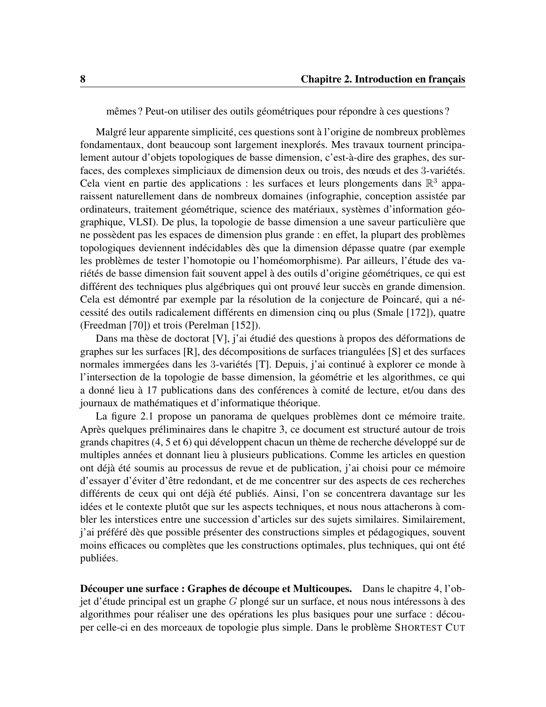<span id="page-19-0"></span>mêmes ? Peut-on utiliser des outils géométriques pour répondre à ces questions ?

Malgré leur apparente simplicité, ces questions sont à l'origine de nombreux problèmes fondamentaux, dont beaucoup sont largement inexplorés. Mes travaux tournent principalement autour d'objets topologiques de basse dimension, c'est-à-dire des graphes, des surfaces, des complexes simpliciaux de dimension deux ou trois, des nœuds et des 3-variétés. Cela vient en partie des applications : les surfaces et leurs plongements dans  $\mathbb{R}^3$  apparaissent naturellement dans de nombreux domaines (infographie, conception assistée par ordinateurs, traitement géométrique, science des matériaux, systèmes d'information géographique, VLSI). De plus, la topologie de basse dimension a une saveur particulière que ne possèdent pas les espaces de dimension plus grande : en effet, la plupart des problèmes topologiques deviennent indécidables dès que la dimension dépasse quatre (par exemple les problèmes de tester l'homotopie ou l'homéomorphisme). Par ailleurs, l'étude des variétés de basse dimension fait souvent appel à des outils d'origine géométriques, ce qui est différent des techniques plus algébriques qui ont prouvé leur succès en grande dimension. Cela est démontré par exemple par la résolution de la conjecture de Poincaré, qui a nécessité des outils radicalement différents en dimension cinq ou plus (Smale [\[172\]](#page-119-0)), quatre (Freedman [\[70\]](#page-112-0)) et trois (Perelman [\[152\]](#page-118-0)).

Dans ma thèse de doctorat [\[V\]](#page-11-0), j'ai étudié des questions à propos des déformations de graphes sur les surfaces [\[R\]](#page-10-0), des décompositions de surfaces triangulées [\[S\]](#page-10-1) et des surfaces normales immergées dans les 3-variétés [\[T\]](#page-10-2). Depuis, j'ai continué à explorer ce monde à l'intersection de la topologie de basse dimension, la géométrie et les algorithmes, ce qui a donné lieu à 17 publications dans des conférences à comité de lecture, et/ou dans des journaux de mathématiques et d'informatique théorique.

La figure [2.1](#page-23-0) propose un panorama de quelques problèmes dont ce mémoire traite. Après quelques préliminaires dans le chapitre [3,](#page-24-0) ce document est structuré autour de trois grands chapitres [\(4,](#page-34-0) [5](#page-52-0) et [6\)](#page-68-0) qui développent chacun un thème de recherche développé sur de multiples années et donnant lieu à plusieurs publications. Comme les articles en question ont déjà été soumis au processus de revue et de publication, j'ai choisi pour ce mémoire d'essayer d'éviter d'être redondant, et de me concentrer sur des aspects de ces recherches différents de ceux qui ont déjà été publiés. Ainsi, l'on se concentrera davantage sur les idées et le contexte plutôt que sur les aspects techniques, et nous nous attacherons à combler les interstices entre une succession d'articles sur des sujets similaires. Similairement, j'ai préféré dès que possible présenter des constructions simples et pédagogiques, souvent moins efficaces ou complètes que les constructions optimales, plus techniques, qui ont été publiées.

Découper une surface : Graphes de découpe et Multicoupes. Dans le chapitre [4,](#page-34-0) l'objet d'étude principal est un graphe G plongé sur un surface, et nous nous intéressons à des algorithmes pour réaliser une des opérations les plus basiques pour une surface : découper celle-ci en des morceaux de topologie plus simple. Dans le problème SHORTEST CUT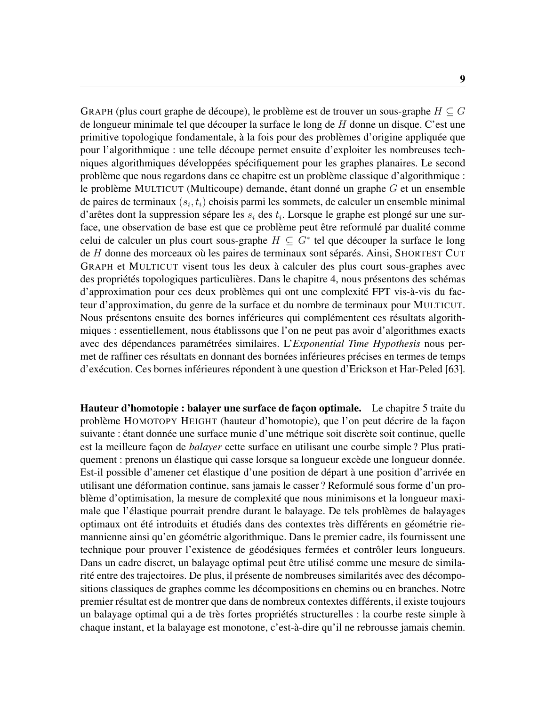GRAPH (plus court graphe de découpe), le problème est de trouver un sous-graphe  $H \subseteq G$ de longueur minimale tel que découper la surface le long de  $H$  donne un disque. C'est une primitive topologique fondamentale, à la fois pour des problèmes d'origine appliquée que pour l'algorithmique : une telle découpe permet ensuite d'exploiter les nombreuses techniques algorithmiques développées spécifiquement pour les graphes planaires. Le second problème que nous regardons dans ce chapitre est un problème classique d'algorithmique : le problème MULTICUT (Multicoupe) demande, étant donné un graphe G et un ensemble de paires de terminaux  $(s_i, t_i)$  choisis parmi les sommets, de calculer un ensemble minimal d'arêtes dont la suppression sépare les  $s_i$  des  $t_i$ . Lorsque le graphe est plongé sur une surface, une observation de base est que ce problème peut être reformulé par dualité comme celui de calculer un plus court sous-graphe  $H \subseteq G^*$  tel que découper la surface le long de H donne des morceaux où les paires de terminaux sont séparés. Ainsi, SHORTEST CUT GRAPH et MULTICUT visent tous les deux à calculer des plus court sous-graphes avec des propriétés topologiques particulières. Dans le chapitre [4,](#page-34-0) nous présentons des schémas d'approximation pour ces deux problèmes qui ont une complexité FPT vis-à-vis du facteur d'approximation, du genre de la surface et du nombre de terminaux pour MULTICUT. Nous présentons ensuite des bornes inférieures qui complémentent ces résultats algorithmiques : essentiellement, nous établissons que l'on ne peut pas avoir d'algorithmes exacts avec des dépendances paramétrées similaires. L'*Exponential Time Hypothesis* nous permet de raffiner ces résultats en donnant des bornées inférieures précises en termes de temps d'exécution. Ces bornes inférieures répondent à une question d'Erickson et Har-Peled [\[63\]](#page-111-0).

Hauteur d'homotopie : balayer une surface de façon optimale. Le chapitre [5](#page-52-0) traite du problème HOMOTOPY HEIGHT (hauteur d'homotopie), que l'on peut décrire de la façon suivante : étant donnée une surface munie d'une métrique soit discrète soit continue, quelle est la meilleure façon de *balayer* cette surface en utilisant une courbe simple ? Plus pratiquement : prenons un élastique qui casse lorsque sa longueur excède une longueur donnée. Est-il possible d'amener cet élastique d'une position de départ à une position d'arrivée en utilisant une déformation continue, sans jamais le casser ? Reformulé sous forme d'un problème d'optimisation, la mesure de complexité que nous minimisons et la longueur maximale que l'élastique pourrait prendre durant le balayage. De tels problèmes de balayages optimaux ont été introduits et étudiés dans des contextes très différents en géométrie riemannienne ainsi qu'en géométrie algorithmique. Dans le premier cadre, ils fournissent une technique pour prouver l'existence de géodésiques fermées et contrôler leurs longueurs. Dans un cadre discret, un balayage optimal peut être utilisé comme une mesure de similarité entre des trajectoires. De plus, il présente de nombreuses similarités avec des décompositions classiques de graphes comme les décompositions en chemins ou en branches. Notre premier résultat est de montrer que dans de nombreux contextes différents, il existe toujours un balayage optimal qui a de très fortes propriétés structurelles : la courbe reste simple à chaque instant, et la balayage est monotone, c'est-à-dire qu'il ne rebrousse jamais chemin.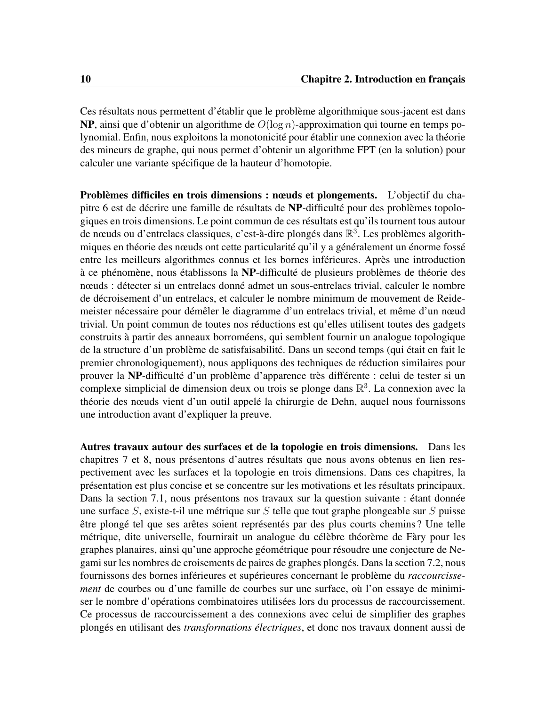Ces résultats nous permettent d'établir que le problème algorithmique sous-jacent est dans NP, ainsi que d'obtenir un algorithme de  $O(\log n)$ -approximation qui tourne en temps polynomial. Enfin, nous exploitons la monotonicité pour établir une connexion avec la théorie des mineurs de graphe, qui nous permet d'obtenir un algorithme FPT (en la solution) pour calculer une variante spécifique de la hauteur d'homotopie.

Problèmes difficiles en trois dimensions : nœuds et plongements. L'objectif du chapitre [6](#page-68-0) est de décrire une famille de résultats de NP-difficulté pour des problèmes topologiques en trois dimensions. Le point commun de ces résultats est qu'ils tournent tous autour de nœuds ou d'entrelacs classiques, c'est-à-dire plongés dans  $\mathbb{R}^3$ . Les problèmes algorithmiques en théorie des nœuds ont cette particularité qu'il y a généralement un énorme fossé entre les meilleurs algorithmes connus et les bornes inférieures. Après une introduction à ce phénomène, nous établissons la NP-difficulté de plusieurs problèmes de théorie des nœuds : détecter si un entrelacs donné admet un sous-entrelacs trivial, calculer le nombre de décroisement d'un entrelacs, et calculer le nombre minimum de mouvement de Reidemeister nécessaire pour démêler le diagramme d'un entrelacs trivial, et même d'un nœud trivial. Un point commun de toutes nos réductions est qu'elles utilisent toutes des gadgets construits à partir des anneaux borroméens, qui semblent fournir un analogue topologique de la structure d'un problème de satisfaisabilité. Dans un second temps (qui était en fait le premier chronologiquement), nous appliquons des techniques de réduction similaires pour prouver la NP-difficulté d'un problème d'apparence très différente : celui de tester si un complexe simplicial de dimension deux ou trois se plonge dans  $\mathbb{R}^3$ . La connexion avec la théorie des nœuds vient d'un outil appelé la chirurgie de Dehn, auquel nous fournissons une introduction avant d'expliquer la preuve.

Autres travaux autour des surfaces et de la topologie en trois dimensions. Dans les chapitres [7](#page-86-0) et [8,](#page-94-0) nous présentons d'autres résultats que nous avons obtenus en lien respectivement avec les surfaces et la topologie en trois dimensions. Dans ces chapitres, la présentation est plus concise et se concentre sur les motivations et les résultats principaux. Dans la section [7.1,](#page-86-1) nous présentons nos travaux sur la question suivante : étant donnée une surface  $S$ , existe-t-il une métrique sur  $S$  telle que tout graphe plongeable sur  $S$  puisse être plongé tel que ses arêtes soient représentés par des plus courts chemins ? Une telle métrique, dite universelle, fournirait un analogue du célèbre théorème de Fàry pour les graphes planaires, ainsi qu'une approche géométrique pour résoudre une conjecture de Negami sur les nombres de croisements de paires de graphes plongés. Dans la section [7.2,](#page-89-0) nous fournissons des bornes inférieures et supérieures concernant le problème du *raccourcissement* de courbes ou d'une famille de courbes sur une surface, où l'on essaye de minimiser le nombre d'opérations combinatoires utilisées lors du processus de raccourcissement. Ce processus de raccourcissement a des connexions avec celui de simplifier des graphes plongés en utilisant des *transformations électriques*, et donc nos travaux donnent aussi de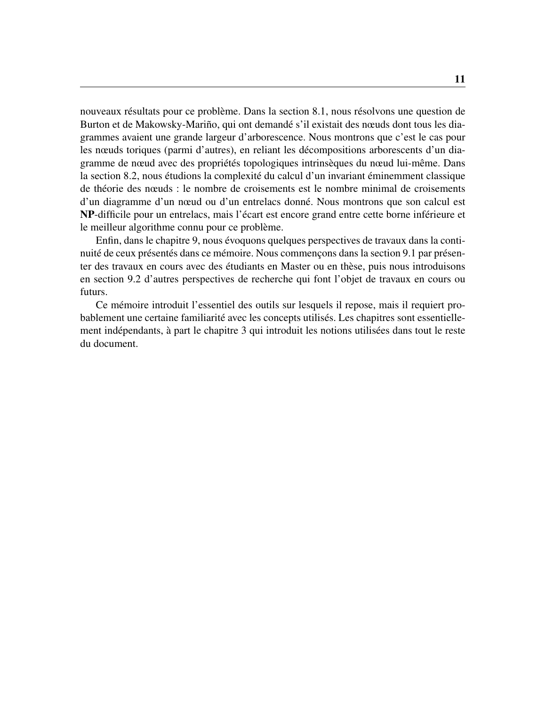nouveaux résultats pour ce problème. Dans la section [8.1,](#page-94-1) nous résolvons une question de Burton et de Makowsky-Mariño, qui ont demandé s'il existait des nœuds dont tous les diagrammes avaient une grande largeur d'arborescence. Nous montrons que c'est le cas pour les nœuds toriques (parmi d'autres), en reliant les décompositions arborescents d'un diagramme de nœud avec des propriétés topologiques intrinsèques du nœud lui-même. Dans la section [8.2,](#page-96-0) nous étudions la complexité du calcul d'un invariant éminemment classique de théorie des nœuds : le nombre de croisements est le nombre minimal de croisements d'un diagramme d'un nœud ou d'un entrelacs donné. Nous montrons que son calcul est NP-difficile pour un entrelacs, mais l'écart est encore grand entre cette borne inférieure et le meilleur algorithme connu pour ce problème.

Enfin, dans le chapitre [9,](#page-100-0) nous évoquons quelques perspectives de travaux dans la continuité de ceux présentés dans ce mémoire. Nous commençons dans la section [9.1](#page-100-1) par présenter des travaux en cours avec des étudiants en Master ou en thèse, puis nous introduisons en section [9.2](#page-102-0) d'autres perspectives de recherche qui font l'objet de travaux en cours ou futurs.

Ce mémoire introduit l'essentiel des outils sur lesquels il repose, mais il requiert probablement une certaine familiarité avec les concepts utilisés. Les chapitres sont essentiellement indépendants, à part le chapitre [3](#page-24-0) qui introduit les notions utilisées dans tout le reste du document.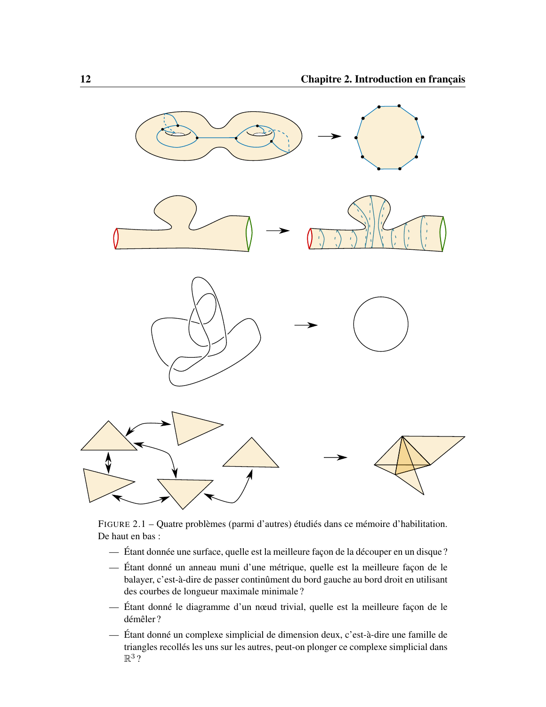<span id="page-23-0"></span>

FIGURE 2.1 – Quatre problèmes (parmi d'autres) étudiés dans ce mémoire d'habilitation. De haut en bas :

- Étant donnée une surface, quelle est la meilleure façon de la découper en un disque ?
- Étant donné un anneau muni d'une métrique, quelle est la meilleure façon de le balayer, c'est-à-dire de passer continûment du bord gauche au bord droit en utilisant des courbes de longueur maximale minimale ?
- Étant donné le diagramme d'un nœud trivial, quelle est la meilleure façon de le démêler ?
- Étant donné un complexe simplicial de dimension deux, c'est-à-dire une famille de triangles recollés les uns sur les autres, peut-on plonger ce complexe simplicial dans  $\mathbb{R}^3$  ?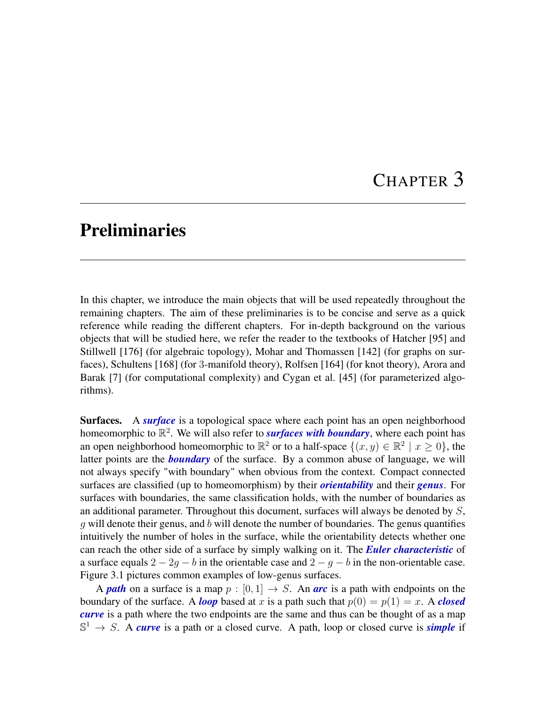## CHAPTER 3

#### <span id="page-24-0"></span>Preliminaries

In this chapter, we introduce the main objects that will be used repeatedly throughout the remaining chapters. The aim of these preliminaries is to be concise and serve as a quick reference while reading the different chapters. For in-depth background on the various objects that will be studied here, we refer the reader to the textbooks of Hatcher [\[95\]](#page-113-0) and Stillwell [\[176\]](#page-120-0) (for algebraic topology), Mohar and Thomassen [\[142\]](#page-117-0) (for graphs on surfaces), Schultens [\[168\]](#page-119-1) (for 3-manifold theory), Rolfsen [\[164\]](#page-119-2) (for knot theory), Arora and Barak [\[7\]](#page-106-1) (for computational complexity) and Cygan et al. [\[45\]](#page-110-0) (for parameterized algorithms).

Surfaces. A *surface* is a topological space where each point has an open neighborhood homeomorphic to  $\mathbb{R}^2$ . We will also refer to *surfaces with boundary*, where each point has an open neighborhood homeomorphic to  $\mathbb{R}^2$  or to a half-space  $\{(x, y) \in \mathbb{R}^2 \mid x \ge 0\}$ , the latter points are the *boundary* of the surface. By a common abuse of language, we will not always specify "with boundary" when obvious from the context. Compact connected surfaces are classified (up to homeomorphism) by their *orientability* and their *genus*. For surfaces with boundaries, the same classification holds, with the number of boundaries as an additional parameter. Throughout this document, surfaces will always be denoted by  $S$ , q will denote their genus, and b will denote the number of boundaries. The genus quantifies intuitively the number of holes in the surface, while the orientability detects whether one can reach the other side of a surface by simply walking on it. The *Euler characteristic* of a surface equals  $2 - 2g - b$  in the orientable case and  $2 - g - b$  in the non-orientable case. Figure [3.1](#page-25-0) pictures common examples of low-genus surfaces.

A *path* on a surface is a map  $p : [0, 1] \rightarrow S$ . An **arc** is a path with endpoints on the boundary of the surface. A *loop* based at x is a path such that  $p(0) = p(1) = x$ . A *closed curve* is a path where the two endpoints are the same and thus can be thought of as a map  $\mathbb{S}^1 \to S$ . A *curve* is a path or a closed curve. A path, loop or closed curve is *simple* if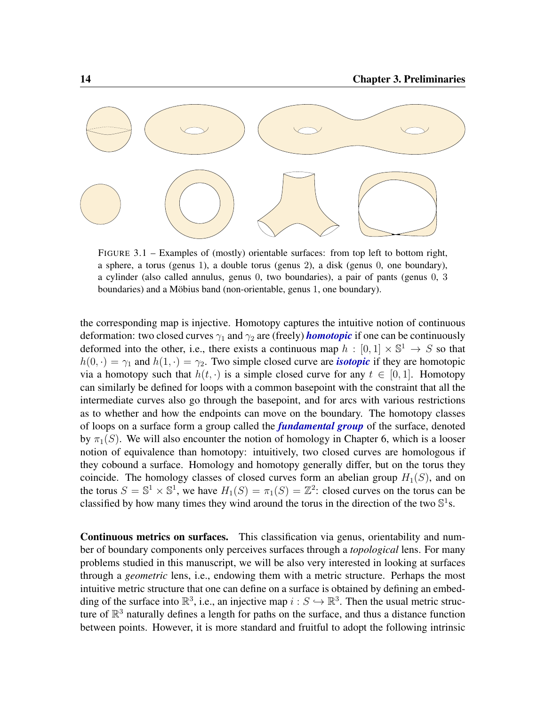<span id="page-25-0"></span>

FIGURE 3.1 – Examples of (mostly) orientable surfaces: from top left to bottom right, a sphere, a torus (genus 1), a double torus (genus 2), a disk (genus 0, one boundary), a cylinder (also called annulus, genus 0, two boundaries), a pair of pants (genus 0, 3 boundaries) and a Möbius band (non-orientable, genus 1, one boundary).

the corresponding map is injective. Homotopy captures the intuitive notion of continuous deformation: two closed curves  $\gamma_1$  and  $\gamma_2$  are (freely) *homotopic* if one can be continuously deformed into the other, i.e., there exists a continuous map  $h : [0,1] \times \mathbb{S}^1 \to S$  so that  $h(0, \cdot) = \gamma_1$  and  $h(1, \cdot) = \gamma_2$ . Two simple closed curve are *isotopic* if they are homotopic via a homotopy such that  $h(t, \cdot)$  is a simple closed curve for any  $t \in [0, 1]$ . Homotopy can similarly be defined for loops with a common basepoint with the constraint that all the intermediate curves also go through the basepoint, and for arcs with various restrictions as to whether and how the endpoints can move on the boundary. The homotopy classes of loops on a surface form a group called the *fundamental group* of the surface, denoted by  $\pi_1(S)$ . We will also encounter the notion of homology in Chapter [6,](#page-68-0) which is a looser notion of equivalence than homotopy: intuitively, two closed curves are homologous if they cobound a surface. Homology and homotopy generally differ, but on the torus they coincide. The homology classes of closed curves form an abelian group  $H_1(S)$ , and on the torus  $S = \mathbb{S}^1 \times \mathbb{S}^1$ , we have  $H_1(S) = \pi_1(S) = \mathbb{Z}^2$ : closed curves on the torus can be classified by how many times they wind around the torus in the direction of the two  $\mathbb{S}^1$ s.

Continuous metrics on surfaces. This classification via genus, orientability and number of boundary components only perceives surfaces through a *topological* lens. For many problems studied in this manuscript, we will be also very interested in looking at surfaces through a *geometric* lens, i.e., endowing them with a metric structure. Perhaps the most intuitive metric structure that one can define on a surface is obtained by defining an embedding of the surface into  $\mathbb{R}^3$ , i.e., an injective map  $i : S \hookrightarrow \mathbb{R}^3$ . Then the usual metric structure of  $\mathbb{R}^3$  naturally defines a length for paths on the surface, and thus a distance function between points. However, it is more standard and fruitful to adopt the following intrinsic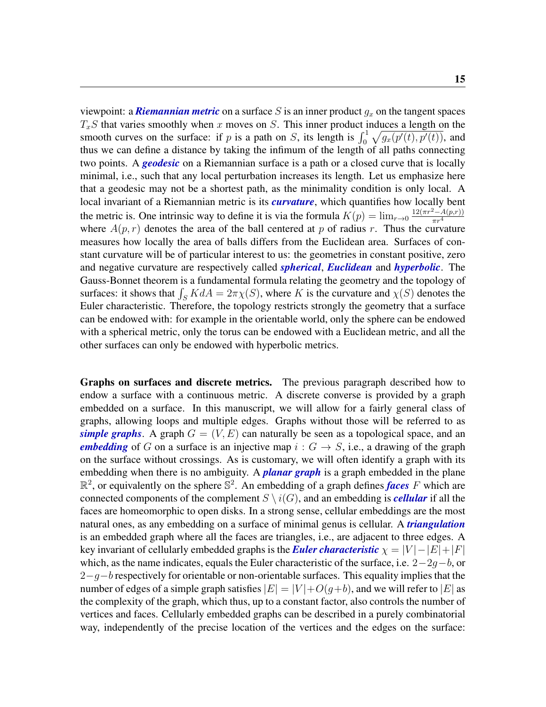viewpoint: a **Riemannian metric** on a surface S is an inner product  $g_x$  on the tangent spaces  $T_xS$  that varies smoothly when x moves on S. This inner product induces a length on the smooth curves on the surface: if p is a path on S, its length is  $\int_0^1 \sqrt{g_x(p'(t), p'(t))}$ , and thus we can define a distance by taking the infimum of the length of all paths connecting two points. A *geodesic* on a Riemannian surface is a path or a closed curve that is locally minimal, i.e., such that any local perturbation increases its length. Let us emphasize here that a geodesic may not be a shortest path, as the minimality condition is only local. A local invariant of a Riemannian metric is its *curvature*, which quantifies how locally bent the metric is. One intrinsic way to define it is via the formula  $K(p) = \lim_{r \to 0} \frac{12(\pi r^2 - A(p,r))}{\pi r^4}$  $\pi r^4$ where  $A(p, r)$  denotes the area of the ball centered at p of radius r. Thus the curvature measures how locally the area of balls differs from the Euclidean area. Surfaces of constant curvature will be of particular interest to us: the geometries in constant positive, zero and negative curvature are respectively called *spherical*, *Euclidean* and *hyperbolic*. The Gauss-Bonnet theorem is a fundamental formula relating the geometry and the topology of surfaces: it shows that  $\int_S K dA = 2\pi \chi(S)$ , where K is the curvature and  $\chi(S)$  denotes the Euler characteristic. Therefore, the topology restricts strongly the geometry that a surface can be endowed with: for example in the orientable world, only the sphere can be endowed with a spherical metric, only the torus can be endowed with a Euclidean metric, and all the other surfaces can only be endowed with hyperbolic metrics.

Graphs on surfaces and discrete metrics. The previous paragraph described how to endow a surface with a continuous metric. A discrete converse is provided by a graph embedded on a surface. In this manuscript, we will allow for a fairly general class of graphs, allowing loops and multiple edges. Graphs without those will be referred to as *simple graphs*. A graph  $G = (V, E)$  can naturally be seen as a topological space, and an *embedding* of G on a surface is an injective map  $i: G \rightarrow S$ , i.e., a drawing of the graph on the surface without crossings. As is customary, we will often identify a graph with its embedding when there is no ambiguity. A *planar graph* is a graph embedded in the plane  $\mathbb{R}^2$ , or equivalently on the sphere  $\mathbb{S}^2$ . An embedding of a graph defines *faces* F which are connected components of the complement  $S \setminus i(G)$ , and an embedding is *cellular* if all the faces are homeomorphic to open disks. In a strong sense, cellular embeddings are the most natural ones, as any embedding on a surface of minimal genus is cellular. A *triangulation* is an embedded graph where all the faces are triangles, i.e., are adjacent to three edges. A key invariant of cellularly embedded graphs is the *Euler characteristic*  $\chi = |V| - |E| + |F|$ which, as the name indicates, equals the Euler characteristic of the surface, i.e.  $2-2g-b$ , or  $2-q-b$  respectively for orientable or non-orientable surfaces. This equality implies that the number of edges of a simple graph satisfies  $|E| = |V| + O(q+b)$ , and we will refer to  $|E|$  as the complexity of the graph, which thus, up to a constant factor, also controls the number of vertices and faces. Cellularly embedded graphs can be described in a purely combinatorial way, independently of the precise location of the vertices and the edges on the surface: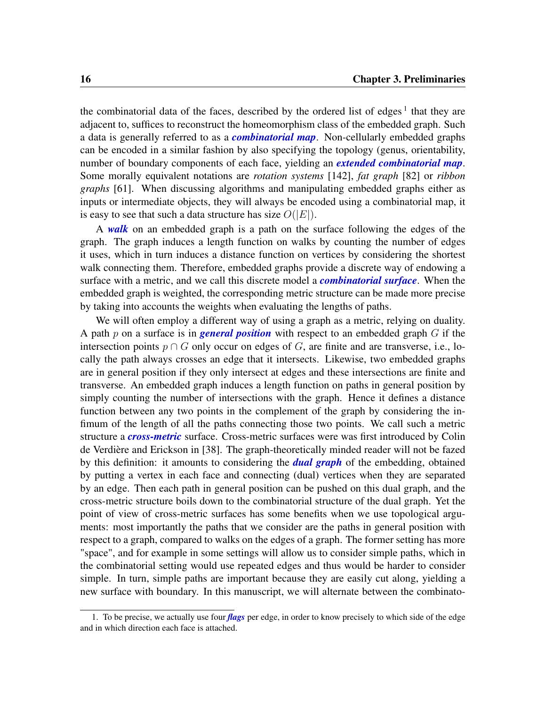the combinatorial data of the faces, described by the ordered list of edges<sup>[1](#page-27-0)</sup> that they are adjacent to, suffices to reconstruct the homeomorphism class of the embedded graph. Such a data is generally referred to as a *combinatorial map*. Non-cellularly embedded graphs can be encoded in a similar fashion by also specifying the topology (genus, orientability, number of boundary components of each face, yielding an *extended combinatorial map*. Some morally equivalent notations are *rotation systems* [\[142\]](#page-117-0), *fat graph* [\[82\]](#page-112-1) or *ribbon graphs* [\[61\]](#page-111-1). When discussing algorithms and manipulating embedded graphs either as inputs or intermediate objects, they will always be encoded using a combinatorial map, it is easy to see that such a data structure has size  $O(|E|)$ .

A *walk* on an embedded graph is a path on the surface following the edges of the graph. The graph induces a length function on walks by counting the number of edges it uses, which in turn induces a distance function on vertices by considering the shortest walk connecting them. Therefore, embedded graphs provide a discrete way of endowing a surface with a metric, and we call this discrete model a *combinatorial surface*. When the embedded graph is weighted, the corresponding metric structure can be made more precise by taking into accounts the weights when evaluating the lengths of paths.

We will often employ a different way of using a graph as a metric, relying on duality. A path  $p$  on a surface is in *general position* with respect to an embedded graph  $G$  if the intersection points  $p \cap G$  only occur on edges of G, are finite and are transverse, i.e., locally the path always crosses an edge that it intersects. Likewise, two embedded graphs are in general position if they only intersect at edges and these intersections are finite and transverse. An embedded graph induces a length function on paths in general position by simply counting the number of intersections with the graph. Hence it defines a distance function between any two points in the complement of the graph by considering the infimum of the length of all the paths connecting those two points. We call such a metric structure a *cross-metric* surface. Cross-metric surfaces were was first introduced by Colin de Verdière and Erickson in [\[38\]](#page-109-0). The graph-theoretically minded reader will not be fazed by this definition: it amounts to considering the *dual graph* of the embedding, obtained by putting a vertex in each face and connecting (dual) vertices when they are separated by an edge. Then each path in general position can be pushed on this dual graph, and the cross-metric structure boils down to the combinatorial structure of the dual graph. Yet the point of view of cross-metric surfaces has some benefits when we use topological arguments: most importantly the paths that we consider are the paths in general position with respect to a graph, compared to walks on the edges of a graph. The former setting has more "space", and for example in some settings will allow us to consider simple paths, which in the combinatorial setting would use repeated edges and thus would be harder to consider simple. In turn, simple paths are important because they are easily cut along, yielding a new surface with boundary. In this manuscript, we will alternate between the combinato-

<span id="page-27-0"></span><sup>1.</sup> To be precise, we actually use four *flags* per edge, in order to know precisely to which side of the edge and in which direction each face is attached.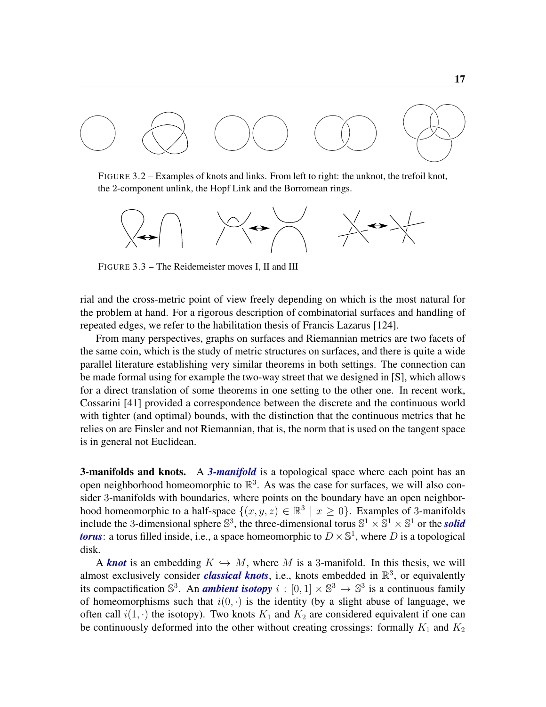<span id="page-28-1"></span><span id="page-28-0"></span>

FIGURE 3.2 – Examples of knots and links. From left to right: the unknot, the trefoil knot, the 2-component unlink, the Hopf Link and the Borromean rings.

<span id="page-28-2"></span>

FIGURE 3.3 – The Reidemeister moves I, II and III

rial and the cross-metric point of view freely depending on which is the most natural for the problem at hand. For a rigorous description of combinatorial surfaces and handling of repeated edges, we refer to the habilitation thesis of Francis Lazarus [\[124\]](#page-116-0).

From many perspectives, graphs on surfaces and Riemannian metrics are two facets of the same coin, which is the study of metric structures on surfaces, and there is quite a wide parallel literature establishing very similar theorems in both settings. The connection can be made formal using for example the two-way street that we designed in [\[S\]](#page-10-1), which allows for a direct translation of some theorems in one setting to the other one. In recent work, Cossarini [\[41\]](#page-109-1) provided a correspondence between the discrete and the continuous world with tighter (and optimal) bounds, with the distinction that the continuous metrics that he relies on are Finsler and not Riemannian, that is, the norm that is used on the tangent space is in general not Euclidean.

**3-manifolds and knots.** A 3-manifold is a topological space where each point has an open neighborhood homeomorphic to  $\mathbb{R}^3$ . As was the case for surfaces, we will also consider 3-manifolds with boundaries, where points on the boundary have an open neighborhood homeomorphic to a half-space  $\{(x, y, z) \in \mathbb{R}^3 \mid x \ge 0\}$ . Examples of 3-manifolds include the 3-dimensional sphere  $\mathbb{S}^3$ , the three-dimensional torus  $\mathbb{S}^1 \times \mathbb{S}^1 \times \mathbb{S}^1$  or the *solid torus*: a torus filled inside, i.e., a space homeomorphic to  $D \times \mathbb{S}^1$ , where D is a topological disk.

A **knot** is an embedding  $K \hookrightarrow M$ , where M is a 3-manifold. In this thesis, we will almost exclusively consider *classical knots*, i.e., knots embedded in  $\mathbb{R}^3$ , or equivalently its compactification  $\mathbb{S}^3$ . An *ambient isotopy*  $i : [0,1] \times \mathbb{S}^3 \to \mathbb{S}^3$  is a continuous family of homeomorphisms such that  $i(0, \cdot)$  is the identity (by a slight abuse of language, we often call  $i(1, \cdot)$  the isotopy). Two knots  $K_1$  and  $K_2$  are considered equivalent if one can be continuously deformed into the other without creating crossings: formally  $K_1$  and  $K_2$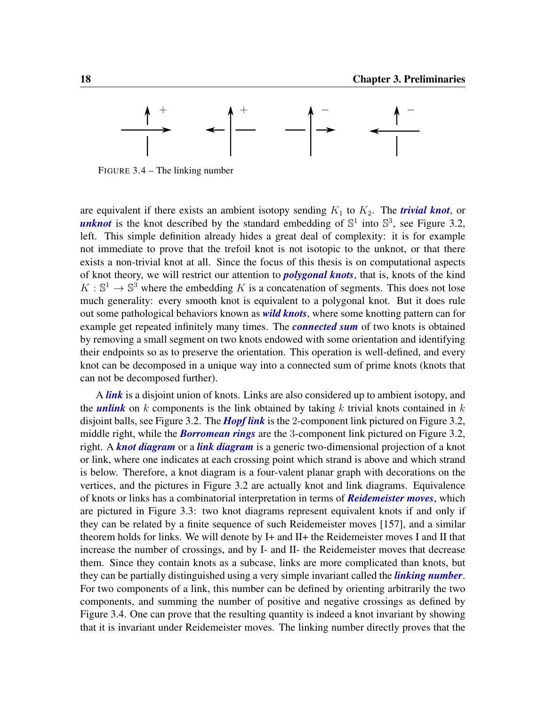<span id="page-29-0"></span>

FIGURE 3.4 – The linking number

are equivalent if there exists an ambient isotopy sending  $K_1$  to  $K_2$ . The *trivial knot*, or *unknot* is the knot described by the standard embedding of  $\mathbb{S}^1$  into  $\mathbb{S}^3$ , see Figure [3.2,](#page-28-1) left. This simple definition already hides a great deal of complexity: it is for example not immediate to prove that the trefoil knot is not isotopic to the unknot, or that there exists a non-trivial knot at all. Since the focus of this thesis is on computational aspects of knot theory, we will restrict our attention to *polygonal knots*, that is, knots of the kind  $K: \mathbb{S}^1 \to \mathbb{S}^3$  where the embedding K is a concatenation of segments. This does not lose much generality: every smooth knot is equivalent to a polygonal knot. But it does rule out some pathological behaviors known as *wild knots*, where some knotting pattern can for example get repeated infinitely many times. The *connected sum* of two knots is obtained by removing a small segment on two knots endowed with some orientation and identifying their endpoints so as to preserve the orientation. This operation is well-defined, and every knot can be decomposed in a unique way into a connected sum of prime knots (knots that can not be decomposed further).

A *link* is a disjoint union of knots. Links are also considered up to ambient isotopy, and the *unlink* on k components is the link obtained by taking k trivial knots contained in  $k$ disjoint balls, see Figure [3.2.](#page-28-1) The *Hopf link* is the 2-component link pictured on Figure [3.2,](#page-28-1) middle right, while the *Borromean rings* are the 3-component link pictured on Figure [3.2,](#page-28-1) right. A *knot diagram* or a *link diagram* is a generic two-dimensional projection of a knot or link, where one indicates at each crossing point which strand is above and which strand is below. Therefore, a knot diagram is a four-valent planar graph with decorations on the vertices, and the pictures in Figure [3.2](#page-28-1) are actually knot and link diagrams. Equivalence of knots or links has a combinatorial interpretation in terms of *Reidemeister moves*, which are pictured in Figure [3.3:](#page-28-2) two knot diagrams represent equivalent knots if and only if they can be related by a finite sequence of such Reidemeister moves [\[157\]](#page-118-1), and a similar theorem holds for links. We will denote by I+ and II+ the Reidemeister moves I and II that increase the number of crossings, and by I- and II- the Reidemeister moves that decrease them. Since they contain knots as a subcase, links are more complicated than knots, but they can be partially distinguished using a very simple invariant called the *linking number*. For two components of a link, this number can be defined by orienting arbitrarily the two components, and summing the number of positive and negative crossings as defined by Figure [3.4.](#page-29-0) One can prove that the resulting quantity is indeed a knot invariant by showing that it is invariant under Reidemeister moves. The linking number directly proves that the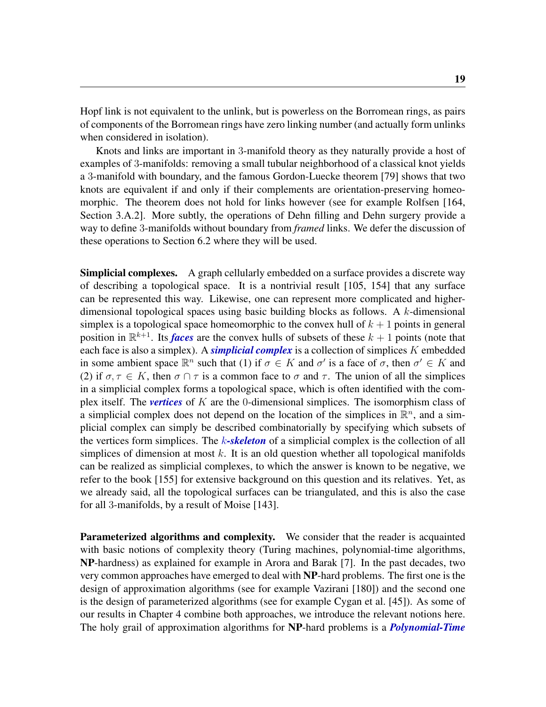Hopf link is not equivalent to the unlink, but is powerless on the Borromean rings, as pairs of components of the Borromean rings have zero linking number (and actually form unlinks when considered in isolation).

Knots and links are important in 3-manifold theory as they naturally provide a host of examples of 3-manifolds: removing a small tubular neighborhood of a classical knot yields a 3-manifold with boundary, and the famous Gordon-Luecke theorem [\[79\]](#page-112-2) shows that two knots are equivalent if and only if their complements are orientation-preserving homeomorphic. The theorem does not hold for links however (see for example Rolfsen [\[164,](#page-119-2) Section 3.A.2]. More subtly, the operations of Dehn filling and Dehn surgery provide a way to define 3-manifolds without boundary from *framed* links. We defer the discussion of these operations to Section [6.2](#page-73-0) where they will be used.

Simplicial complexes. A graph cellularly embedded on a surface provides a discrete way of describing a topological space. It is a nontrivial result [\[105,](#page-114-0) [154\]](#page-118-2) that any surface can be represented this way. Likewise, one can represent more complicated and higherdimensional topological spaces using basic building blocks as follows. A k-dimensional simplex is a topological space homeomorphic to the convex hull of  $k + 1$  points in general position in  $\mathbb{R}^{k+1}$ . Its *faces* are the convex hulls of subsets of these  $k+1$  points (note that each face is also a simplex). A *simplicial complex* is a collection of simplices K embedded in some ambient space  $\mathbb{R}^n$  such that (1) if  $\sigma \in K$  and  $\sigma'$  is a face of  $\sigma$ , then  $\sigma' \in K$  and (2) if  $\sigma, \tau \in K$ , then  $\sigma \cap \tau$  is a common face to  $\sigma$  and  $\tau$ . The union of all the simplices in a simplicial complex forms a topological space, which is often identified with the complex itself. The *vertices* of K are the 0-dimensional simplices. The isomorphism class of a simplicial complex does not depend on the location of the simplices in  $\mathbb{R}^n$ , and a simplicial complex can simply be described combinatorially by specifying which subsets of the vertices form simplices. The k*-skeleton* of a simplicial complex is the collection of all simplices of dimension at most  $k$ . It is an old question whether all topological manifolds can be realized as simplicial complexes, to which the answer is known to be negative, we refer to the book [\[155\]](#page-118-3) for extensive background on this question and its relatives. Yet, as we already said, all the topological surfaces can be triangulated, and this is also the case for all 3-manifolds, by a result of Moise [\[143\]](#page-117-1).

Parameterized algorithms and complexity. We consider that the reader is acquainted with basic notions of complexity theory (Turing machines, polynomial-time algorithms, NP-hardness) as explained for example in Arora and Barak [\[7\]](#page-106-1). In the past decades, two very common approaches have emerged to deal with NP-hard problems. The first one is the design of approximation algorithms (see for example Vazirani [\[180\]](#page-120-1)) and the second one is the design of parameterized algorithms (see for example Cygan et al. [\[45\]](#page-110-0)). As some of our results in Chapter [4](#page-34-0) combine both approaches, we introduce the relevant notions here. The holy grail of approximation algorithms for NP-hard problems is a *Polynomial-Time*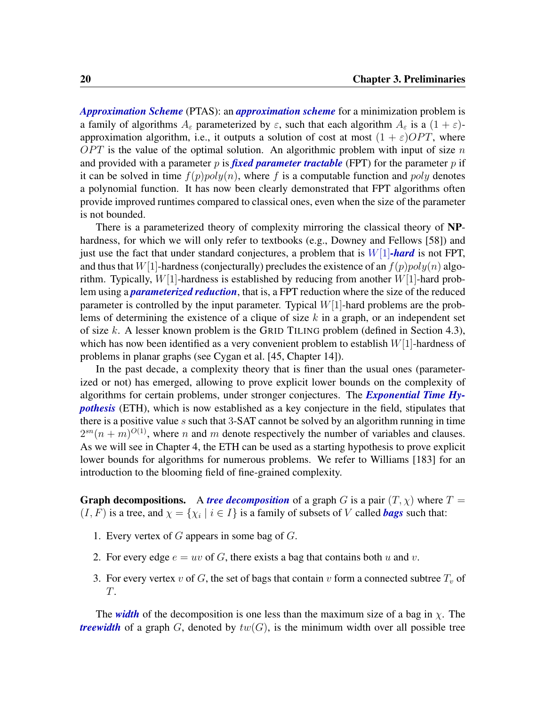*Approximation Scheme* (PTAS): an *approximation scheme* for a minimization problem is a family of algorithms  $A_{\varepsilon}$  parameterized by  $\varepsilon$ , such that each algorithm  $A_{\varepsilon}$  is a  $(1 + \varepsilon)$ approximation algorithm, i.e., it outputs a solution of cost at most  $(1 + \varepsilon)OPT$ , where  $OPT$  is the value of the optimal solution. An algorithmic problem with input of size n and provided with a parameter p is *fixed parameter tractable* (FPT) for the parameter p if it can be solved in time  $f(p)poly(n)$ , where f is a computable function and poly denotes a polynomial function. It has now been clearly demonstrated that FPT algorithms often provide improved runtimes compared to classical ones, even when the size of the parameter is not bounded.

There is a parameterized theory of complexity mirroring the classical theory of NPhardness, for which we will only refer to textbooks (e.g., Downey and Fellows [\[58\]](#page-111-2)) and just use the fact that under standard conjectures, a problem that is W[1]*-hard* is not FPT, and thus that W[1]-hardness (conjecturally) precludes the existence of an  $f(p)poly(n)$  algorithm. Typically,  $W[1]$ -hardness is established by reducing from another  $W[1]$ -hard problem using a *parameterized reduction*, that is, a FPT reduction where the size of the reduced parameter is controlled by the input parameter. Typical  $W[1]$ -hard problems are the problems of determining the existence of a clique of size k in a graph, or an independent set of size k. A lesser known problem is the GRID TILING problem (defined in Section [4.3\)](#page-43-0), which has now been identified as a very convenient problem to establish  $W[1]$ -hardness of problems in planar graphs (see Cygan et al. [\[45,](#page-110-0) Chapter 14]).

In the past decade, a complexity theory that is finer than the usual ones (parameterized or not) has emerged, allowing to prove explicit lower bounds on the complexity of algorithms for certain problems, under stronger conjectures. The *Exponential Time Hypothesis* (ETH), which is now established as a key conjecture in the field, stipulates that there is a positive value s such that  $3$ -SAT cannot be solved by an algorithm running in time  $2^{sn}(n+m)^{O(1)}$ , where n and m denote respectively the number of variables and clauses. As we will see in Chapter [4,](#page-34-0) the ETH can be used as a starting hypothesis to prove explicit lower bounds for algorithms for numerous problems. We refer to Williams [\[183\]](#page-120-2) for an introduction to the blooming field of fine-grained complexity.

**Graph decompositions.** A *tree decomposition* of a graph G is a pair  $(T, \chi)$  where  $T =$  $(I, F)$  is a tree, and  $\chi = {\chi_i \mid i \in I}$  is a family of subsets of V called *bags* such that:

- 1. Every vertex of  $G$  appears in some bag of  $G$ .
- 2. For every edge  $e = uv$  of G, there exists a bag that contains both u and v.
- 3. For every vertex v of G, the set of bags that contain v form a connected subtree  $T_v$  of T.

The *width* of the decomposition is one less than the maximum size of a bag in  $\chi$ . The *treewidth* of a graph G, denoted by  $tw(G)$ , is the minimum width over all possible tree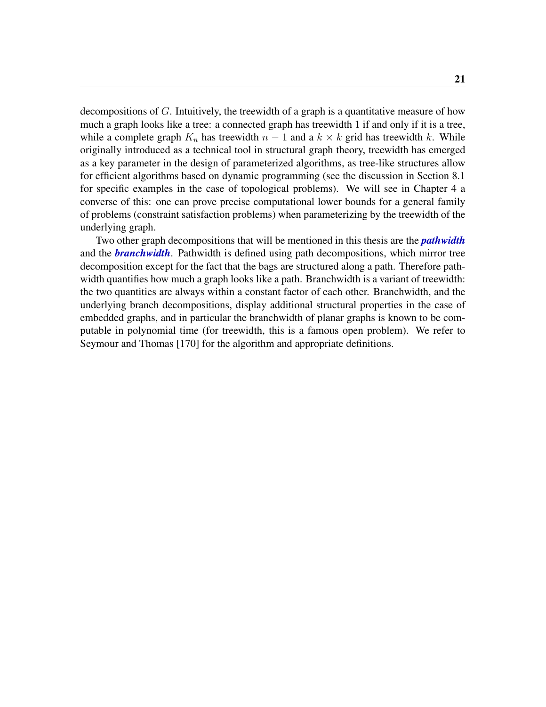decompositions of G. Intuitively, the treewidth of a graph is a quantitative measure of how much a graph looks like a tree: a connected graph has treewidth 1 if and only if it is a tree, while a complete graph  $K_n$  has treewidth  $n-1$  and a  $k \times k$  grid has treewidth k. While originally introduced as a technical tool in structural graph theory, treewidth has emerged as a key parameter in the design of parameterized algorithms, as tree-like structures allow for efficient algorithms based on dynamic programming (see the discussion in Section [8.1](#page-94-1) for specific examples in the case of topological problems). We will see in Chapter [4](#page-34-0) a converse of this: one can prove precise computational lower bounds for a general family of problems (constraint satisfaction problems) when parameterizing by the treewidth of the underlying graph.

Two other graph decompositions that will be mentioned in this thesis are the *pathwidth* and the *branchwidth*. Pathwidth is defined using path decompositions, which mirror tree decomposition except for the fact that the bags are structured along a path. Therefore pathwidth quantifies how much a graph looks like a path. Branchwidth is a variant of treewidth: the two quantities are always within a constant factor of each other. Branchwidth, and the underlying branch decompositions, display additional structural properties in the case of embedded graphs, and in particular the branchwidth of planar graphs is known to be computable in polynomial time (for treewidth, this is a famous open problem). We refer to Seymour and Thomas [\[170\]](#page-119-3) for the algorithm and appropriate definitions.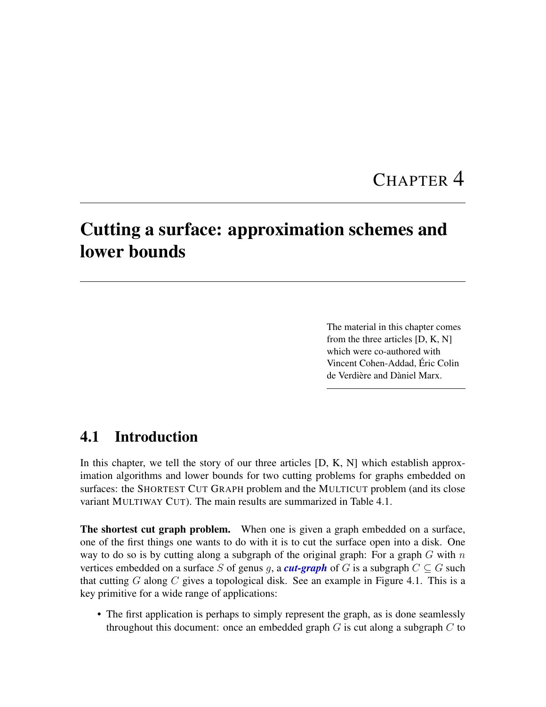### CHAPTER 4

### <span id="page-34-2"></span><span id="page-34-0"></span>Cutting a surface: approximation schemes and lower bounds

The material in this chapter comes from the three articles [\[D,](#page-8-1) [K,](#page-9-0) [N\]](#page-10-3) which were co-authored with Vincent Cohen-Addad, Éric Colin de Verdière and Dàniel Marx.

#### <span id="page-34-1"></span>4.1 Introduction

In this chapter, we tell the story of our three articles [\[D,](#page-8-1) [K,](#page-9-0) [N\]](#page-10-3) which establish approximation algorithms and lower bounds for two cutting problems for graphs embedded on surfaces: the SHORTEST CUT GRAPH problem and the MULTICUT problem (and its close variant MULTIWAY CUT). The main results are summarized in Table [4.1.](#page-35-1)

The shortest cut graph problem. When one is given a graph embedded on a surface, one of the first things one wants to do with it is to cut the surface open into a disk. One way to do so is by cutting along a subgraph of the original graph: For a graph  $G$  with  $n$ vertices embedded on a surface S of genus g, a *cut-graph* of G is a subgraph  $C \subseteq G$  such that cutting G along C gives a topological disk. See an example in Figure [4.1.](#page-36-0) This is a key primitive for a wide range of applications:

• The first application is perhaps to simply represent the graph, as is done seamlessly throughout this document: once an embedded graph  $G$  is cut along a subgraph  $C$  to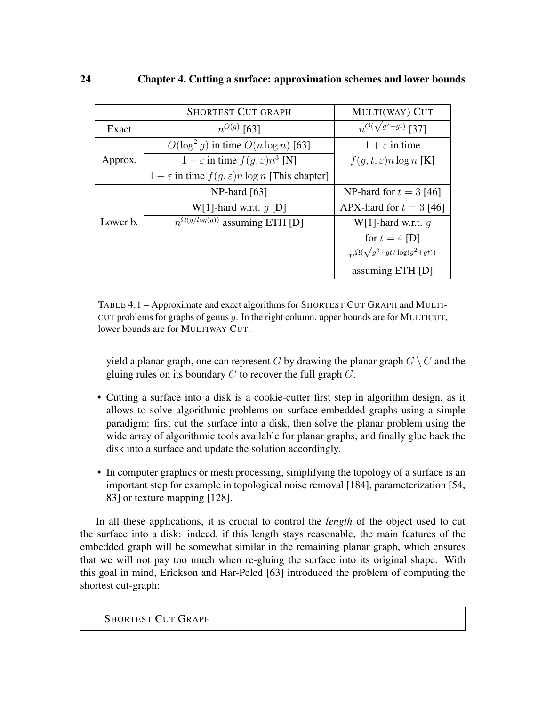<span id="page-35-1"></span><span id="page-35-0"></span>

|          | <b>SHORTEST CUT GRAPH</b>                                            | MULTI(WAY) CUT                           |
|----------|----------------------------------------------------------------------|------------------------------------------|
| Exact    | $n^{O(g)}$ [63]                                                      | $n^{O(\sqrt{g^2+gt})}$ [37]              |
|          | $O(\log^2 g)$ in time $O(n \log n)$ [63]                             | $1 + \varepsilon$ in time                |
| Approx.  | $1 + \varepsilon$ in time $f(g, \varepsilon)n^3$ [N]                 | $f(g, t, \varepsilon)n \log n$ [K]       |
|          | $1 + \varepsilon$ in time $f(g, \varepsilon)$ n log n [This chapter] |                                          |
|          | $NP$ -hard [63]                                                      | NP-hard for $t = 3$ [46]                 |
|          | W[1]-hard w.r.t. $q$ [D]                                             | APX-hard for $t = 3$ [46]                |
| Lower b. | $n^{\Omega(g/log(g))}$ assuming ETH [D]                              | W[1]-hard w.r.t. $q$                     |
|          |                                                                      | for $t = 4$ [D]                          |
|          |                                                                      | $n^{\Omega(\sqrt{g^2+gt/\log(g^2+gt))}}$ |
|          |                                                                      | assuming ETH [D]                         |

TABLE 4.1 – Approximate and exact algorithms for SHORTEST CUT GRAPH and MULTI-CUT problems for graphs of genus  $g$ . In the right column, upper bounds are for MULTICUT, lower bounds are for MULTIWAY CUT.

yield a planar graph, one can represent G by drawing the planar graph  $G \setminus C$  and the gluing rules on its boundary  $C$  to recover the full graph  $G$ .

- Cutting a surface into a disk is a cookie-cutter first step in algorithm design, as it allows to solve algorithmic problems on surface-embedded graphs using a simple paradigm: first cut the surface into a disk, then solve the planar problem using the wide array of algorithmic tools available for planar graphs, and finally glue back the disk into a surface and update the solution accordingly.
- In computer graphics or mesh processing, simplifying the topology of a surface is an important step for example in topological noise removal [\[184\]](#page-120-3), parameterization [\[54,](#page-110-2) [83\]](#page-113-1) or texture mapping [\[128\]](#page-116-1).

In all these applications, it is crucial to control the *length* of the object used to cut the surface into a disk: indeed, if this length stays reasonable, the main features of the embedded graph will be somewhat similar in the remaining planar graph, which ensures that we will not pay too much when re-gluing the surface into its original shape. With this goal in mind, Erickson and Har-Peled [\[63\]](#page-111-0) introduced the problem of computing the shortest cut-graph: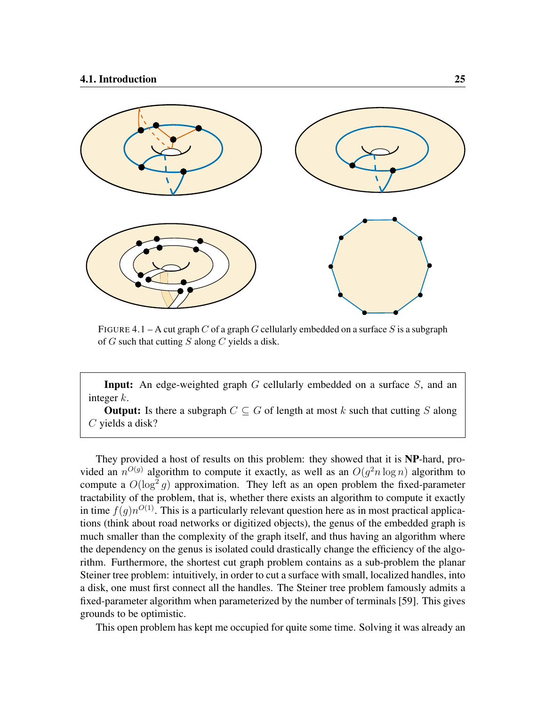

FIGURE 4.1 – A cut graph C of a graph G cellularly embedded on a surface S is a subgraph of  $G$  such that cutting  $S$  along  $C$  yields a disk.

**Input:** An edge-weighted graph  $G$  cellularly embedded on a surface  $S$ , and an integer  $k$ .

**Output:** Is there a subgraph  $C \subseteq G$  of length at most k such that cutting S along C yields a disk?

They provided a host of results on this problem: they showed that it is NP-hard, provided an  $n^{O(g)}$  algorithm to compute it exactly, as well as an  $O(g^2 n \log n)$  algorithm to compute a  $O(\log^2 g)$  approximation. They left as an open problem the fixed-parameter tractability of the problem, that is, whether there exists an algorithm to compute it exactly in time  $f(g)n^{O(1)}$ . This is a particularly relevant question here as in most practical applications (think about road networks or digitized objects), the genus of the embedded graph is much smaller than the complexity of the graph itself, and thus having an algorithm where the dependency on the genus is isolated could drastically change the efficiency of the algorithm. Furthermore, the shortest cut graph problem contains as a sub-problem the planar Steiner tree problem: intuitively, in order to cut a surface with small, localized handles, into a disk, one must first connect all the handles. The Steiner tree problem famously admits a fixed-parameter algorithm when parameterized by the number of terminals [\[59\]](#page-111-0). This gives grounds to be optimistic.

This open problem has kept me occupied for quite some time. Solving it was already an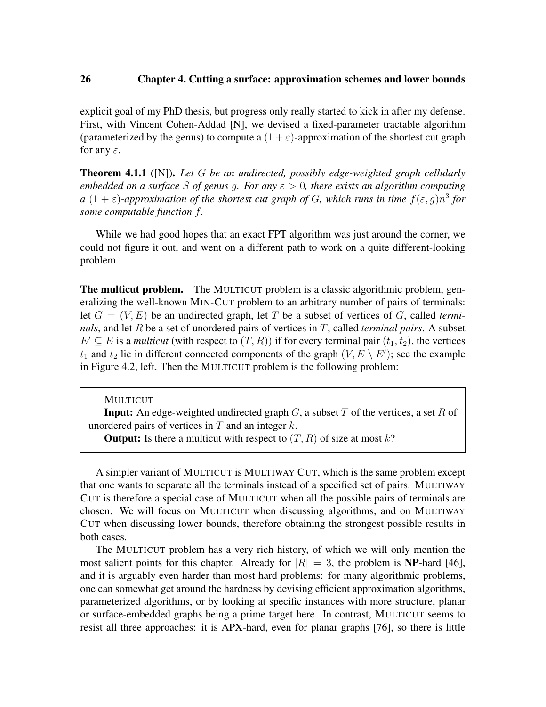explicit goal of my PhD thesis, but progress only really started to kick in after my defense. First, with Vincent Cohen-Addad [\[N\]](#page-10-0), we devised a fixed-parameter tractable algorithm (parameterized by the genus) to compute a  $(1 + \varepsilon)$ -approximation of the shortest cut graph for any  $\varepsilon$ .

<span id="page-37-0"></span>Theorem 4.1.1 ([\[N\]](#page-10-0)). *Let* G *be an undirected, possibly edge-weighted graph cellularly embedded on a surface* S *of genus* g*. For any* ε > 0*, there exists an algorithm computing*  $a(1+\varepsilon)$ -approximation of the shortest cut graph of G, which runs in time  $f(\varepsilon, g)n^3$  for *some computable function* f*.*

While we had good hopes that an exact FPT algorithm was just around the corner, we could not figure it out, and went on a different path to work on a quite different-looking problem.

The multicut problem. The MULTICUT problem is a classic algorithmic problem, generalizing the well-known MIN-CUT problem to an arbitrary number of pairs of terminals: let  $G = (V, E)$  be an undirected graph, let T be a subset of vertices of G, called *terminals*, and let R be a set of unordered pairs of vertices in T, called *terminal pairs*. A subset  $E' \subseteq E$  is a *multicut* (with respect to  $(T, R)$ ) if for every terminal pair  $(t_1, t_2)$ , the vertices  $t_1$  and  $t_2$  lie in different connected components of the graph  $(V, E \setminus E')$ ; see the example in Figure [4.2,](#page-38-0) left. Then the MULTICUT problem is the following problem:

MULTICUT

**Input:** An edge-weighted undirected graph  $G$ , a subset  $T$  of the vertices, a set  $R$  of unordered pairs of vertices in  $T$  and an integer  $k$ .

A simpler variant of MULTICUT is MULTIWAY CUT, which is the same problem except that one wants to separate all the terminals instead of a specified set of pairs. MULTIWAY CUT is therefore a special case of MULTICUT when all the possible pairs of terminals are chosen. We will focus on MULTICUT when discussing algorithms, and on MULTIWAY CUT when discussing lower bounds, therefore obtaining the strongest possible results in both cases.

The MULTICUT problem has a very rich history, of which we will only mention the most salient points for this chapter. Already for  $|R| = 3$ , the problem is **NP**-hard [\[46\]](#page-110-0), and it is arguably even harder than most hard problems: for many algorithmic problems, one can somewhat get around the hardness by devising efficient approximation algorithms, parameterized algorithms, or by looking at specific instances with more structure, planar or surface-embedded graphs being a prime target here. In contrast, MULTICUT seems to resist all three approaches: it is APX-hard, even for planar graphs [\[76\]](#page-112-0), so there is little

**Output:** Is there a multicut with respect to  $(T, R)$  of size at most k?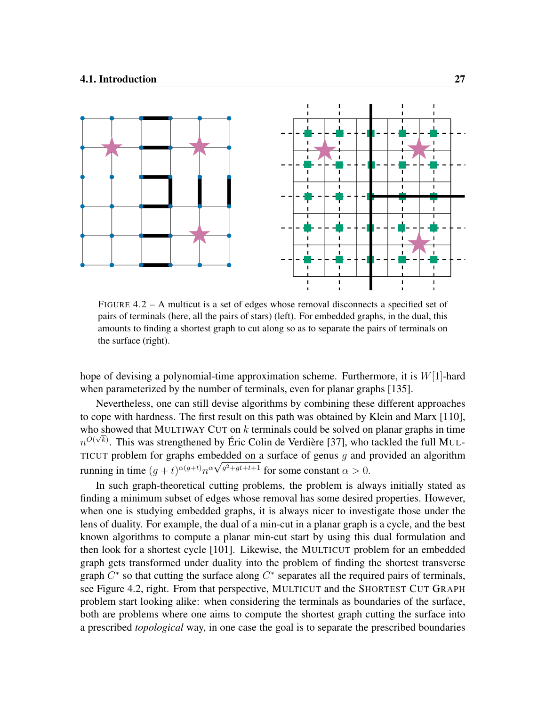<span id="page-38-0"></span>

FIGURE  $4.2 - A$  multicut is a set of edges whose removal disconnects a specified set of pairs of terminals (here, all the pairs of stars) (left). For embedded graphs, in the dual, this amounts to finding a shortest graph to cut along so as to separate the pairs of terminals on the surface (right).

hope of devising a polynomial-time approximation scheme. Furthermore, it is  $W[1]$ -hard when parameterized by the number of terminals, even for planar graphs [\[135\]](#page-116-0).

Nevertheless, one can still devise algorithms by combining these different approaches to cope with hardness. The first result on this path was obtained by Klein and Marx [\[110\]](#page-115-0), who showed that MULTIWAY CUT on  $k$  terminals could be solved on planar graphs in time  $n^{O(\sqrt{k})}$ . This was strengthened by Éric Colin de Verdière [\[37\]](#page-109-0), who tackled the full MUL-TICUT problem for graphs embedded on a surface of genus g and provided an algorithm running in time  $(g + t)^{\alpha(g+t)} n^{\alpha \sqrt{g^2+g t+t+1}}$  for some constant  $\alpha > 0$ .

In such graph-theoretical cutting problems, the problem is always initially stated as finding a minimum subset of edges whose removal has some desired properties. However, when one is studying embedded graphs, it is always nicer to investigate those under the lens of duality. For example, the dual of a min-cut in a planar graph is a cycle, and the best known algorithms to compute a planar min-cut start by using this dual formulation and then look for a shortest cycle [\[101\]](#page-114-0). Likewise, the MULTICUT problem for an embedded graph gets transformed under duality into the problem of finding the shortest transverse graph  $C^*$  so that cutting the surface along  $C^*$  separates all the required pairs of terminals, see Figure [4.2,](#page-38-0) right. From that perspective, MULTICUT and the SHORTEST CUT GRAPH problem start looking alike: when considering the terminals as boundaries of the surface, both are problems where one aims to compute the shortest graph cutting the surface into a prescribed *topological* way, in one case the goal is to separate the prescribed boundaries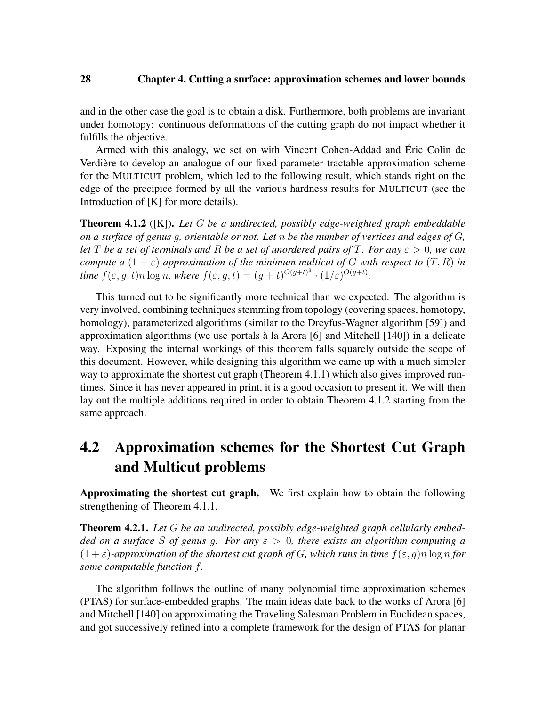and in the other case the goal is to obtain a disk. Furthermore, both problems are invariant under homotopy: continuous deformations of the cutting graph do not impact whether it fulfills the objective.

Armed with this analogy, we set on with Vincent Cohen-Addad and Éric Colin de Verdière to develop an analogue of our fixed parameter tractable approximation scheme for the MULTICUT problem, which led to the following result, which stands right on the edge of the precipice formed by all the various hardness results for MULTICUT (see the Introduction of [\[K\]](#page-9-0) for more details).

<span id="page-39-0"></span>Theorem 4.1.2 ([\[K\]](#page-9-0)). *Let* G *be a undirected, possibly edge-weighted graph embeddable on a surface of genus* g*, orientable or not. Let* n *be the number of vertices and edges of* G*, let* T *be a set of terminals and* R *be a set of unordered pairs of* T*. For any* ε > 0*, we can compute a*  $(1 + \varepsilon)$ -approximation of the minimum multicut of G with respect to  $(T, R)$  in *time*  $f(\varepsilon, g, t)$ *n*  $\log n$ *, where*  $f(\varepsilon, g, t) = (g + t)^{O(g + t)^3} \cdot (1/\varepsilon)^{O(g + t)}$ *.* 

This turned out to be significantly more technical than we expected. The algorithm is very involved, combining techniques stemming from topology (covering spaces, homotopy, homology), parameterized algorithms (similar to the Dreyfus-Wagner algorithm [\[59\]](#page-111-0)) and approximation algorithms (we use portals à la Arora [\[6\]](#page-106-0) and Mitchell [\[140\]](#page-117-0)) in a delicate way. Exposing the internal workings of this theorem falls squarely outside the scope of this document. However, while designing this algorithm we came up with a much simpler way to approximate the shortest cut graph (Theorem [4.1.1\)](#page-37-0) which also gives improved runtimes. Since it has never appeared in print, it is a good occasion to present it. We will then lay out the multiple additions required in order to obtain Theorem [4.1.2](#page-39-0) starting from the same approach.

## 4.2 Approximation schemes for the Shortest Cut Graph and Multicut problems

Approximating the shortest cut graph. We first explain how to obtain the following strengthening of Theorem [4.1.1.](#page-37-0)

<span id="page-39-1"></span>Theorem 4.2.1. *Let* G *be an undirected, possibly edge-weighted graph cellularly embedded on a surface* S *of genus* g*. For any* ε > 0*, there exists an algorithm computing a*  $(1 + \varepsilon)$ -approximation of the shortest cut graph of G, which runs in time  $f(\varepsilon, q)$  n  $\log n$  for *some computable function* f*.*

The algorithm follows the outline of many polynomial time approximation schemes (PTAS) for surface-embedded graphs. The main ideas date back to the works of Arora [\[6\]](#page-106-0) and Mitchell [\[140\]](#page-117-0) on approximating the Traveling Salesman Problem in Euclidean spaces, and got successively refined into a complete framework for the design of PTAS for planar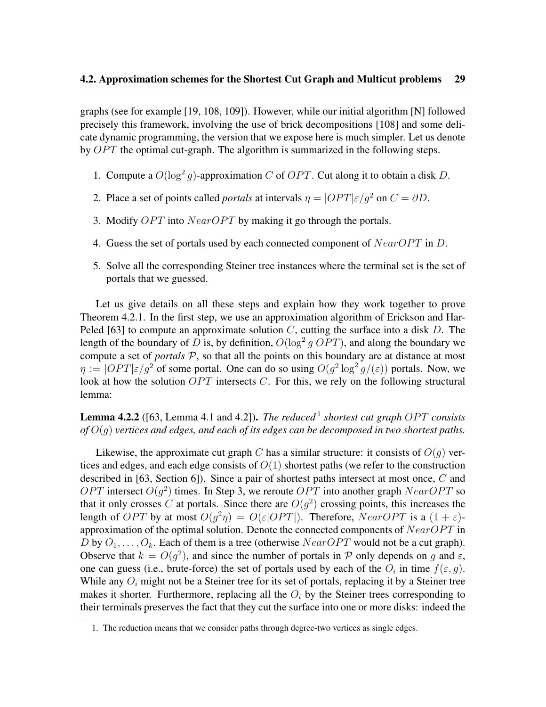graphs (see for example [\[19,](#page-107-0) [108,](#page-114-1) [109\]](#page-114-2)). However, while our initial algorithm [\[N\]](#page-10-0) followed precisely this framework, involving the use of brick decompositions [\[108\]](#page-114-1) and some delicate dynamic programming, the version that we expose here is much simpler. Let us denote by  $OPT$  the optimal cut-graph. The algorithm is summarized in the following steps.

- 1. Compute a  $O(\log^2 g)$ -approximation C of OPT. Cut along it to obtain a disk D.
- 2. Place a set of points called *portals* at intervals  $\eta = |OPT|\varepsilon/q^2$  on  $C = \partial D$ .
- 3. Modify  $OPT$  into  $NearOPT$  by making it go through the portals.
- 4. Guess the set of portals used by each connected component of  $NearOPT$  in  $D$ .
- 5. Solve all the corresponding Steiner tree instances where the terminal set is the set of portals that we guessed.

Let us give details on all these steps and explain how they work together to prove Theorem [4.2.1.](#page-39-1) In the first step, we use an approximation algorithm of Erickson and Har-Peled [\[63\]](#page-111-1) to compute an approximate solution  $C$ , cutting the surface into a disk  $D$ . The length of the boundary of D is, by definition,  $O(\log^2 g OPT)$ , and along the boundary we compute a set of *portals*  $P$ , so that all the points on this boundary are at distance at most  $\eta := |OPT|\varepsilon/g^2$  of some portal. One can do so using  $O(g^2 \log^2 g/(\varepsilon))$  portals. Now, we look at how the solution  $OPT$  intersects  $C$ . For this, we rely on the following structural lemma:

#### **Lemma 4.2.2** ([\[63,](#page-111-1) Lemma 4.[1](#page-40-0) and 4.2]). *The reduced* <sup>1</sup> shortest cut graph OPT consists *of* O(g) *vertices and edges, and each of its edges can be decomposed in two shortest paths.*

Likewise, the approximate cut graph C has a similar structure: it consists of  $O(q)$  vertices and edges, and each edge consists of  $O(1)$  shortest paths (we refer to the construction described in [\[63,](#page-111-1) Section 6]). Since a pair of shortest paths intersect at most once, C and OPT intersect  $O(g^2)$  times. In Step 3, we reroute OPT into another graph  $NearOPT$  so that it only crosses C at portals. Since there are  $O(g^2)$  crossing points, this increases the length of OPT by at most  $O(g^2 \eta) = O(\varepsilon |OPT|)$ . Therefore,  $NearOPT$  is a  $(1 + \varepsilon)$ approximation of the optimal solution. Denote the connected components of  $NearOPT$  in D by  $O_1, \ldots, O_k$ . Each of them is a tree (otherwise  $NearOPT$  would not be a cut graph). Observe that  $k = O(g^2)$ , and since the number of portals in P only depends on g and  $\varepsilon$ , one can guess (i.e., brute-force) the set of portals used by each of the  $O_i$  in time  $f(\varepsilon, g)$ . While any  $O_i$  might not be a Steiner tree for its set of portals, replacing it by a Steiner tree makes it shorter. Furthermore, replacing all the  $O_i$  by the Steiner trees corresponding to their terminals preserves the fact that they cut the surface into one or more disks: indeed the

<span id="page-40-0"></span><sup>1.</sup> The reduction means that we consider paths through degree-two vertices as single edges.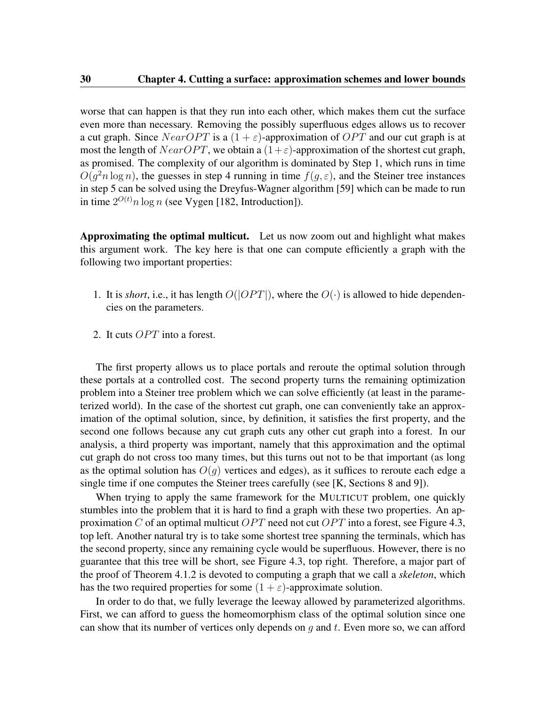worse that can happen is that they run into each other, which makes them cut the surface even more than necessary. Removing the possibly superfluous edges allows us to recover a cut graph. Since  $NearOPT$  is a  $(1 + \varepsilon)$ -approximation of  $OPT$  and our cut graph is at most the length of  $NearOPT$ , we obtain a  $(1+\varepsilon)$ -approximation of the shortest cut graph, as promised. The complexity of our algorithm is dominated by Step 1, which runs in time  $O(g^2 n \log n)$ , the guesses in step 4 running in time  $f(g, \varepsilon)$ , and the Steiner tree instances in step 5 can be solved using the Dreyfus-Wagner algorithm [\[59\]](#page-111-0) which can be made to run in time  $2^{O(t)}n \log n$  (see Vygen [\[182,](#page-120-0) Introduction]).

Approximating the optimal multicut. Let us now zoom out and highlight what makes this argument work. The key here is that one can compute efficiently a graph with the following two important properties:

- 1. It is *short*, i.e., it has length  $O(|OPT|)$ , where the  $O(\cdot)$  is allowed to hide dependencies on the parameters.
- 2. It cuts  $OPT$  into a forest.

The first property allows us to place portals and reroute the optimal solution through these portals at a controlled cost. The second property turns the remaining optimization problem into a Steiner tree problem which we can solve efficiently (at least in the parameterized world). In the case of the shortest cut graph, one can conveniently take an approximation of the optimal solution, since, by definition, it satisfies the first property, and the second one follows because any cut graph cuts any other cut graph into a forest. In our analysis, a third property was important, namely that this approximation and the optimal cut graph do not cross too many times, but this turns out not to be that important (as long as the optimal solution has  $O(g)$  vertices and edges), as it suffices to reroute each edge a single time if one computes the Steiner trees carefully (see [\[K,](#page-9-0) Sections 8 and 9]).

When trying to apply the same framework for the MULTICUT problem, one quickly stumbles into the problem that it is hard to find a graph with these two properties. An ap-proximation C of an optimal multicut OPT need not cut OPT into a forest, see Figure [4.3,](#page-42-0) top left. Another natural try is to take some shortest tree spanning the terminals, which has the second property, since any remaining cycle would be superfluous. However, there is no guarantee that this tree will be short, see Figure [4.3,](#page-42-0) top right. Therefore, a major part of the proof of Theorem [4.1.2](#page-39-0) is devoted to computing a graph that we call a *skeleton*, which has the two required properties for some  $(1 + \varepsilon)$ -approximate solution.

In order to do that, we fully leverage the leeway allowed by parameterized algorithms. First, we can afford to guess the homeomorphism class of the optimal solution since one can show that its number of vertices only depends on  $q$  and  $t$ . Even more so, we can afford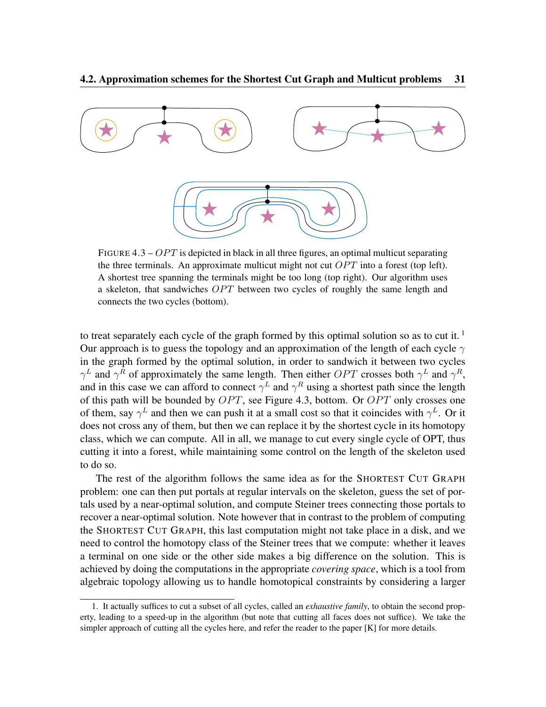<span id="page-42-0"></span>

FIGURE 4.3 –  $OPT$  is depicted in black in all three figures, an optimal multicut separating the three terminals. An approximate multicut might not cut  $OPT$  into a forest (top left). A shortest tree spanning the terminals might be too long (top right). Our algorithm uses a skeleton, that sandwiches  $OPT$  between two cycles of roughly the same length and connects the two cycles (bottom).

to treat separately each cycle of the graph formed by this optimal solution so as to cut it.<sup>[1](#page-42-1)</sup> Our approach is to guess the topology and an approximation of the length of each cycle  $\gamma$ in the graph formed by the optimal solution, in order to sandwich it between two cycles  $\gamma^L$  and  $\gamma^R$  of approximately the same length. Then either  $OPT$  crosses both  $\gamma^L$  and  $\gamma^R$ , and in this case we can afford to connect  $\gamma^L$  and  $\gamma^R$  using a shortest path since the length of this path will be bounded by  $OPT$ , see Figure [4.3,](#page-42-0) bottom. Or  $OPT$  only crosses one of them, say  $\gamma^L$  and then we can push it at a small cost so that it coincides with  $\gamma^L$ . Or it does not cross any of them, but then we can replace it by the shortest cycle in its homotopy class, which we can compute. All in all, we manage to cut every single cycle of OPT, thus cutting it into a forest, while maintaining some control on the length of the skeleton used to do so.

The rest of the algorithm follows the same idea as for the SHORTEST CUT GRAPH problem: one can then put portals at regular intervals on the skeleton, guess the set of portals used by a near-optimal solution, and compute Steiner trees connecting those portals to recover a near-optimal solution. Note however that in contrast to the problem of computing the SHORTEST CUT GRAPH, this last computation might not take place in a disk, and we need to control the homotopy class of the Steiner trees that we compute: whether it leaves a terminal on one side or the other side makes a big difference on the solution. This is achieved by doing the computations in the appropriate *covering space*, which is a tool from algebraic topology allowing us to handle homotopical constraints by considering a larger

<span id="page-42-1"></span><sup>1.</sup> It actually suffices to cut a subset of all cycles, called an *exhaustive family*, to obtain the second property, leading to a speed-up in the algorithm (but note that cutting all faces does not suffice). We take the simpler approach of cutting all the cycles here, and refer the reader to the paper [\[K\]](#page-9-0) for more details.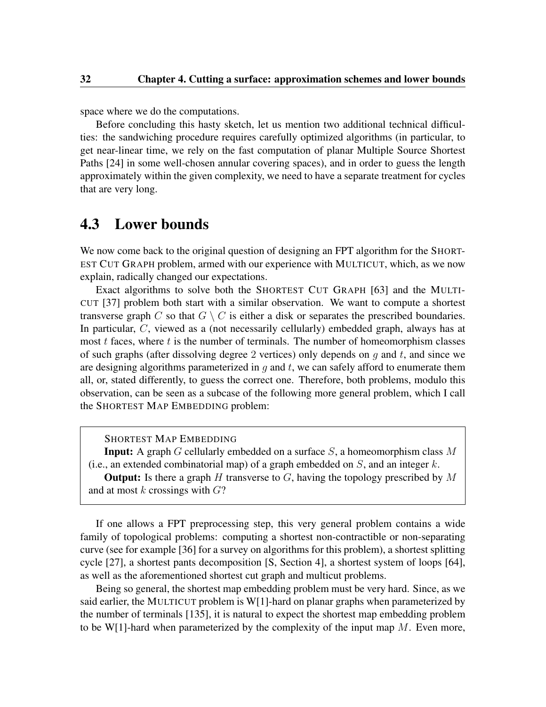space where we do the computations.

Before concluding this hasty sketch, let us mention two additional technical difficulties: the sandwiching procedure requires carefully optimized algorithms (in particular, to get near-linear time, we rely on the fast computation of planar Multiple Source Shortest Paths [\[24\]](#page-108-0) in some well-chosen annular covering spaces), and in order to guess the length approximately within the given complexity, we need to have a separate treatment for cycles that are very long.

## 4.3 Lower bounds

We now come back to the original question of designing an FPT algorithm for the SHORT-EST CUT GRAPH problem, armed with our experience with MULTICUT, which, as we now explain, radically changed our expectations.

Exact algorithms to solve both the SHORTEST CUT GRAPH [\[63\]](#page-111-1) and the MULTI-CUT [\[37\]](#page-109-0) problem both start with a similar observation. We want to compute a shortest transverse graph C so that  $G \setminus C$  is either a disk or separates the prescribed boundaries. In particular, C, viewed as a (not necessarily cellularly) embedded graph, always has at most  $t$  faces, where  $t$  is the number of terminals. The number of homeomorphism classes of such graphs (after dissolving degree 2 vertices) only depends on q and t, and since we are designing algorithms parameterized in  $g$  and  $t$ , we can safely afford to enumerate them all, or, stated differently, to guess the correct one. Therefore, both problems, modulo this observation, can be seen as a subcase of the following more general problem, which I call the SHORTEST MAP EMBEDDING problem:

SHORTEST MAP EMBEDDING

**Input:** A graph  $G$  cellularly embedded on a surface  $S$ , a homeomorphism class  $M$ (i.e., an extended combinatorial map) of a graph embedded on  $S$ , and an integer k.

**Output:** Is there a graph H transverse to  $G$ , having the topology prescribed by M and at most  $k$  crossings with  $G$ ?

If one allows a FPT preprocessing step, this very general problem contains a wide family of topological problems: computing a shortest non-contractible or non-separating curve (see for example [\[36\]](#page-109-1) for a survey on algorithms for this problem), a shortest splitting cycle [\[27\]](#page-108-1), a shortest pants decomposition [\[S,](#page-10-1) Section 4], a shortest system of loops [\[64\]](#page-111-2), as well as the aforementioned shortest cut graph and multicut problems.

Being so general, the shortest map embedding problem must be very hard. Since, as we said earlier, the MULTICUT problem is W[1]-hard on planar graphs when parameterized by the number of terminals [\[135\]](#page-116-0), it is natural to expect the shortest map embedding problem to be W[1]-hard when parameterized by the complexity of the input map  $M$ . Even more,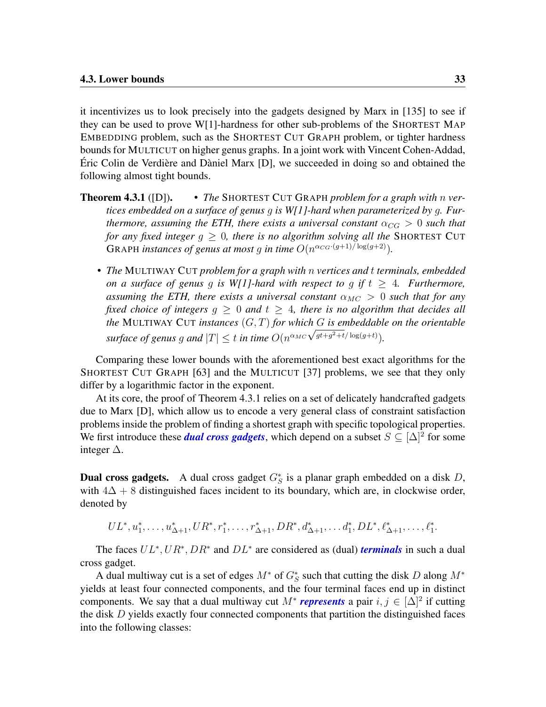it incentivizes us to look precisely into the gadgets designed by Marx in [\[135\]](#page-116-0) to see if they can be used to prove W[1]-hardness for other sub-problems of the SHORTEST MAP EMBEDDING problem, such as the SHORTEST CUT GRAPH problem, or tighter hardness bounds for MULTICUT on higher genus graphs. In a joint work with Vincent Cohen-Addad, Éric Colin de Verdière and Dàniel Marx [\[D\]](#page-8-0), we succeeded in doing so and obtained the following almost tight bounds.

- Theorem 4.3.1 ([\[D\]](#page-8-0)). *The* SHORTEST CUT GRAPH *problem for a graph with* n *vertices embedded on a surface of genus* g *is W[1]-hard when parameterized by* g*. Furthermore, assuming the ETH, there exists a universal constant*  $\alpha_{CG} > 0$  *such that for any fixed integer* g ≥ 0*, there is no algorithm solving all the* SHORTEST CUT GRAPH *instances of genus at most g in time*  $O(n^{\alpha_{CG} \cdot (g+1)/\log(g+2)})$ .
	- *The* MULTIWAY CUT *problem for a graph with* n *vertices and* t *terminals, embedded on a surface of genus g is W[1]-hard with respect to g if*  $t \geq 4$ *. Furthermore, assuming the ETH, there exists a universal constant*  $\alpha_{MC} > 0$  *such that for any fixed choice of integers*  $g \geq 0$  *and*  $t \geq 4$ *, there is no algorithm that decides all the* MULTIWAY CUT *instances* (G, T) *for which* G *is embeddable on the orientable surface of genus g and*  $|T| \leq t$  *in time*  $O(n^{\alpha_{MC}} \sqrt{gt+g^2+t}/\log(gt))$ *.*

Comparing these lower bounds with the aforementioned best exact algorithms for the SHORTEST CUT GRAPH [\[63\]](#page-111-1) and the MULTICUT [\[37\]](#page-109-0) problems, we see that they only differ by a logarithmic factor in the exponent.

At its core, the proof of Theorem [4.3.1](#page-0-0) relies on a set of delicately handcrafted gadgets due to Marx [\[D\]](#page-8-0), which allow us to encode a very general class of constraint satisfaction problems inside the problem of finding a shortest graph with specific topological properties. We first introduce these *dual cross gadgets*, which depend on a subset  $S \subseteq [\Delta]^2$  for some integer ∆.

**Dual cross gadgets.** A dual cross gadget  $G^*_{S}$  is a planar graph embedded on a disk D, with  $4\Delta + 8$  distinguished faces incident to its boundary, which are, in clockwise order, denoted by

$$
UL^*, u_1^*, \ldots, u_{\Delta+1}^*, UR^*, r_1^*, \ldots, r_{\Delta+1}^*, DR^*, d_{\Delta+1}^*, \ldots, d_1^*, DL^*, \ell_{\Delta+1}^*, \ldots, \ell_1^*.
$$

The faces  $UL^*, UR^*, DR^*$  and  $DL^*$  are considered as (dual) *terminals* in such a dual cross gadget.

A dual multiway cut is a set of edges  $M^*$  of  $G^*_S$  such that cutting the disk D along  $M^*$ yields at least four connected components, and the four terminal faces end up in distinct components. We say that a dual multiway cut  $M^*$  *represents* a pair  $i, j \in [\Delta]^2$  if cutting the disk  $D$  yields exactly four connected components that partition the distinguished faces into the following classes: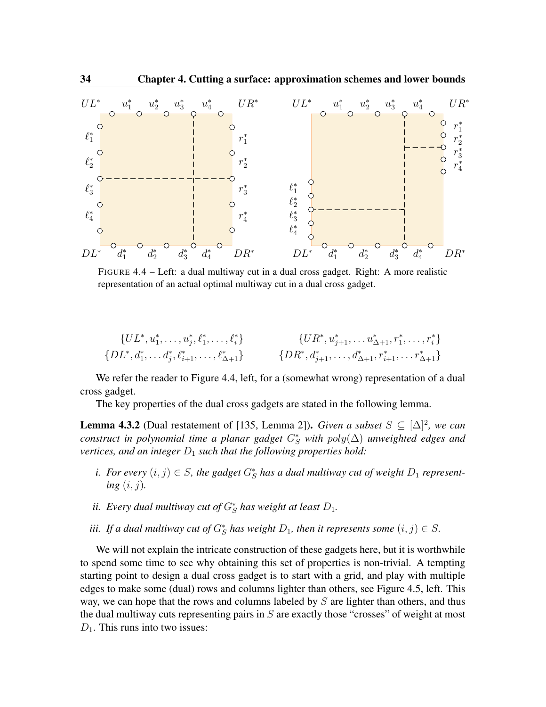<span id="page-45-0"></span>

FIGURE 4.4 – Left: a dual multiway cut in a dual cross gadget. Right: A more realistic representation of an actual optimal multiway cut in a dual cross gadget.

$$
\{UL^*, u_1^*, \ldots, u_j^*, \ell_1^*, \ldots, \ell_i^* \} \qquad \{UR^*, u_{j+1}^*, \ldots, u_{\Delta+1}^*, r_1^*, \ldots, r_i^* \} \{DL^*, d_1^*, \ldots, d_j^*, \ell_{i+1}^*, \ldots, \ell_{\Delta+1}^* \} \qquad \{DR^*, d_{j+1}^*, \ldots, d_{\Delta+1}^*, r_{i+1}^*, \ldots, r_{\Delta+1}^* \}
$$

We refer the reader to Figure [4.4,](#page-45-0) left, for a (somewhat wrong) representation of a dual cross gadget.

The key properties of the dual cross gadgets are stated in the following lemma.

<span id="page-45-1"></span>**Lemma 4.3.2** (Dual restatement of [\[135,](#page-116-0) Lemma 2]). *Given a subset*  $S \subseteq [\Delta]^2$ , we can *construct in polynomial time a planar gadget* G<sup>∗</sup> <sup>S</sup> *with* poly(∆) *unweighted edges and vertices, and an integer*  $D_1$  *such that the following properties hold:* 

- *i.* For every  $(i, j) \in S$ , the gadget  $G^*_{S}$  has a dual multiway cut of weight  $D_1$  represent*ing* (i, j)*.*
- *ii.* Every dual multiway cut of  $G_S^*$  has weight at least  $D_1$ .
- *iii.* If a dual multiway cut of  $G_S^*$  has weight  $D_1$ , then it represents some  $(i, j) \in S$ .

We will not explain the intricate construction of these gadgets here, but it is worthwhile to spend some time to see why obtaining this set of properties is non-trivial. A tempting starting point to design a dual cross gadget is to start with a grid, and play with multiple edges to make some (dual) rows and columns lighter than others, see Figure [4.5,](#page-46-0) left. This way, we can hope that the rows and columns labeled by  $S$  are lighter than others, and thus the dual multiway cuts representing pairs in  $S$  are exactly those "crosses" of weight at most  $D_1$ . This runs into two issues: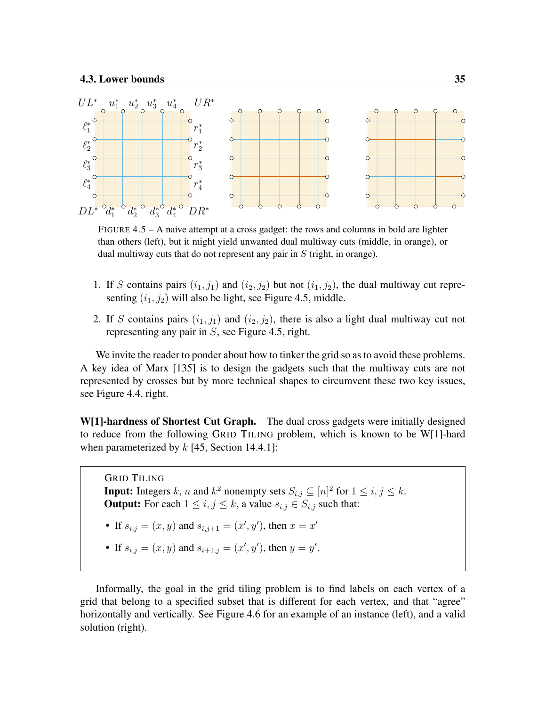<span id="page-46-0"></span>

FIGURE 4.5 – A naive attempt at a cross gadget: the rows and columns in bold are lighter than others (left), but it might yield unwanted dual multiway cuts (middle, in orange), or dual multiway cuts that do not represent any pair in  $S$  (right, in orange).

- 1. If S contains pairs  $(i_1, j_1)$  and  $(i_2, j_2)$  but not  $(i_1, j_2)$ , the dual multiway cut representing  $(i_1, j_2)$  will also be light, see Figure [4.5,](#page-46-0) middle.
- 2. If S contains pairs  $(i_1, j_1)$  and  $(i_2, j_2)$ , there is also a light dual multiway cut not representing any pair in S, see Figure [4.5,](#page-46-0) right.

We invite the reader to ponder about how to tinker the grid so as to avoid these problems. A key idea of Marx [\[135\]](#page-116-0) is to design the gadgets such that the multiway cuts are not represented by crosses but by more technical shapes to circumvent these two key issues, see Figure [4.4,](#page-45-0) right.

W[1]-hardness of Shortest Cut Graph. The dual cross gadgets were initially designed to reduce from the following GRID TILING problem, which is known to be W[1]-hard when parameterized by  $k$  [\[45,](#page-110-1) Section 14.4.1]:

GRID TILING **Input:** Integers k, n and  $k^2$  nonempty sets  $S_{i,j} \subseteq [n]^2$  for  $1 \le i, j \le k$ . **Output:** For each  $1 \leq i, j \leq k$ , a value  $s_{i,j} \in S_{i,j}$  such that:

- If  $s_{i,j} = (x, y)$  and  $s_{i,j+1} = (x', y')$ , then  $x = x'$
- If  $s_{i,j} = (x, y)$  and  $s_{i+1,j} = (x', y')$ , then  $y = y'$ .

Informally, the goal in the grid tiling problem is to find labels on each vertex of a grid that belong to a specified subset that is different for each vertex, and that "agree" horizontally and vertically. See Figure [4.6](#page-47-0) for an example of an instance (left), and a valid solution (right).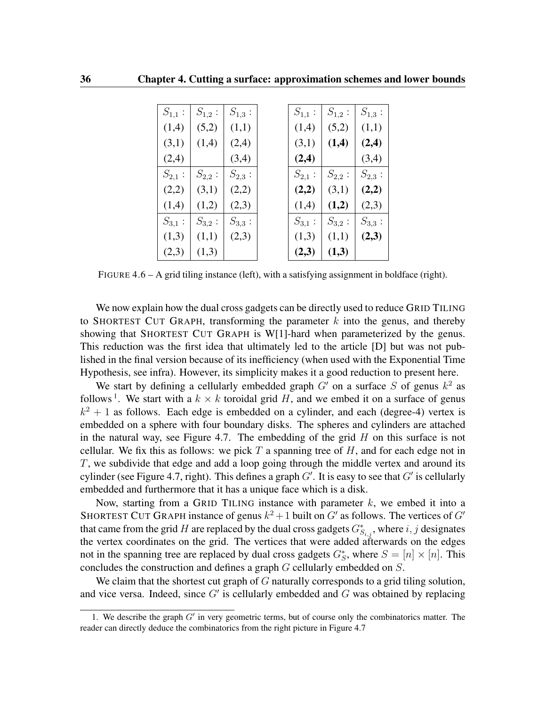<span id="page-47-0"></span>

| $S_{1,1}$ : | $S_{1,2}$ : | $S_{1,3}$ : | $S_{1,1}$ : | $S_{1,2}$ : | $S_{1,3}$ : |
|-------------|-------------|-------------|-------------|-------------|-------------|
| (1,4)       | (5,2)       | (1,1)       | (1,4)       | (5,2)       | (1,1)       |
| (3,1)       | (1,4)       | (2,4)       | (3,1)       | (1,4)       | (2,4)       |
| (2,4)       |             | (3,4)       | (2,4)       |             | (3,4)       |
| $S_{2,1}$ : | $S_{2,2}$ : | $S_{2,3}$ : | $S_{2,1}$ : | $S_{2,2}$ : | $S_{2,3}$ : |
| (2,2)       | (3,1)       | (2,2)       | (2,2)       | (3,1)       | (2,2)       |
| (1,4)       | (1,2)       | (2,3)       | (1,4)       | (1,2)       | (2,3)       |
| $S_{3,1}$ : | $S_{3,2}$ : | $S_{3,3}$ : | $S_{3,1}$ : | $S_{3,2}$ : | $S_{3,3}$ : |
| (1,3)       | (1,1)       | (2,3)       | (1,3)       | (1,1)       | (2,3)       |
| (2,3)       | (1,3)       |             | (2,3)       | (1,3)       |             |

FIGURE 4.6 – A grid tiling instance (left), with a satisfying assignment in boldface (right).

We now explain how the dual cross gadgets can be directly used to reduce GRID TILING to SHORTEST CUT GRAPH, transforming the parameter  $k$  into the genus, and thereby showing that SHORTEST CUT GRAPH is W[1]-hard when parameterized by the genus. This reduction was the first idea that ultimately led to the article [\[D\]](#page-8-0) but was not published in the final version because of its inefficiency (when used with the Exponential Time Hypothesis, see infra). However, its simplicity makes it a good reduction to present here.

We start by defining a cellularly embedded graph  $G'$  on a surface S of genus  $k^2$  as follows<sup>[1](#page-47-1)</sup>. We start with a  $k \times k$  toroidal grid H, and we embed it on a surface of genus  $k^2 + 1$  as follows. Each edge is embedded on a cylinder, and each (degree-4) vertex is embedded on a sphere with four boundary disks. The spheres and cylinders are attached in the natural way, see Figure [4.7.](#page-48-0) The embedding of the grid  $H$  on this surface is not cellular. We fix this as follows: we pick  $T$  a spanning tree of  $H$ , and for each edge not in T, we subdivide that edge and add a loop going through the middle vertex and around its cylinder (see Figure [4.7,](#page-48-0) right). This defines a graph  $G'$ . It is easy to see that  $G'$  is cellularly embedded and furthermore that it has a unique face which is a disk.

Now, starting from a GRID TILING instance with parameter  $k$ , we embed it into a SHORTEST CUT GRAPH instance of genus  $k^2 + 1$  built on  $G'$  as follows. The vertices of  $G'$ that came from the grid H are replaced by the dual cross gadgets  $G^*_{S_{i,j}}$ , where  $i, j$  designates the vertex coordinates on the grid. The vertices that were added afterwards on the edges not in the spanning tree are replaced by dual cross gadgets  $G_S^*$ , where  $S = [n] \times [n]$ . This concludes the construction and defines a graph G cellularly embedded on S.

We claim that the shortest cut graph of  $G$  naturally corresponds to a grid tiling solution, and vice versa. Indeed, since  $G'$  is cellularly embedded and  $G$  was obtained by replacing

<span id="page-47-1"></span><sup>1.</sup> We describe the graph  $G'$  in very geometric terms, but of course only the combinatorics matter. The reader can directly deduce the combinatorics from the right picture in Figure [4.7](#page-48-0)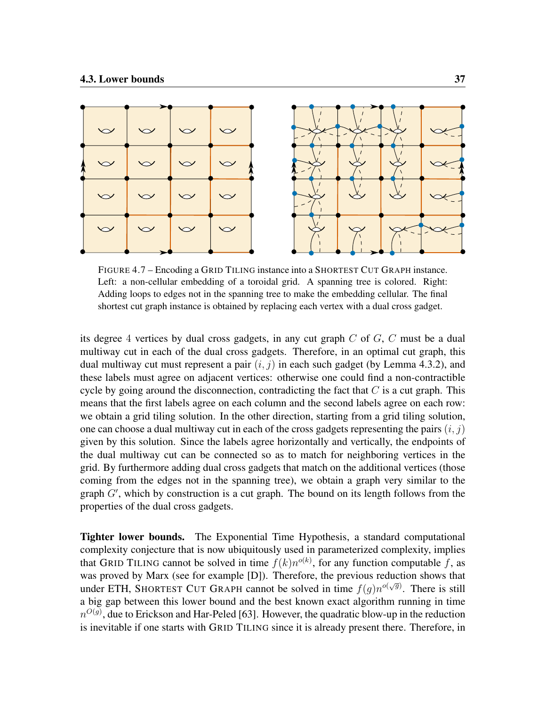<span id="page-48-0"></span>

FIGURE 4.7 – Encoding a GRID TILING instance into a SHORTEST CUT GRAPH instance. Left: a non-cellular embedding of a toroidal grid. A spanning tree is colored. Right: Adding loops to edges not in the spanning tree to make the embedding cellular. The final shortest cut graph instance is obtained by replacing each vertex with a dual cross gadget.

its degree 4 vertices by dual cross gadgets, in any cut graph  $C$  of  $G$ ,  $C$  must be a dual multiway cut in each of the dual cross gadgets. Therefore, in an optimal cut graph, this dual multiway cut must represent a pair  $(i, j)$  in each such gadget (by Lemma [4.3.2\)](#page-45-1), and these labels must agree on adjacent vertices: otherwise one could find a non-contractible cycle by going around the disconnection, contradicting the fact that  $C$  is a cut graph. This means that the first labels agree on each column and the second labels agree on each row: we obtain a grid tiling solution. In the other direction, starting from a grid tiling solution, one can choose a dual multiway cut in each of the cross gadgets representing the pairs  $(i, j)$ given by this solution. Since the labels agree horizontally and vertically, the endpoints of the dual multiway cut can be connected so as to match for neighboring vertices in the grid. By furthermore adding dual cross gadgets that match on the additional vertices (those coming from the edges not in the spanning tree), we obtain a graph very similar to the graph  $G'$ , which by construction is a cut graph. The bound on its length follows from the properties of the dual cross gadgets.

Tighter lower bounds. The Exponential Time Hypothesis, a standard computational complexity conjecture that is now ubiquitously used in parameterized complexity, implies that GRID TILING cannot be solved in time  $f(k)n^{o(k)}$ , for any function computable f, as was proved by Marx (see for example [\[D\]](#page-8-0)). Therefore, the previous reduction shows that under ETH, SHORTEST CUT GRAPH cannot be solved in time  $f(g)n^{o(\sqrt{g})}$ . There is still a big gap between this lower bound and the best known exact algorithm running in time  $n^{O(g)}$ , due to Erickson and Har-Peled [\[63\]](#page-111-1). However, the quadratic blow-up in the reduction is inevitable if one starts with GRID TILING since it is already present there. Therefore, in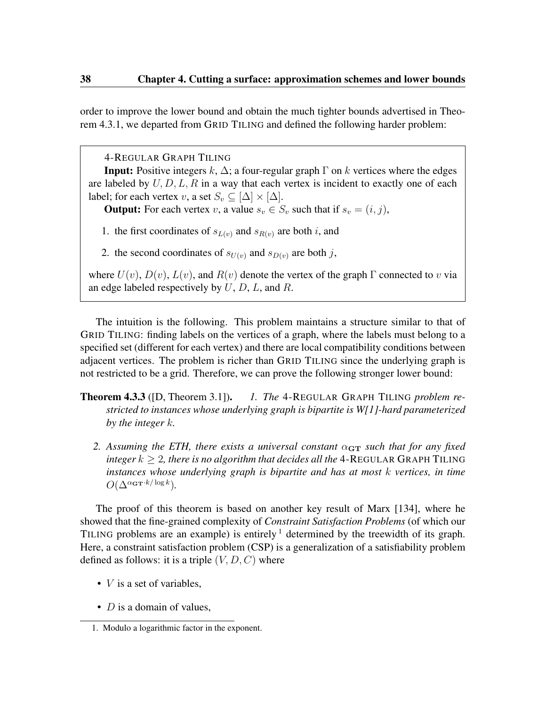order to improve the lower bound and obtain the much tighter bounds advertised in Theorem [4.3.1,](#page-0-0) we departed from GRID TILING and defined the following harder problem:

4-REGULAR GRAPH TILING

**Input:** Positive integers k,  $\Delta$ ; a four-regular graph  $\Gamma$  on k vertices where the edges are labeled by  $U, D, L, R$  in a way that each vertex is incident to exactly one of each label; for each vertex v, a set  $S_v \subseteq [\Delta] \times [\Delta]$ .

**Output:** For each vertex v, a value  $s_v \in S_v$  such that if  $s_v = (i, j)$ ,

1. the first coordinates of  $s_{L(v)}$  and  $s_{R(v)}$  are both i, and

2. the second coordinates of  $s_{U(v)}$  and  $s_{D(v)}$  are both j,

where  $U(v)$ ,  $D(v)$ ,  $L(v)$ , and  $R(v)$  denote the vertex of the graph  $\Gamma$  connected to v via an edge labeled respectively by  $U$ ,  $D$ ,  $L$ , and  $R$ .

The intuition is the following. This problem maintains a structure similar to that of GRID TILING: finding labels on the vertices of a graph, where the labels must belong to a specified set (different for each vertex) and there are local compatibility conditions between adjacent vertices. The problem is richer than GRID TILING since the underlying graph is not restricted to be a grid. Therefore, we can prove the following stronger lower bound:

- Theorem 4.3.3 ([\[D,](#page-8-0) Theorem 3.1]). *1. The* 4-REGULAR GRAPH TILING *problem restricted to instances whose underlying graph is bipartite is W[1]-hard parameterized by the integer* k*.*
	- 2. Assuming the ETH, there exists a universal constant  $\alpha_{\text{GT}}$  such that for any fixed *integer*  $k > 2$ , *there is no algorithm that decides all the* 4-REGULAR GRAPH TILING *instances whose underlying graph is bipartite and has at most* k *vertices, in time*  $O(\Delta^{\alpha_{\mathbf{GT}}\cdot k/\log k}).$

The proof of this theorem is based on another key result of Marx [\[134\]](#page-116-1), where he showed that the fine-grained complexity of *Constraint Satisfaction Problems* (of which our TILING problems are an example) is entirely  $\frac{1}{1}$  $\frac{1}{1}$  $\frac{1}{1}$  determined by the treewidth of its graph. Here, a constraint satisfaction problem (CSP) is a generalization of a satisfiability problem defined as follows: it is a triple  $(V, D, C)$  where

- $V$  is a set of variables,
- $D$  is a domain of values.

<span id="page-49-0"></span><sup>1.</sup> Modulo a logarithmic factor in the exponent.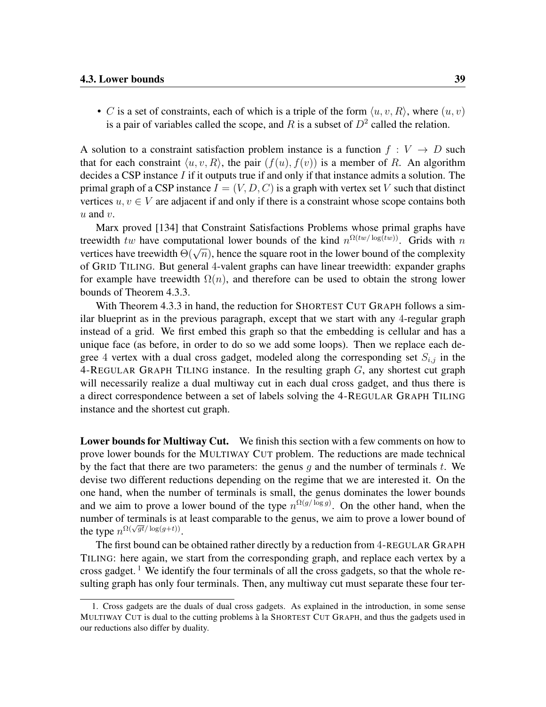• C is a set of constraints, each of which is a triple of the form  $\langle u, v, R \rangle$ , where  $(u, v)$ is a pair of variables called the scope, and R is a subset of  $D^2$  called the relation.

A solution to a constraint satisfaction problem instance is a function  $f: V \to D$  such that for each constraint  $\langle u, v, R \rangle$ , the pair  $(f(u), f(v))$  is a member of R. An algorithm decides a CSP instance  $I$  if it outputs true if and only if that instance admits a solution. The primal graph of a CSP instance  $I = (V, D, C)$  is a graph with vertex set V such that distinct vertices  $u, v \in V$  are adjacent if and only if there is a constraint whose scope contains both  $u$  and  $v$ .

Marx proved [\[134\]](#page-116-1) that Constraint Satisfactions Problems whose primal graphs have treewidth tw have computational lower bounds of the kind  $n^{\Omega(tw/\log(tw))}$ . Grids with n vertices have treewidth  $\Theta(\sqrt{n})$ , hence the square root in the lower bound of the complexity vertices of GRID TILING. But general 4-valent graphs can have linear treewidth: expander graphs for example have treewidth  $\Omega(n)$ , and therefore can be used to obtain the strong lower bounds of Theorem [4.3.3.](#page-0-0)

With Theorem [4.3.3](#page-0-0) in hand, the reduction for SHORTEST CUT GRAPH follows a similar blueprint as in the previous paragraph, except that we start with any 4-regular graph instead of a grid. We first embed this graph so that the embedding is cellular and has a unique face (as before, in order to do so we add some loops). Then we replace each degree 4 vertex with a dual cross gadget, modeled along the corresponding set  $S_{i,j}$  in the 4-REGULAR GRAPH TILING instance. In the resulting graph  $G$ , any shortest cut graph will necessarily realize a dual multiway cut in each dual cross gadget, and thus there is a direct correspondence between a set of labels solving the 4-REGULAR GRAPH TILING instance and the shortest cut graph.

Lower bounds for Multiway Cut. We finish this section with a few comments on how to prove lower bounds for the MULTIWAY CUT problem. The reductions are made technical by the fact that there are two parameters: the genus q and the number of terminals t. We devise two different reductions depending on the regime that we are interested it. On the one hand, when the number of terminals is small, the genus dominates the lower bounds and we aim to prove a lower bound of the type  $n^{\Omega(g/\log g)}$ . On the other hand, when the number of terminals is at least comparable to the genus, we aim to prove a lower bound of the type  $n^{\Omega(\sqrt{gt}/\log(g+t))}$ .

The first bound can be obtained rather directly by a reduction from 4-REGULAR GRAPH TILING: here again, we start from the corresponding graph, and replace each vertex by a cross gadget.<sup>[1](#page-50-0)</sup> We identify the four terminals of all the cross gadgets, so that the whole resulting graph has only four terminals. Then, any multiway cut must separate these four ter-

<span id="page-50-0"></span><sup>1.</sup> Cross gadgets are the duals of dual cross gadgets. As explained in the introduction, in some sense MULTIWAY CUT is dual to the cutting problems à la SHORTEST CUT GRAPH, and thus the gadgets used in our reductions also differ by duality.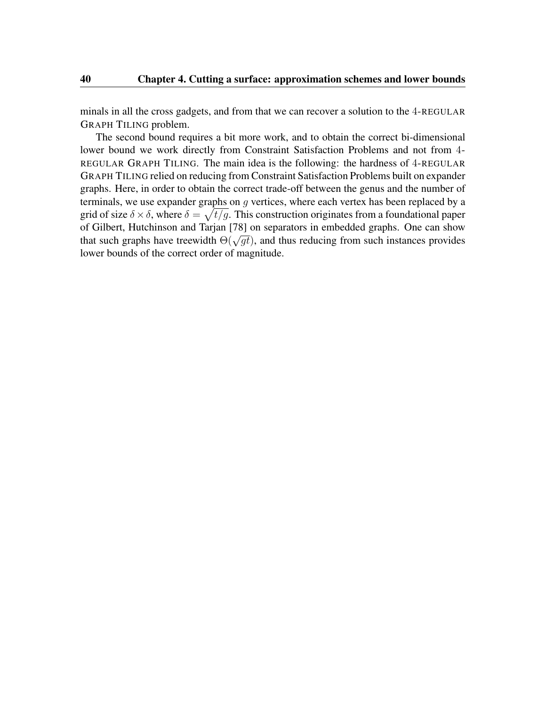minals in all the cross gadgets, and from that we can recover a solution to the 4-REGULAR GRAPH TILING problem.

The second bound requires a bit more work, and to obtain the correct bi-dimensional lower bound we work directly from Constraint Satisfaction Problems and not from 4- REGULAR GRAPH TILING. The main idea is the following: the hardness of 4-REGULAR GRAPH TILING relied on reducing from Constraint Satisfaction Problems built on expander graphs. Here, in order to obtain the correct trade-off between the genus and the number of terminals, we use expander graphs on  $g$  vertices, where each vertex has been replaced by a grid of size  $\delta \times \delta$ , where  $\delta = \sqrt{t/g}$ . This construction originates from a foundational paper of Gilbert, Hutchinson and Tarjan [\[78\]](#page-112-1) on separators in embedded graphs. One can show of Gifter, Fruitmison and Tarjan [78] on separators in embedded graphs. One can show<br>that such graphs have treewidth  $\Theta(\sqrt{gt})$ , and thus reducing from such instances provides lower bounds of the correct order of magnitude.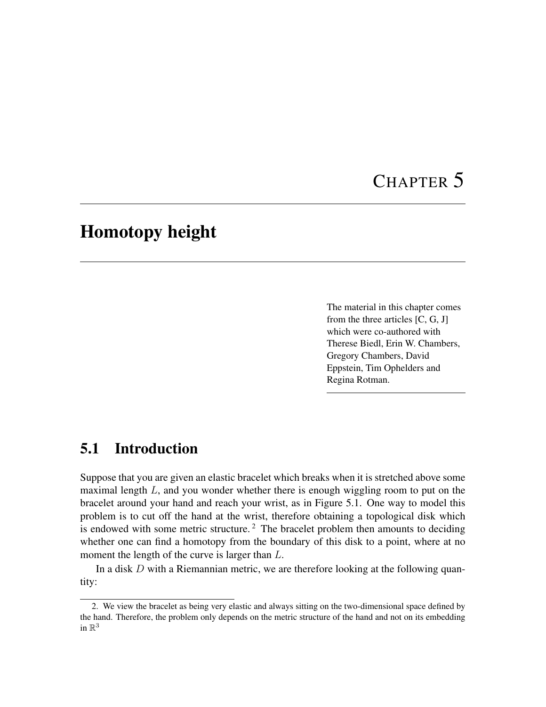# CHAPTER 5

## Homotopy height

The material in this chapter comes from the three articles [\[C,](#page-8-1) [G,](#page-9-1) [J\]](#page-9-2) which were co-authored with Therese Biedl, Erin W. Chambers, Gregory Chambers, David Eppstein, Tim Ophelders and Regina Rotman.

## 5.1 Introduction

Suppose that you are given an elastic bracelet which breaks when it is stretched above some maximal length  $L$ , and you wonder whether there is enough wiggling room to put on the bracelet around your hand and reach your wrist, as in Figure [5.1.](#page-53-0) One way to model this problem is to cut off the hand at the wrist, therefore obtaining a topological disk which is endowed with some metric structure.<sup>[2](#page-52-0)</sup> The bracelet problem then amounts to deciding whether one can find a homotopy from the boundary of this disk to a point, where at no moment the length of the curve is larger than  $L$ .

In a disk  $D$  with a Riemannian metric, we are therefore looking at the following quantity:

<span id="page-52-0"></span><sup>2.</sup> We view the bracelet as being very elastic and always sitting on the two-dimensional space defined by the hand. Therefore, the problem only depends on the metric structure of the hand and not on its embedding in  $\mathbb{R}^3$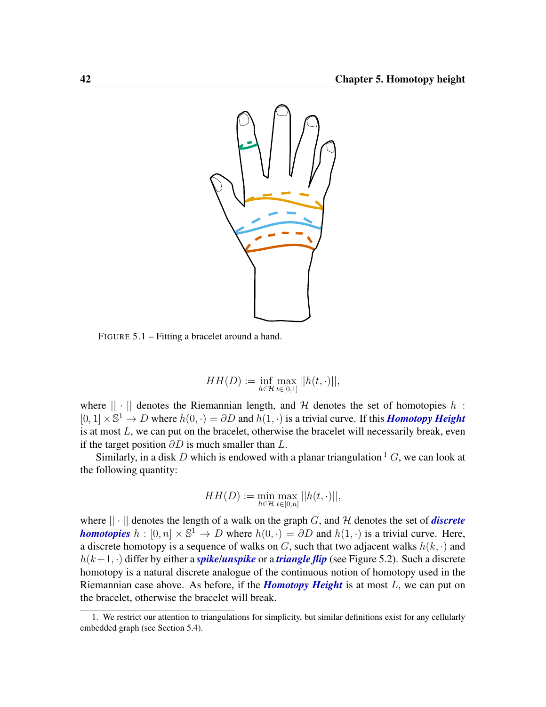<span id="page-53-0"></span>

FIGURE 5.1 – Fitting a bracelet around a hand.

$$
HH(D) := \inf_{h \in \mathcal{H}} \max_{t \in [0,1]} ||h(t, \cdot)||,
$$

where  $|| \cdot ||$  denotes the Riemannian length, and H denotes the set of homotopies h:  $[0, 1] \times \mathbb{S}^1 \to D$  where  $h(0, \cdot) = \partial D$  and  $h(1, \cdot)$  is a trivial curve. If this *Homotopy Height* is at most  $L$ , we can put on the bracelet, otherwise the bracelet will necessarily break, even if the target position  $\partial D$  is much smaller than  $L$ .

Similarly, in a disk D which is endowed with a planar triangulation  ${}^{1}G$  ${}^{1}G$  ${}^{1}G$ , we can look at the following quantity:

$$
HH(D) := \min_{h \in \mathcal{H}} \max_{t \in [0,n]} ||h(t,\cdot)||,
$$

where  $|| \cdot ||$  denotes the length of a walk on the graph G, and H denotes the set of *discrete homotopies*  $h : [0, n] \times \mathbb{S}^1 \to D$  where  $h(0, \cdot) = \partial D$  and  $h(1, \cdot)$  is a trivial curve. Here, a discrete homotopy is a sequence of walks on  $G$ , such that two adjacent walks  $h(k, \cdot)$  and  $h(k+1, \cdot)$  differ by either a *spike*/*unspike* or a *triangle flip* (see Figure [5.2\)](#page-54-0). Such a discrete homotopy is a natural discrete analogue of the continuous notion of homotopy used in the Riemannian case above. As before, if the *Homotopy Height* is at most L, we can put on the bracelet, otherwise the bracelet will break.

<span id="page-53-1"></span><sup>1.</sup> We restrict our attention to triangulations for simplicity, but similar definitions exist for any cellularly embedded graph (see Section [5.4\)](#page-63-0).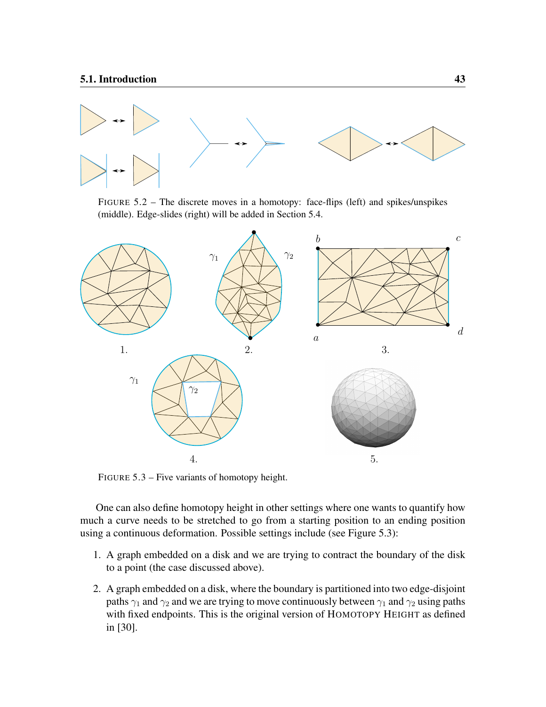<span id="page-54-0"></span>

FIGURE 5.2 – The discrete moves in a homotopy: face-flips (left) and spikes/unspikes (middle). Edge-slides (right) will be added in Section [5.4.](#page-63-0)

<span id="page-54-1"></span>

FIGURE 5.3 – Five variants of homotopy height.

One can also define homotopy height in other settings where one wants to quantify how much a curve needs to be stretched to go from a starting position to an ending position using a continuous deformation. Possible settings include (see Figure [5.3\)](#page-54-1):

- 1. A graph embedded on a disk and we are trying to contract the boundary of the disk to a point (the case discussed above).
- 2. A graph embedded on a disk, where the boundary is partitioned into two edge-disjoint paths  $\gamma_1$  and  $\gamma_2$  and we are trying to move continuously between  $\gamma_1$  and  $\gamma_2$  using paths with fixed endpoints. This is the original version of HOMOTOPY HEIGHT as defined in [\[30\]](#page-108-2).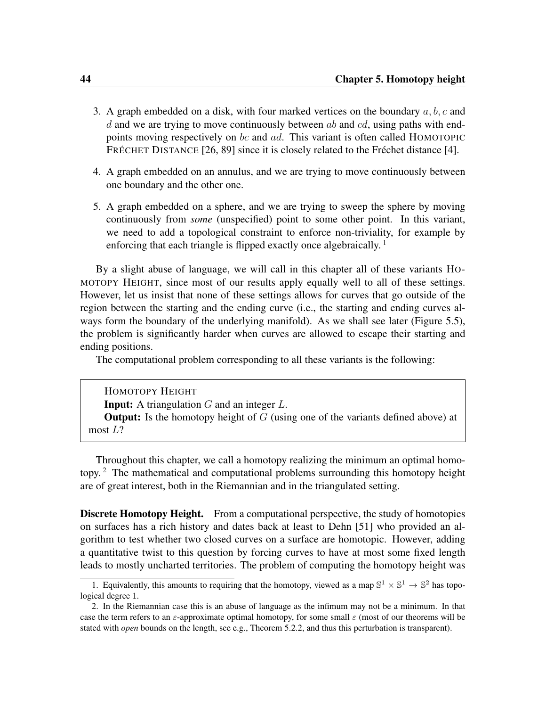- 3. A graph embedded on a disk, with four marked vertices on the boundary  $a, b, c$  and d and we are trying to move continuously between  $ab$  and  $cd$ , using paths with endpoints moving respectively on bc and ad. This variant is often called HOMOTOPIC FRÉCHET DISTANCE [\[26,](#page-108-3) [89\]](#page-113-0) since it is closely related to the Fréchet distance [\[4\]](#page-106-1).
- 4. A graph embedded on an annulus, and we are trying to move continuously between one boundary and the other one.
- 5. A graph embedded on a sphere, and we are trying to sweep the sphere by moving continuously from *some* (unspecified) point to some other point. In this variant, we need to add a topological constraint to enforce non-triviality, for example by enforcing that each triangle is flipped exactly once algebraically.  $\frac{1}{1}$  $\frac{1}{1}$  $\frac{1}{1}$

By a slight abuse of language, we will call in this chapter all of these variants HO-MOTOPY HEIGHT, since most of our results apply equally well to all of these settings. However, let us insist that none of these settings allows for curves that go outside of the region between the starting and the ending curve (i.e., the starting and ending curves always form the boundary of the underlying manifold). As we shall see later (Figure [5.5\)](#page-60-0), the problem is significantly harder when curves are allowed to escape their starting and ending positions.

The computational problem corresponding to all these variants is the following:

HOMOTOPY HEIGHT **Input:** A triangulation  $G$  and an integer  $L$ . **Output:** Is the homotopy height of  $G$  (using one of the variants defined above) at most L?

Throughout this chapter, we call a homotopy realizing the minimum an optimal homotopy. [2](#page-55-1) The mathematical and computational problems surrounding this homotopy height are of great interest, both in the Riemannian and in the triangulated setting.

**Discrete Homotopy Height.** From a computational perspective, the study of homotopies on surfaces has a rich history and dates back at least to Dehn [\[51\]](#page-110-2) who provided an algorithm to test whether two closed curves on a surface are homotopic. However, adding a quantitative twist to this question by forcing curves to have at most some fixed length leads to mostly uncharted territories. The problem of computing the homotopy height was

<span id="page-55-0"></span><sup>1.</sup> Equivalently, this amounts to requiring that the homotopy, viewed as a map  $\mathbb{S}^1 \times \mathbb{S}^1 \to \mathbb{S}^2$  has topological degree 1.

<span id="page-55-1"></span><sup>2.</sup> In the Riemannian case this is an abuse of language as the infimum may not be a minimum. In that case the term refers to an  $\varepsilon$ -approximate optimal homotopy, for some small  $\varepsilon$  (most of our theorems will be stated with *open* bounds on the length, see e.g., Theorem [5.2.2,](#page-59-0) and thus this perturbation is transparent).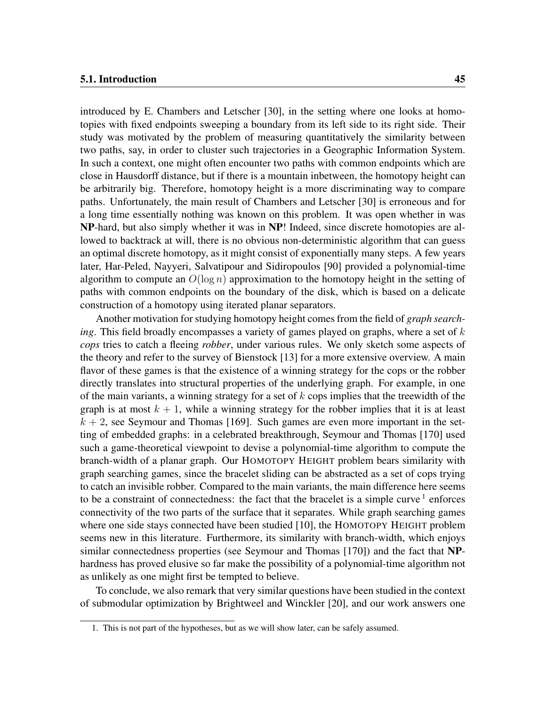introduced by E. Chambers and Letscher [\[30\]](#page-108-2), in the setting where one looks at homotopies with fixed endpoints sweeping a boundary from its left side to its right side. Their study was motivated by the problem of measuring quantitatively the similarity between two paths, say, in order to cluster such trajectories in a Geographic Information System. In such a context, one might often encounter two paths with common endpoints which are close in Hausdorff distance, but if there is a mountain inbetween, the homotopy height can be arbitrarily big. Therefore, homotopy height is a more discriminating way to compare paths. Unfortunately, the main result of Chambers and Letscher [\[30\]](#page-108-2) is erroneous and for a long time essentially nothing was known on this problem. It was open whether in was NP-hard, but also simply whether it was in NP! Indeed, since discrete homotopies are allowed to backtrack at will, there is no obvious non-deterministic algorithm that can guess an optimal discrete homotopy, as it might consist of exponentially many steps. A few years later, Har-Peled, Nayyeri, Salvatipour and Sidiropoulos [\[90\]](#page-113-1) provided a polynomial-time algorithm to compute an  $O(\log n)$  approximation to the homotopy height in the setting of paths with common endpoints on the boundary of the disk, which is based on a delicate construction of a homotopy using iterated planar separators.

Another motivation for studying homotopy height comes from the field of *graph searching*. This field broadly encompasses a variety of games played on graphs, where a set of k *cops* tries to catch a fleeing *robber*, under various rules. We only sketch some aspects of the theory and refer to the survey of Bienstock [\[13\]](#page-107-1) for a more extensive overview. A main flavor of these games is that the existence of a winning strategy for the cops or the robber directly translates into structural properties of the underlying graph. For example, in one of the main variants, a winning strategy for a set of  $k$  cops implies that the treewidth of the graph is at most  $k + 1$ , while a winning strategy for the robber implies that it is at least  $k + 2$ , see Seymour and Thomas [\[169\]](#page-119-0). Such games are even more important in the setting of embedded graphs: in a celebrated breakthrough, Seymour and Thomas [\[170\]](#page-119-1) used such a game-theoretical viewpoint to devise a polynomial-time algorithm to compute the branch-width of a planar graph. Our HOMOTOPY HEIGHT problem bears similarity with graph searching games, since the bracelet sliding can be abstracted as a set of cops trying to catch an invisible robber. Compared to the main variants, the main difference here seems to be a constraint of connectedness: the fact that the bracelet is a simple curve  $1$  enforces connectivity of the two parts of the surface that it separates. While graph searching games where one side stays connected have been studied [\[10\]](#page-107-2), the HOMOTOPY HEIGHT problem seems new in this literature. Furthermore, its similarity with branch-width, which enjoys similar connectedness properties (see Seymour and Thomas [\[170\]](#page-119-1)) and the fact that NPhardness has proved elusive so far make the possibility of a polynomial-time algorithm not as unlikely as one might first be tempted to believe.

To conclude, we also remark that very similar questions have been studied in the context of submodular optimization by Brightweel and Winckler [\[20\]](#page-107-3), and our work answers one

<span id="page-56-0"></span><sup>1.</sup> This is not part of the hypotheses, but as we will show later, can be safely assumed.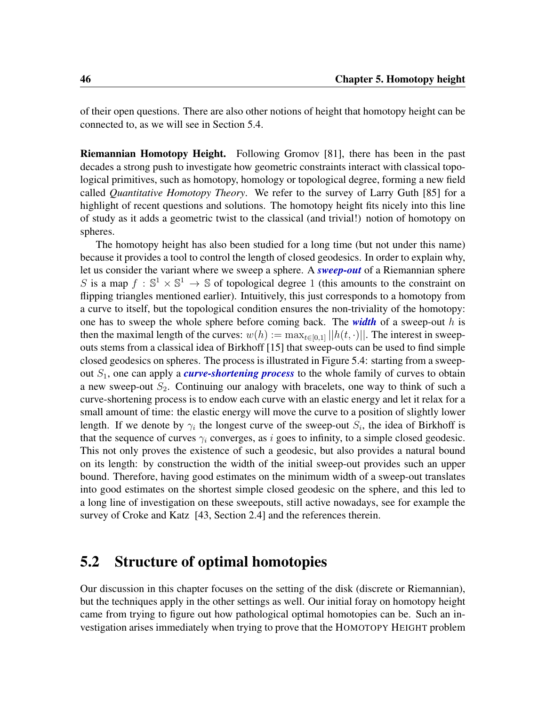of their open questions. There are also other notions of height that homotopy height can be connected to, as we will see in Section [5.4.](#page-63-0)

Riemannian Homotopy Height. Following Gromov [\[81\]](#page-112-2), there has been in the past decades a strong push to investigate how geometric constraints interact with classical topological primitives, such as homotopy, homology or topological degree, forming a new field called *Quantitative Homotopy Theory*. We refer to the survey of Larry Guth [\[85\]](#page-113-2) for a highlight of recent questions and solutions. The homotopy height fits nicely into this line of study as it adds a geometric twist to the classical (and trivial!) notion of homotopy on spheres.

The homotopy height has also been studied for a long time (but not under this name) because it provides a tool to control the length of closed geodesics. In order to explain why, let us consider the variant where we sweep a sphere. A *sweep-out* of a Riemannian sphere S is a map  $f : \mathbb{S}^1 \times \mathbb{S}^1 \to \mathbb{S}$  of topological degree 1 (this amounts to the constraint on flipping triangles mentioned earlier). Intuitively, this just corresponds to a homotopy from a curve to itself, but the topological condition ensures the non-triviality of the homotopy: one has to sweep the whole sphere before coming back. The *width* of a sweep-out h is then the maximal length of the curves:  $w(h) := \max_{t \in [0,1]} ||h(t, \cdot)||$ . The interest in sweepouts stems from a classical idea of Birkhoff [\[15\]](#page-107-4) that sweep-outs can be used to find simple closed geodesics on spheres. The process is illustrated in Figure [5.4:](#page-58-0) starting from a sweepout  $S_1$ , one can apply a *curve-shortening process* to the whole family of curves to obtain a new sweep-out  $S_2$ . Continuing our analogy with bracelets, one way to think of such a curve-shortening process is to endow each curve with an elastic energy and let it relax for a small amount of time: the elastic energy will move the curve to a position of slightly lower length. If we denote by  $\gamma_i$  the longest curve of the sweep-out  $S_i$ , the idea of Birkhoff is that the sequence of curves  $\gamma_i$  converges, as i goes to infinity, to a simple closed geodesic. This not only proves the existence of such a geodesic, but also provides a natural bound on its length: by construction the width of the initial sweep-out provides such an upper bound. Therefore, having good estimates on the minimum width of a sweep-out translates into good estimates on the shortest simple closed geodesic on the sphere, and this led to a long line of investigation on these sweepouts, still active nowadays, see for example the survey of Croke and Katz [\[43,](#page-109-2) Section 2.4] and the references therein.

### 5.2 Structure of optimal homotopies

Our discussion in this chapter focuses on the setting of the disk (discrete or Riemannian), but the techniques apply in the other settings as well. Our initial foray on homotopy height came from trying to figure out how pathological optimal homotopies can be. Such an investigation arises immediately when trying to prove that the HOMOTOPY HEIGHT problem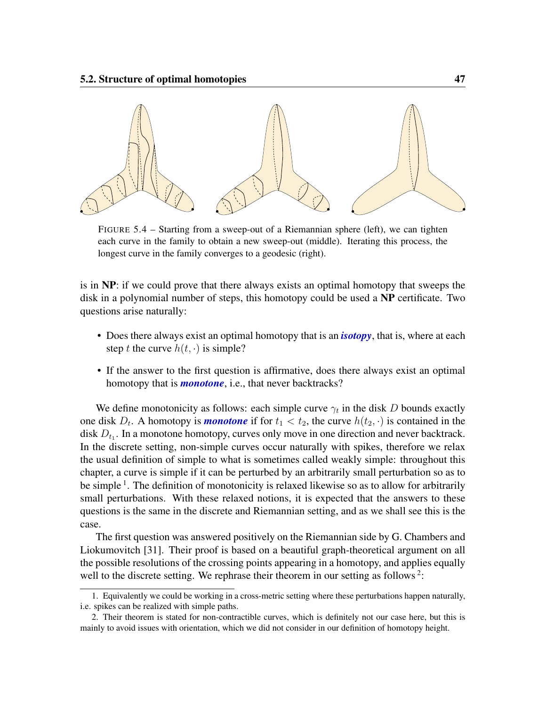<span id="page-58-0"></span>

FIGURE 5.4 – Starting from a sweep-out of a Riemannian sphere (left), we can tighten each curve in the family to obtain a new sweep-out (middle). Iterating this process, the longest curve in the family converges to a geodesic (right).

is in  $NP$ : if we could prove that there always exists an optimal homotopy that sweeps the disk in a polynomial number of steps, this homotopy could be used a NP certificate. Two questions arise naturally:

- Does there always exist an optimal homotopy that is an *isotopy*, that is, where at each step t the curve  $h(t, \cdot)$  is simple?
- If the answer to the first question is affirmative, does there always exist an optimal homotopy that is *monotone*, i.e., that never backtracks?

We define monotonicity as follows: each simple curve  $\gamma_t$  in the disk D bounds exactly one disk  $D_t$ . A homotopy is *monotone* if for  $t_1 < t_2$ , the curve  $h(t_2, \cdot)$  is contained in the disk  $D_{t_1}$ . In a monotone homotopy, curves only move in one direction and never backtrack. In the discrete setting, non-simple curves occur naturally with spikes, therefore we relax the usual definition of simple to what is sometimes called weakly simple: throughout this chapter, a curve is simple if it can be perturbed by an arbitrarily small perturbation so as to be simple <sup>[1](#page-58-1)</sup>. The definition of monotonicity is relaxed likewise so as to allow for arbitrarily small perturbations. With these relaxed notions, it is expected that the answers to these questions is the same in the discrete and Riemannian setting, and as we shall see this is the case.

The first question was answered positively on the Riemannian side by G. Chambers and Liokumovitch [\[31\]](#page-108-4). Their proof is based on a beautiful graph-theoretical argument on all the possible resolutions of the crossing points appearing in a homotopy, and applies equally well to the discrete setting. We rephrase their theorem in our setting as follows<sup>[2](#page-58-2)</sup>:

<span id="page-58-1"></span><sup>1.</sup> Equivalently we could be working in a cross-metric setting where these perturbations happen naturally, i.e. spikes can be realized with simple paths.

<span id="page-58-2"></span><sup>2.</sup> Their theorem is stated for non-contractible curves, which is definitely not our case here, but this is mainly to avoid issues with orientation, which we did not consider in our definition of homotopy height.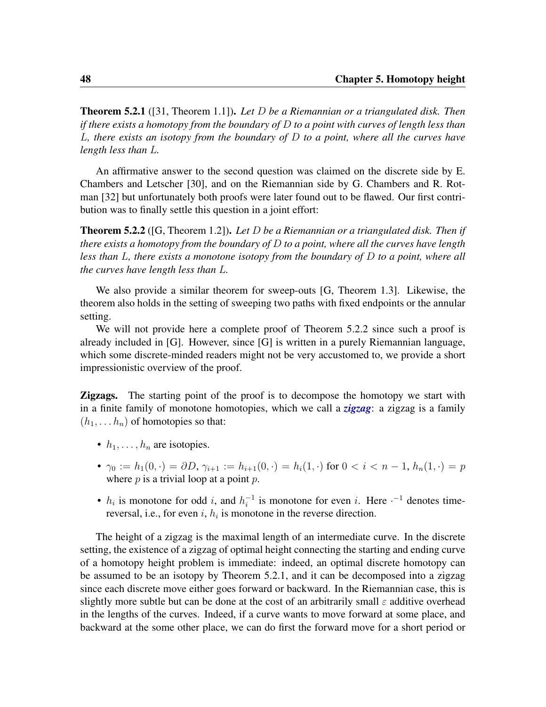<span id="page-59-1"></span>Theorem 5.2.1 ([\[31,](#page-108-4) Theorem 1.1]). *Let* D *be a Riemannian or a triangulated disk. Then if there exists a homotopy from the boundary of* D *to a point with curves of length less than* L*, there exists an isotopy from the boundary of* D *to a point, where all the curves have length less than* L*.*

An affirmative answer to the second question was claimed on the discrete side by E. Chambers and Letscher [\[30\]](#page-108-2), and on the Riemannian side by G. Chambers and R. Rotman [\[32\]](#page-108-5) but unfortunately both proofs were later found out to be flawed. Our first contribution was to finally settle this question in a joint effort:

<span id="page-59-0"></span>Theorem 5.2.2 ([\[G,](#page-9-1) Theorem 1.2]). *Let* D *be a Riemannian or a triangulated disk. Then if there exists a homotopy from the boundary of* D *to a point, where all the curves have length less than* L*, there exists a monotone isotopy from the boundary of* D *to a point, where all the curves have length less than* L*.*

We also provide a similar theorem for sweep-outs [\[G,](#page-9-1) Theorem 1.3]. Likewise, the theorem also holds in the setting of sweeping two paths with fixed endpoints or the annular setting.

We will not provide here a complete proof of Theorem [5.2.2](#page-59-0) since such a proof is already included in [\[G\]](#page-9-1). However, since [\[G\]](#page-9-1) is written in a purely Riemannian language, which some discrete-minded readers might not be very accustomed to, we provide a short impressionistic overview of the proof.

**Zigzags.** The starting point of the proof is to decompose the homotopy we start with in a finite family of monotone homotopies, which we call a *zigzag*: a zigzag is a family  $(h_1, \ldots, h_n)$  of homotopies so that:

- $h_1, \ldots, h_n$  are isotopies.
- $\gamma_0 := h_1(0, \cdot) = \partial D, \gamma_{i+1} := h_{i+1}(0, \cdot) = h_i(1, \cdot)$  for  $0 < i < n-1, h_n(1, \cdot) = p$ where  $p$  is a trivial loop at a point  $p$ .
- $h_i$  is monotone for odd i, and  $h_i^{-1}$  $i<sub>i</sub>$ <sup>-1</sup> is monotone for even i. Here  $i<sup>-1</sup>$  denotes timereversal, i.e., for even i,  $h_i$  is monotone in the reverse direction.

The height of a zigzag is the maximal length of an intermediate curve. In the discrete setting, the existence of a zigzag of optimal height connecting the starting and ending curve of a homotopy height problem is immediate: indeed, an optimal discrete homotopy can be assumed to be an isotopy by Theorem [5.2.1,](#page-59-1) and it can be decomposed into a zigzag since each discrete move either goes forward or backward. In the Riemannian case, this is slightly more subtle but can be done at the cost of an arbitrarily small  $\varepsilon$  additive overhead in the lengths of the curves. Indeed, if a curve wants to move forward at some place, and backward at the some other place, we can do first the forward move for a short period or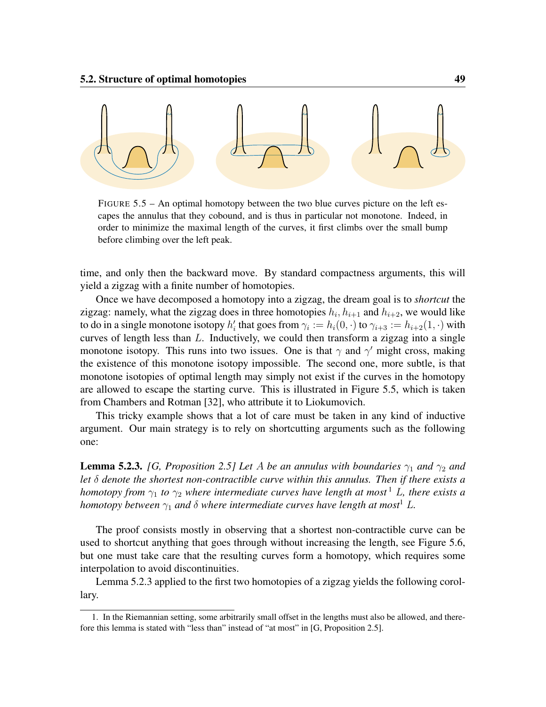<span id="page-60-0"></span>

FIGURE 5.5 – An optimal homotopy between the two blue curves picture on the left escapes the annulus that they cobound, and is thus in particular not monotone. Indeed, in order to minimize the maximal length of the curves, it first climbs over the small bump before climbing over the left peak.

time, and only then the backward move. By standard compactness arguments, this will yield a zigzag with a finite number of homotopies.

Once we have decomposed a homotopy into a zigzag, the dream goal is to *shortcut* the zigzag: namely, what the zigzag does in three homotopies  $h_i, h_{i+1}$  and  $h_{i+2}$ , we would like to do in a single monotone isotopy  $h'_i$  that goes from  $\gamma_i := h_i(0, \cdot)$  to  $\gamma_{i+3} := h_{i+2}(1, \cdot)$  with curves of length less than  $L$ . Inductively, we could then transform a zigzag into a single monotone isotopy. This runs into two issues. One is that  $\gamma$  and  $\gamma'$  might cross, making the existence of this monotone isotopy impossible. The second one, more subtle, is that monotone isotopies of optimal length may simply not exist if the curves in the homotopy are allowed to escape the starting curve. This is illustrated in Figure [5.5,](#page-60-0) which is taken from Chambers and Rotman [\[32\]](#page-108-5), who attribute it to Liokumovich.

This tricky example shows that a lot of care must be taken in any kind of inductive argument. Our main strategy is to rely on shortcutting arguments such as the following one:

<span id="page-60-2"></span>**Lemma 5.2.3.** *[\[G,](#page-9-1) Proposition 2.5] Let A be an annulus with boundaries*  $\gamma_1$  *and*  $\gamma_2$  *and let* δ *denote the shortest non-contractible curve within this annulus. Then if there exists a homotopy from*  $\gamma_1$  $\gamma_1$  *to*  $\gamma_2$  *where intermediate curves have length at most*<sup>1</sup> *L, there exists a homotopy between*  $\gamma_1$  *and*  $\delta$  *where intermediate curves have length at most*<sup>1</sup> L.

The proof consists mostly in observing that a shortest non-contractible curve can be used to shortcut anything that goes through without increasing the length, see Figure [5.6,](#page-61-0) but one must take care that the resulting curves form a homotopy, which requires some interpolation to avoid discontinuities.

Lemma [5.2.3](#page-60-2) applied to the first two homotopies of a zigzag yields the following corollary.

<span id="page-60-1"></span><sup>1.</sup> In the Riemannian setting, some arbitrarily small offset in the lengths must also be allowed, and therefore this lemma is stated with "less than" instead of "at most" in [\[G,](#page-9-1) Proposition 2.5].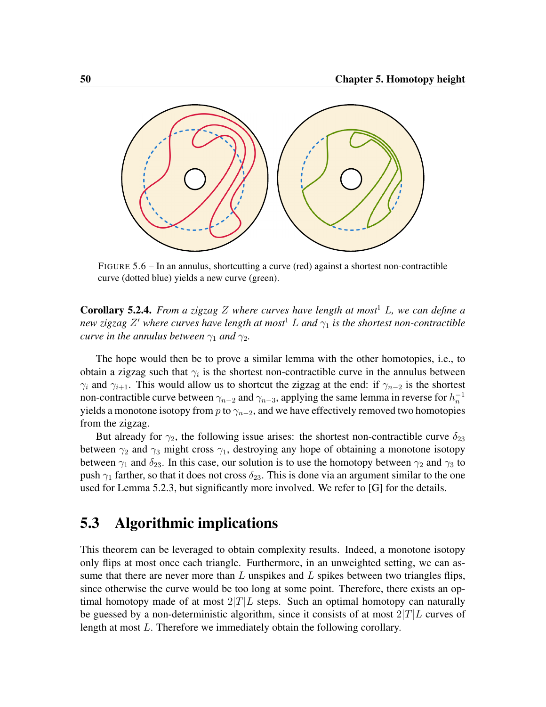<span id="page-61-0"></span>

FIGURE 5.6 – In an annulus, shortcutting a curve (red) against a shortest non-contractible curve (dotted blue) yields a new curve (green).

Corollary 5.2.4. *From a zigzag* Z *where curves have length at most*<sup>1</sup> L*, we can define a new zigzag* Z <sup>0</sup> *where curves have length at most*<sup>1</sup> L *and* γ<sup>1</sup> *is the shortest non-contractible curve in the annulus between*  $\gamma_1$  *and*  $\gamma_2$ *.* 

The hope would then be to prove a similar lemma with the other homotopies, i.e., to obtain a zigzag such that  $\gamma_i$  is the shortest non-contractible curve in the annulus between  $\gamma_i$  and  $\gamma_{i+1}$ . This would allow us to shortcut the zigzag at the end: if  $\gamma_{n-2}$  is the shortest non-contractible curve between  $\gamma_{n-2}$  and  $\gamma_{n-3}$ , applying the same lemma in reverse for  $h_n^{-1}$ yields a monotone isotopy from p to  $\gamma_{n-2}$ , and we have effectively removed two homotopies from the zigzag.

But already for  $\gamma_2$ , the following issue arises: the shortest non-contractible curve  $\delta_{23}$ between  $\gamma_2$  and  $\gamma_3$  might cross  $\gamma_1$ , destroying any hope of obtaining a monotone isotopy between  $\gamma_1$  and  $\delta_{23}$ . In this case, our solution is to use the homotopy between  $\gamma_2$  and  $\gamma_3$  to push  $\gamma_1$  farther, so that it does not cross  $\delta_{23}$ . This is done via an argument similar to the one used for Lemma [5.2.3,](#page-60-2) but significantly more involved. We refer to [\[G\]](#page-9-1) for the details.

### 5.3 Algorithmic implications

This theorem can be leveraged to obtain complexity results. Indeed, a monotone isotopy only flips at most once each triangle. Furthermore, in an unweighted setting, we can assume that there are never more than  $L$  unspikes and  $L$  spikes between two triangles flips, since otherwise the curve would be too long at some point. Therefore, there exists an optimal homotopy made of at most  $2|T|L$  steps. Such an optimal homotopy can naturally be guessed by a non-deterministic algorithm, since it consists of at most  $2|T|L$  curves of length at most L. Therefore we immediately obtain the following corollary.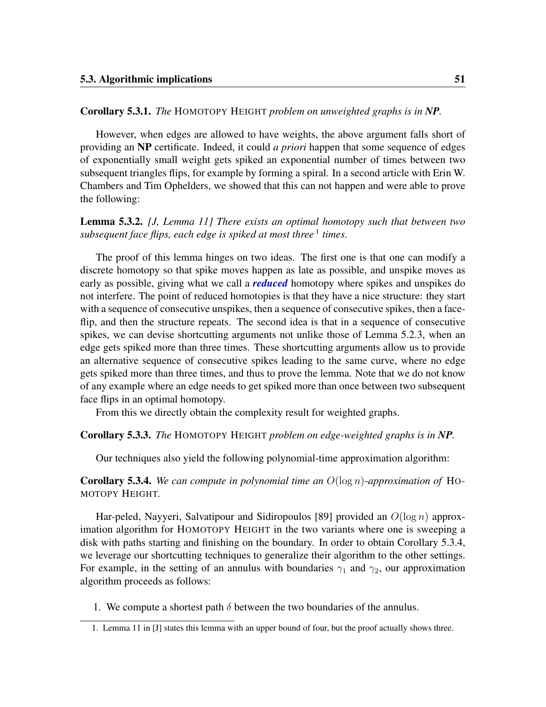#### Corollary 5.3.1. *The* HOMOTOPY HEIGHT *problem on unweighted graphs is in NP.*

However, when edges are allowed to have weights, the above argument falls short of providing an NP certificate. Indeed, it could *a priori* happen that some sequence of edges of exponentially small weight gets spiked an exponential number of times between two subsequent triangles flips, for example by forming a spiral. In a second article with Erin W. Chambers and Tim Ophelders, we showed that this can not happen and were able to prove the following:

#### <span id="page-62-2"></span>Lemma 5.3.2. *[\[J,](#page-9-2) Lemma 11] There exists an optimal homotopy such that between two* subsequent face flips, each edge is spiked at most three <sup>[1](#page-62-0)</sup> times.

The proof of this lemma hinges on two ideas. The first one is that one can modify a discrete homotopy so that spike moves happen as late as possible, and unspike moves as early as possible, giving what we call a *reduced* homotopy where spikes and unspikes do not interfere. The point of reduced homotopies is that they have a nice structure: they start with a sequence of consecutive unspikes, then a sequence of consecutive spikes, then a faceflip, and then the structure repeats. The second idea is that in a sequence of consecutive spikes, we can devise shortcutting arguments not unlike those of Lemma [5.2.3,](#page-60-2) when an edge gets spiked more than three times. These shortcutting arguments allow us to provide an alternative sequence of consecutive spikes leading to the same curve, where no edge gets spiked more than three times, and thus to prove the lemma. Note that we do not know of any example where an edge needs to get spiked more than once between two subsequent face flips in an optimal homotopy.

From this we directly obtain the complexity result for weighted graphs.

#### Corollary 5.3.3. *The* HOMOTOPY HEIGHT *problem on edge-weighted graphs is in NP.*

Our techniques also yield the following polynomial-time approximation algorithm:

<span id="page-62-1"></span>Corollary 5.3.4. *We can compute in polynomial time an* O(log n)*-approximation of* HO-MOTOPY HEIGHT*.*

Har-peled, Nayyeri, Salvatipour and Sidiropoulos [\[89\]](#page-113-0) provided an  $O(\log n)$  approximation algorithm for HOMOTOPY HEIGHT in the two variants where one is sweeping a disk with paths starting and finishing on the boundary. In order to obtain Corollary [5.3.4,](#page-62-1) we leverage our shortcutting techniques to generalize their algorithm to the other settings. For example, in the setting of an annulus with boundaries  $\gamma_1$  and  $\gamma_2$ , our approximation algorithm proceeds as follows:

1. We compute a shortest path  $\delta$  between the two boundaries of the annulus.

<span id="page-62-0"></span><sup>1.</sup> Lemma 11 in [\[J\]](#page-9-2) states this lemma with an upper bound of four, but the proof actually shows three.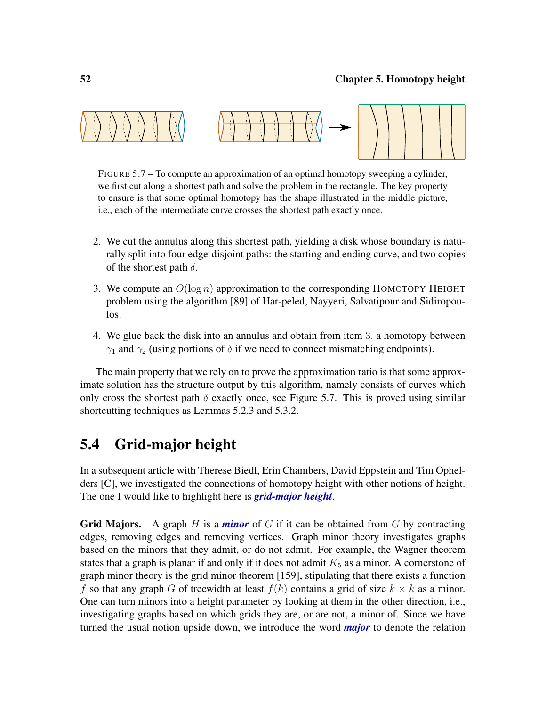<span id="page-63-1"></span>

FIGURE 5.7 – To compute an approximation of an optimal homotopy sweeping a cylinder, we first cut along a shortest path and solve the problem in the rectangle. The key property to ensure is that some optimal homotopy has the shape illustrated in the middle picture, i.e., each of the intermediate curve crosses the shortest path exactly once.

- 2. We cut the annulus along this shortest path, yielding a disk whose boundary is naturally split into four edge-disjoint paths: the starting and ending curve, and two copies of the shortest path  $\delta$ .
- 3. We compute an  $O(\log n)$  approximation to the corresponding HOMOTOPY HEIGHT problem using the algorithm [\[89\]](#page-113-0) of Har-peled, Nayyeri, Salvatipour and Sidiropoulos.
- 4. We glue back the disk into an annulus and obtain from item 3. a homotopy between  $\gamma_1$  and  $\gamma_2$  (using portions of  $\delta$  if we need to connect mismatching endpoints).

The main property that we rely on to prove the approximation ratio is that some approximate solution has the structure output by this algorithm, namely consists of curves which only cross the shortest path  $\delta$  exactly once, see Figure [5.7.](#page-63-1) This is proved using similar shortcutting techniques as Lemmas [5.2.3](#page-60-2) and [5.3.2.](#page-62-2)

## <span id="page-63-0"></span>5.4 Grid-major height

In a subsequent article with Therese Biedl, Erin Chambers, David Eppstein and Tim Ophelders [\[C\]](#page-8-1), we investigated the connections of homotopy height with other notions of height. The one I would like to highlight here is *grid-major height*.

**Grid Majors.** A graph H is a *minor* of G if it can be obtained from G by contracting edges, removing edges and removing vertices. Graph minor theory investigates graphs based on the minors that they admit, or do not admit. For example, the Wagner theorem states that a graph is planar if and only if it does not admit  $K_5$  as a minor. A cornerstone of graph minor theory is the grid minor theorem [\[159\]](#page-118-0), stipulating that there exists a function f so that any graph G of treewidth at least  $f(k)$  contains a grid of size  $k \times k$  as a minor. One can turn minors into a height parameter by looking at them in the other direction, i.e., investigating graphs based on which grids they are, or are not, a minor of. Since we have turned the usual notion upside down, we introduce the word *major* to denote the relation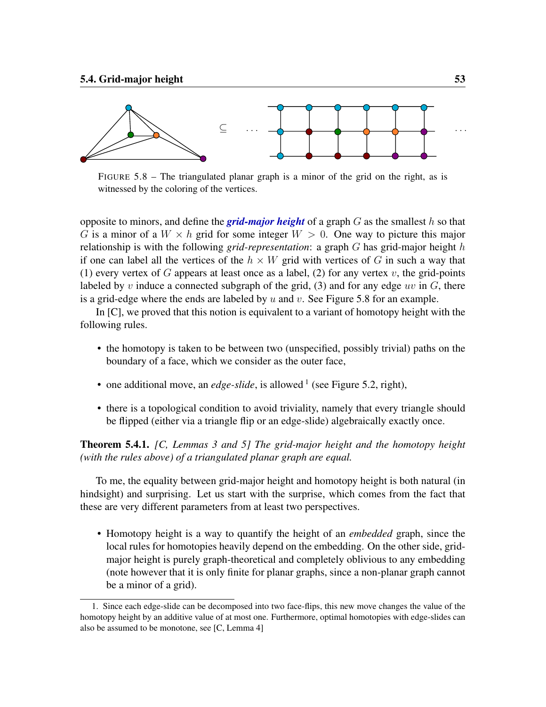<span id="page-64-0"></span>

FIGURE 5.8 – The triangulated planar graph is a minor of the grid on the right, as is witnessed by the coloring of the vertices.

opposite to minors, and define the **grid-major height** of a graph  $G$  as the smallest h so that G is a minor of a  $W \times h$  grid for some integer  $W > 0$ . One way to picture this major relationship is with the following *grid-representation*: a graph G has grid-major height h if one can label all the vertices of the  $h \times W$  grid with vertices of G in such a way that (1) every vertex of G appears at least once as a label, (2) for any vertex v, the grid-points labeled by v induce a connected subgraph of the grid, (3) and for any edge uv in  $G$ , there is a grid-edge where the ends are labeled by  $u$  and  $v$ . See Figure [5.8](#page-64-0) for an example.

In [\[C\]](#page-8-1), we proved that this notion is equivalent to a variant of homotopy height with the following rules.

- the homotopy is taken to be between two (unspecified, possibly trivial) paths on the boundary of a face, which we consider as the outer face,
- one additional move, an *edge-slide*, is allowed<sup>[1](#page-64-1)</sup> (see Figure [5.2,](#page-54-0) right),
- there is a topological condition to avoid triviality, namely that every triangle should be flipped (either via a triangle flip or an edge-slide) algebraically exactly once.

<span id="page-64-2"></span>Theorem 5.4.1. *[\[C,](#page-8-1) Lemmas 3 and 5] The grid-major height and the homotopy height (with the rules above) of a triangulated planar graph are equal.*

To me, the equality between grid-major height and homotopy height is both natural (in hindsight) and surprising. Let us start with the surprise, which comes from the fact that these are very different parameters from at least two perspectives.

• Homotopy height is a way to quantify the height of an *embedded* graph, since the local rules for homotopies heavily depend on the embedding. On the other side, gridmajor height is purely graph-theoretical and completely oblivious to any embedding (note however that it is only finite for planar graphs, since a non-planar graph cannot be a minor of a grid).

<span id="page-64-1"></span><sup>1.</sup> Since each edge-slide can be decomposed into two face-flips, this new move changes the value of the homotopy height by an additive value of at most one. Furthermore, optimal homotopies with edge-slides can also be assumed to be monotone, see [\[C,](#page-8-1) Lemma 4]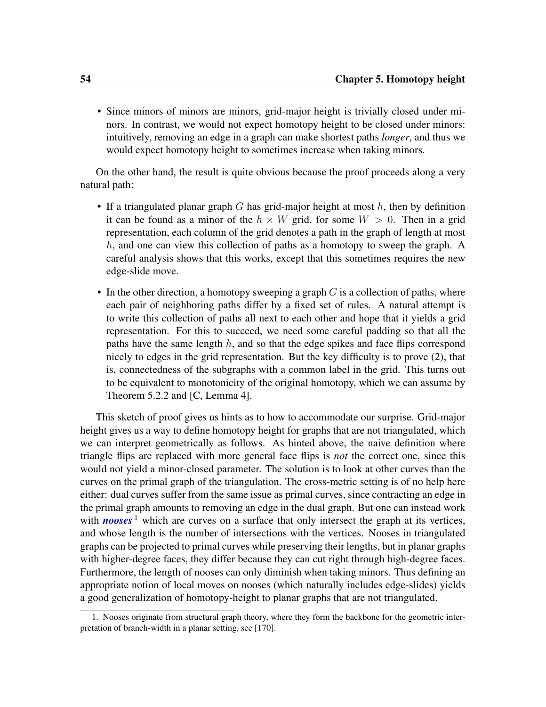• Since minors of minors are minors, grid-major height is trivially closed under minors. In contrast, we would not expect homotopy height to be closed under minors: intuitively, removing an edge in a graph can make shortest paths *longer*, and thus we would expect homotopy height to sometimes increase when taking minors.

On the other hand, the result is quite obvious because the proof proceeds along a very natural path:

- If a triangulated planar graph G has grid-major height at most  $h$ , then by definition it can be found as a minor of the  $h \times W$  grid, for some  $W > 0$ . Then in a grid representation, each column of the grid denotes a path in the graph of length at most  $h$ , and one can view this collection of paths as a homotopy to sweep the graph. A careful analysis shows that this works, except that this sometimes requires the new edge-slide move.
- In the other direction, a homotopy sweeping a graph  $G$  is a collection of paths, where each pair of neighboring paths differ by a fixed set of rules. A natural attempt is to write this collection of paths all next to each other and hope that it yields a grid representation. For this to succeed, we need some careful padding so that all the paths have the same length  $h$ , and so that the edge spikes and face flips correspond nicely to edges in the grid representation. But the key difficulty is to prove (2), that is, connectedness of the subgraphs with a common label in the grid. This turns out to be equivalent to monotonicity of the original homotopy, which we can assume by Theorem [5.2.2](#page-59-0) and [\[C,](#page-8-1) Lemma 4].

This sketch of proof gives us hints as to how to accommodate our surprise. Grid-major height gives us a way to define homotopy height for graphs that are not triangulated, which we can interpret geometrically as follows. As hinted above, the naive definition where triangle flips are replaced with more general face flips is *not* the correct one, since this would not yield a minor-closed parameter. The solution is to look at other curves than the curves on the primal graph of the triangulation. The cross-metric setting is of no help here either: dual curves suffer from the same issue as primal curves, since contracting an edge in the primal graph amounts to removing an edge in the dual graph. But one can instead work with **nooses**  $\frac{1}{1}$  $\frac{1}{1}$  $\frac{1}{1}$  which are curves on a surface that only intersect the graph at its vertices, and whose length is the number of intersections with the vertices. Nooses in triangulated graphs can be projected to primal curves while preserving their lengths, but in planar graphs with higher-degree faces, they differ because they can cut right through high-degree faces. Furthermore, the length of nooses can only diminish when taking minors. Thus defining an appropriate notion of local moves on nooses (which naturally includes edge-slides) yields a good generalization of homotopy-height to planar graphs that are not triangulated.

<span id="page-65-0"></span><sup>1.</sup> Nooses originate from structural graph theory, where they form the backbone for the geometric interpretation of branch-width in a planar setting, see [\[170\]](#page-119-1).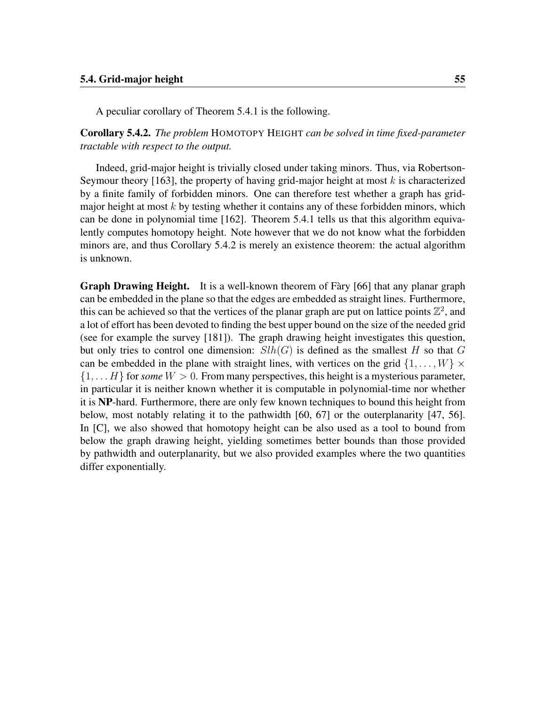A peculiar corollary of Theorem [5.4.1](#page-64-2) is the following.

<span id="page-66-0"></span>Corollary 5.4.2. *The problem* HOMOTOPY HEIGHT *can be solved in time fixed-parameter tractable with respect to the output.*

Indeed, grid-major height is trivially closed under taking minors. Thus, via Robertson-Seymour theory [\[163\]](#page-119-2), the property of having grid-major height at most  $k$  is characterized by a finite family of forbidden minors. One can therefore test whether a graph has gridmajor height at most  $k$  by testing whether it contains any of these forbidden minors, which can be done in polynomial time [\[162\]](#page-119-3). Theorem [5.4.1](#page-64-2) tells us that this algorithm equivalently computes homotopy height. Note however that we do not know what the forbidden minors are, and thus Corollary [5.4.2](#page-66-0) is merely an existence theorem: the actual algorithm is unknown.

Graph Drawing Height. It is a well-known theorem of Fàry [\[66\]](#page-111-3) that any planar graph can be embedded in the plane so that the edges are embedded as straight lines. Furthermore, this can be achieved so that the vertices of the planar graph are put on lattice points  $\mathbb{Z}^2$ , and a lot of effort has been devoted to finding the best upper bound on the size of the needed grid (see for example the survey [\[181\]](#page-120-1)). The graph drawing height investigates this question, but only tries to control one dimension:  $Slh(G)$  is defined as the smallest H so that G can be embedded in the plane with straight lines, with vertices on the grid  $\{1, \ldots, W\} \times$  $\{1, \ldots H\}$  for *some*  $W > 0$ . From many perspectives, this height is a mysterious parameter, in particular it is neither known whether it is computable in polynomial-time nor whether it is NP-hard. Furthermore, there are only few known techniques to bound this height from below, most notably relating it to the pathwidth [\[60,](#page-111-4) [67\]](#page-111-5) or the outerplanarity [\[47,](#page-110-3) [56\]](#page-110-4). In [\[C\]](#page-8-1), we also showed that homotopy height can be also used as a tool to bound from below the graph drawing height, yielding sometimes better bounds than those provided by pathwidth and outerplanarity, but we also provided examples where the two quantities differ exponentially.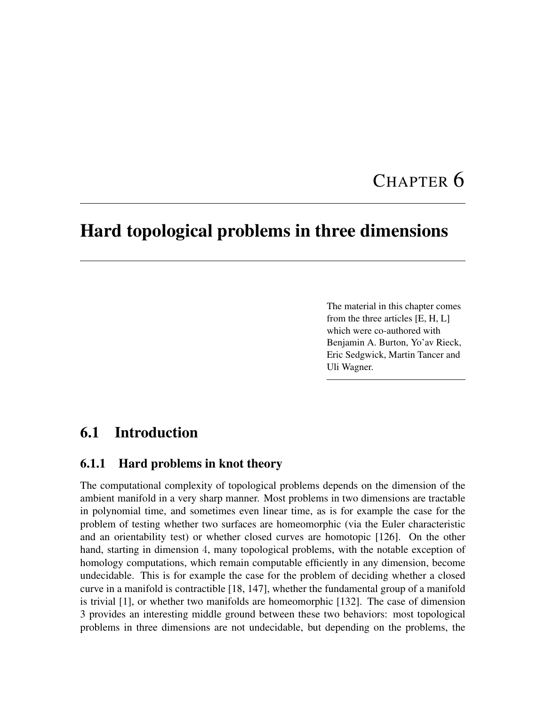# CHAPTER 6

## Hard topological problems in three dimensions

The material in this chapter comes from the three articles [\[E,](#page-8-2) [H,](#page-9-3) [L\]](#page-9-4) which were co-authored with Benjamin A. Burton, Yo'av Rieck, Eric Sedgwick, Martin Tancer and Uli Wagner.

## 6.1 Introduction

#### 6.1.1 Hard problems in knot theory

The computational complexity of topological problems depends on the dimension of the ambient manifold in a very sharp manner. Most problems in two dimensions are tractable in polynomial time, and sometimes even linear time, as is for example the case for the problem of testing whether two surfaces are homeomorphic (via the Euler characteristic and an orientability test) or whether closed curves are homotopic [\[126\]](#page-116-2). On the other hand, starting in dimension 4, many topological problems, with the notable exception of homology computations, which remain computable efficiently in any dimension, become undecidable. This is for example the case for the problem of deciding whether a closed curve in a manifold is contractible [\[18,](#page-107-5) [147\]](#page-117-1), whether the fundamental group of a manifold is trivial [\[1\]](#page-106-2), or whether two manifolds are homeomorphic [\[132\]](#page-116-3). The case of dimension 3 provides an interesting middle ground between these two behaviors: most topological problems in three dimensions are not undecidable, but depending on the problems, the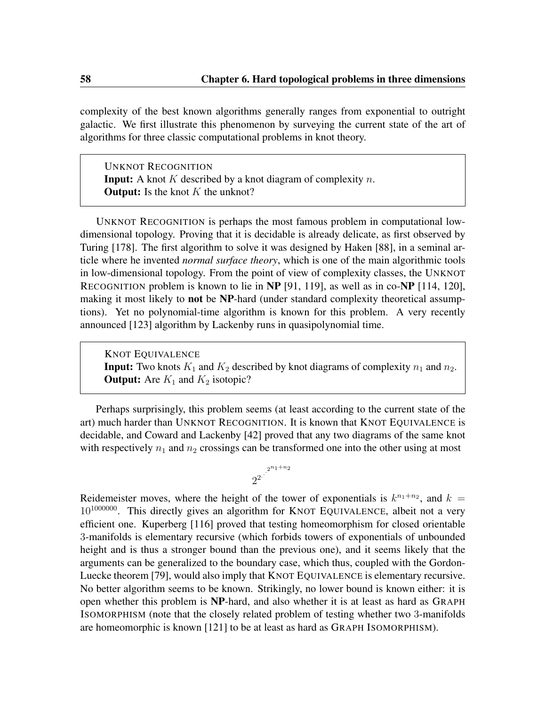complexity of the best known algorithms generally ranges from exponential to outright galactic. We first illustrate this phenomenon by surveying the current state of the art of algorithms for three classic computational problems in knot theory.

UNKNOT RECOGNITION **Input:** A knot K described by a knot diagram of complexity  $n$ . **Output:** Is the knot  $K$  the unknot?

UNKNOT RECOGNITION is perhaps the most famous problem in computational lowdimensional topology. Proving that it is decidable is already delicate, as first observed by Turing [\[178\]](#page-120-2). The first algorithm to solve it was designed by Haken [\[88\]](#page-113-3), in a seminal article where he invented *normal surface theory*, which is one of the main algorithmic tools in low-dimensional topology. From the point of view of complexity classes, the UNKNOT RECOGNITION problem is known to lie in NP [\[91,](#page-113-4) [119\]](#page-115-1), as well as in co-NP [\[114,](#page-115-2) [120\]](#page-115-3), making it most likely to **not** be NP-hard (under standard complexity theoretical assumptions). Yet no polynomial-time algorithm is known for this problem. A very recently announced [\[123\]](#page-115-4) algorithm by Lackenby runs in quasipolynomial time.

KNOT EQUIVALENCE **Input:** Two knots  $K_1$  and  $K_2$  described by knot diagrams of complexity  $n_1$  and  $n_2$ . **Output:** Are  $K_1$  and  $K_2$  isotopic?

Perhaps surprisingly, this problem seems (at least according to the current state of the art) much harder than UNKNOT RECOGNITION. It is known that KNOT EQUIVALENCE is decidable, and Coward and Lackenby [\[42\]](#page-109-3) proved that any two diagrams of the same knot with respectively  $n_1$  and  $n_2$  crossings can be transformed one into the other using at most



Reidemeister moves, where the height of the tower of exponentials is  $k^{n_1+n_2}$ , and  $k =$  $10^{1000000}$ . This directly gives an algorithm for KNOT EQUIVALENCE, albeit not a very efficient one. Kuperberg [\[116\]](#page-115-5) proved that testing homeomorphism for closed orientable 3-manifolds is elementary recursive (which forbids towers of exponentials of unbounded height and is thus a stronger bound than the previous one), and it seems likely that the arguments can be generalized to the boundary case, which thus, coupled with the Gordon-Luecke theorem [\[79\]](#page-112-3), would also imply that KNOT EQUIVALENCE is elementary recursive. No better algorithm seems to be known. Strikingly, no lower bound is known either: it is open whether this problem is NP-hard, and also whether it is at least as hard as GRAPH ISOMORPHISM (note that the closely related problem of testing whether two 3-manifolds are homeomorphic is known [\[121\]](#page-115-6) to be at least as hard as GRAPH ISOMORPHISM).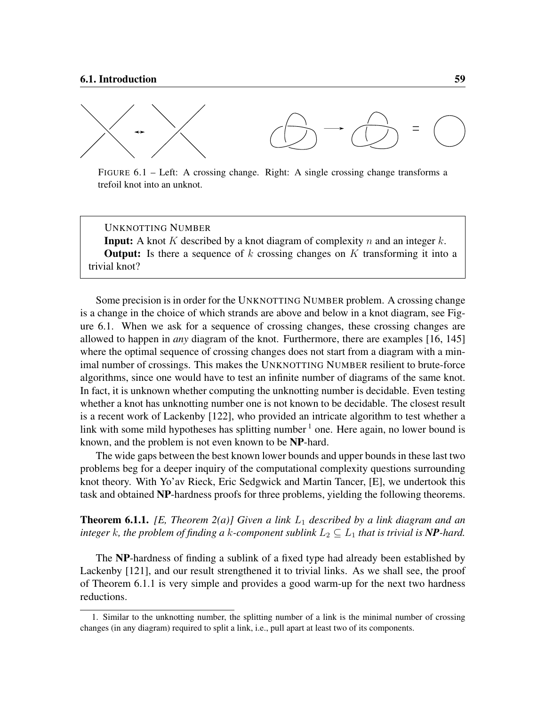<span id="page-70-0"></span>

FIGURE 6.1 – Left: A crossing change. Right: A single crossing change transforms a trefoil knot into an unknot.

UNKNOTTING NUMBER

**Input:** A knot K described by a knot diagram of complexity n and an integer k. **Output:** Is there a sequence of  $k$  crossing changes on  $K$  transforming it into a trivial knot?

Some precision is in order for the UNKNOTTING NUMBER problem. A crossing change is a change in the choice of which strands are above and below in a knot diagram, see Figure [6.1.](#page-70-0) When we ask for a sequence of crossing changes, these crossing changes are allowed to happen in *any* diagram of the knot. Furthermore, there are examples [\[16,](#page-107-6) [145\]](#page-117-2) where the optimal sequence of crossing changes does not start from a diagram with a minimal number of crossings. This makes the UNKNOTTING NUMBER resilient to brute-force algorithms, since one would have to test an infinite number of diagrams of the same knot. In fact, it is unknown whether computing the unknotting number is decidable. Even testing whether a knot has unknotting number one is not known to be decidable. The closest result is a recent work of Lackenby [\[122\]](#page-115-7), who provided an intricate algorithm to test whether a link with some mild hypotheses has splitting number  $<sup>1</sup>$  $<sup>1</sup>$  $<sup>1</sup>$  one. Here again, no lower bound is</sup> known, and the problem is not even known to be NP-hard.

The wide gaps between the best known lower bounds and upper bounds in these last two problems beg for a deeper inquiry of the computational complexity questions surrounding knot theory. With Yo'av Rieck, Eric Sedgwick and Martin Tancer, [\[E\]](#page-8-2), we undertook this task and obtained NP-hardness proofs for three problems, yielding the following theorems.

<span id="page-70-2"></span>**Theorem 6.1.1.** *[\[E,](#page-8-2) Theorem 2(a)] Given a link*  $L_1$  *described by a link diagram and an integer* k, the problem of finding a k-component sublink  $L_2 \subseteq L_1$  that is trivial is **NP**-hard.

The NP-hardness of finding a sublink of a fixed type had already been established by Lackenby [\[121\]](#page-115-6), and our result strengthened it to trivial links. As we shall see, the proof of Theorem [6.1.1](#page-70-2) is very simple and provides a good warm-up for the next two hardness reductions.

<span id="page-70-1"></span><sup>1.</sup> Similar to the unknotting number, the splitting number of a link is the minimal number of crossing changes (in any diagram) required to split a link, i.e., pull apart at least two of its components.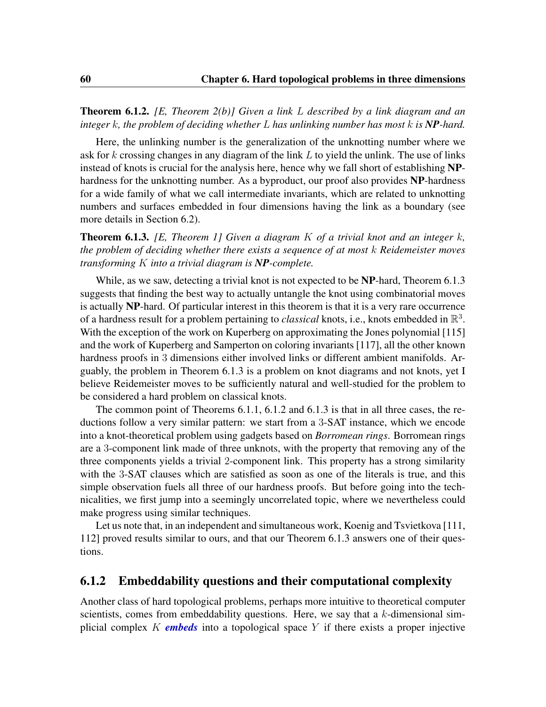<span id="page-71-1"></span>Theorem 6.1.2. *[\[E,](#page-8-2) Theorem 2(b)] Given a link* L *described by a link diagram and an integer* k*, the problem of deciding whether* L *has unlinking number has most* k *is NP-hard.*

Here, the unlinking number is the generalization of the unknotting number where we ask for k crossing changes in any diagram of the link  $L$  to yield the unlink. The use of links instead of knots is crucial for the analysis here, hence why we fall short of establishing NPhardness for the unknotting number. As a byproduct, our proof also provides NP-hardness for a wide family of what we call intermediate invariants, which are related to unknotting numbers and surfaces embedded in four dimensions having the link as a boundary (see more details in Section [6.2\)](#page-73-0).

<span id="page-71-0"></span>Theorem 6.1.3. *[\[E,](#page-8-2) Theorem 1] Given a diagram* K *of a trivial knot and an integer* k*, the problem of deciding whether there exists a sequence of at most* k *Reidemeister moves transforming* K *into a trivial diagram is NP-complete.*

While, as we saw, detecting a trivial knot is not expected to be **NP**-hard, Theorem [6.1.3](#page-71-0) suggests that finding the best way to actually untangle the knot using combinatorial moves is actually NP-hard. Of particular interest in this theorem is that it is a very rare occurrence of a hardness result for a problem pertaining to *classical* knots, i.e., knots embedded in  $\mathbb{R}^3$ . With the exception of the work on Kuperberg on approximating the Jones polynomial [\[115\]](#page-115-8) and the work of Kuperberg and Samperton on coloring invariants [\[117\]](#page-115-9), all the other known hardness proofs in 3 dimensions either involved links or different ambient manifolds. Arguably, the problem in Theorem [6.1.3](#page-71-0) is a problem on knot diagrams and not knots, yet I believe Reidemeister moves to be sufficiently natural and well-studied for the problem to be considered a hard problem on classical knots.

The common point of Theorems [6.1.1,](#page-70-2) [6.1.2](#page-71-1) and [6.1.3](#page-71-0) is that in all three cases, the reductions follow a very similar pattern: we start from a 3-SAT instance, which we encode into a knot-theoretical problem using gadgets based on *Borromean rings*. Borromean rings are a 3-component link made of three unknots, with the property that removing any of the three components yields a trivial 2-component link. This property has a strong similarity with the 3-SAT clauses which are satisfied as soon as one of the literals is true, and this simple observation fuels all three of our hardness proofs. But before going into the technicalities, we first jump into a seemingly uncorrelated topic, where we nevertheless could make progress using similar techniques.

Let us note that, in an independent and simultaneous work, Koenig and Tsvietkova [\[111,](#page-115-10) [112\]](#page-115-11) proved results similar to ours, and that our Theorem [6.1.3](#page-71-0) answers one of their questions.

#### 6.1.2 Embeddability questions and their computational complexity

Another class of hard topological problems, perhaps more intuitive to theoretical computer scientists, comes from embeddability questions. Here, we say that a  $k$ -dimensional simplicial complex K *embeds* into a topological space Y if there exists a proper injective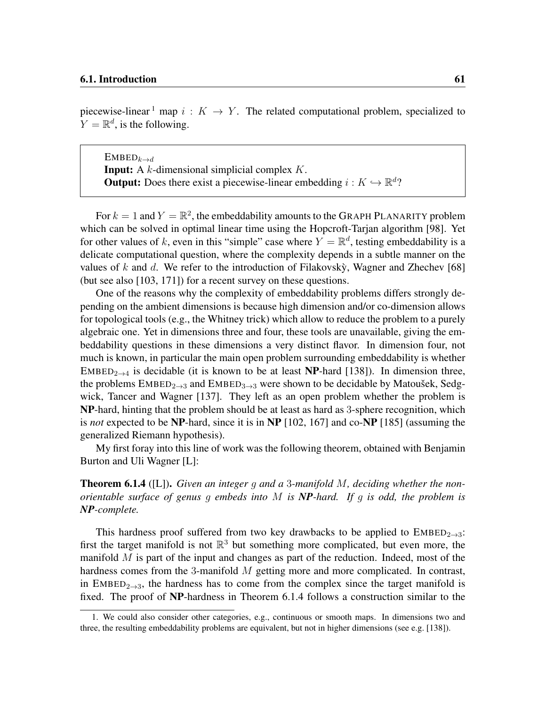piecewise-linear <sup>[1](#page-72-0)</sup> map  $i: K \to Y$ . The related computational problem, specialized to  $Y = \mathbb{R}^d$ , is the following.

 $EMBED_{k\rightarrow d}$ **Input:** A  $k$ -dimensional simplicial complex  $K$ . **Output:** Does there exist a piecewise-linear embedding  $i: K \hookrightarrow \mathbb{R}^d$ ?

For  $k = 1$  and  $Y = \mathbb{R}^2$ , the embeddability amounts to the GRAPH PLANARITY problem which can be solved in optimal linear time using the Hopcroft-Tarjan algorithm [\[98\]](#page-114-0). Yet for other values of k, even in this "simple" case where  $Y = \mathbb{R}^d$ , testing embeddability is a delicate computational question, where the complexity depends in a subtle manner on the values of k and d. We refer to the introduction of Filakovsky, Wagner and Zhechev [[68\]](#page-111-0) (but see also [\[103,](#page-114-1) [171\]](#page-119-0)) for a recent survey on these questions.

One of the reasons why the complexity of embeddability problems differs strongly depending on the ambient dimensions is because high dimension and/or co-dimension allows for topological tools (e.g., the Whitney trick) which allow to reduce the problem to a purely algebraic one. Yet in dimensions three and four, these tools are unavailable, giving the embeddability questions in these dimensions a very distinct flavor. In dimension four, not much is known, in particular the main open problem surrounding embeddability is whether EMBED<sub>2→4</sub> is decidable (it is known to be at least **NP**-hard [\[138\]](#page-117-0)). In dimension three, the problems  $EMBED_{2\rightarrow 3}$  and  $EMBED_{3\rightarrow 3}$  were shown to be decidable by Matoušek, Sedgwick, Tancer and Wagner [\[137\]](#page-117-1). They left as an open problem whether the problem is NP-hard, hinting that the problem should be at least as hard as 3-sphere recognition, which is *not* expected to be NP-hard, since it is in NP [\[102,](#page-114-2) [167\]](#page-119-1) and co-NP [\[185\]](#page-120-0) (assuming the generalized Riemann hypothesis).

My first foray into this line of work was the following theorem, obtained with Benjamin Burton and Uli Wagner [\[L\]](#page-9-0):

<span id="page-72-1"></span>Theorem 6.1.4 ([\[L\]](#page-9-0)). *Given an integer* g *and a* 3*-manifold* M*, deciding whether the nonorientable surface of genus* g *embeds into* M *is NP-hard. If* g *is odd, the problem is NP-complete.*

This hardness proof suffered from two key drawbacks to be applied to  $EMBED_{2\rightarrow 3}$ : first the target manifold is not  $\mathbb{R}^3$  but something more complicated, but even more, the manifold  $M$  is part of the input and changes as part of the reduction. Indeed, most of the hardness comes from the 3-manifold  $M$  getting more and more complicated. In contrast, in EMBED<sub>2→3</sub>, the hardness has to come from the complex since the target manifold is fixed. The proof of NP-hardness in Theorem [6.1.4](#page-72-1) follows a construction similar to the

<span id="page-72-0"></span><sup>1.</sup> We could also consider other categories, e.g., continuous or smooth maps. In dimensions two and three, the resulting embeddability problems are equivalent, but not in higher dimensions (see e.g. [\[138\]](#page-117-0)).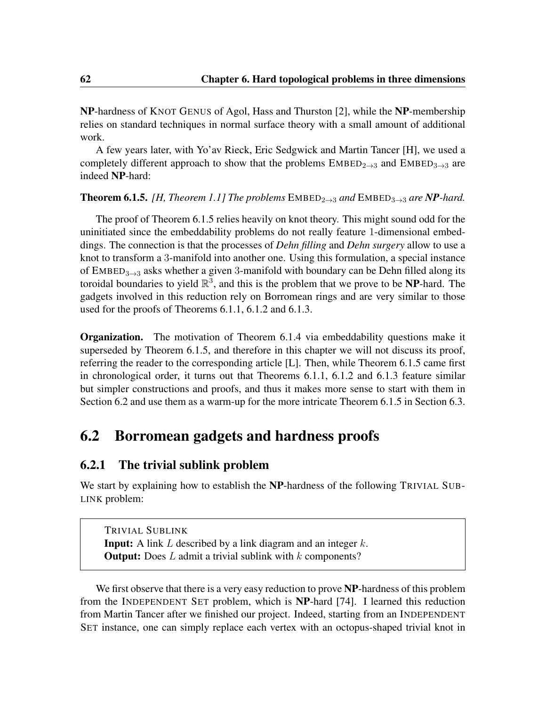<span id="page-73-2"></span>NP-hardness of KNOT GENUS of Agol, Hass and Thurston [\[2\]](#page-106-0), while the NP-membership relies on standard techniques in normal surface theory with a small amount of additional work.

A few years later, with Yo'av Rieck, Eric Sedgwick and Martin Tancer [\[H\]](#page-9-1), we used a completely different approach to show that the problems  $\text{EMBED}_{2\rightarrow 3}$  and  $\text{EMBED}_{3\rightarrow 3}$  are indeed NP-hard:

#### <span id="page-73-0"></span>**Theorem 6.1.5.** *[\[H,](#page-9-1) Theorem 1.1] The problems*  $EMBED_{2\rightarrow 3}$  *and*  $EMBED_{3\rightarrow 3}$  *are NP-hard.*

The proof of Theorem [6.1.5](#page-73-0) relies heavily on knot theory. This might sound odd for the uninitiated since the embeddability problems do not really feature 1-dimensional embeddings. The connection is that the processes of *Dehn filling* and *Dehn surgery* allow to use a knot to transform a 3-manifold into another one. Using this formulation, a special instance of  $EMBED_{3\rightarrow 3}$  asks whether a given 3-manifold with boundary can be Dehn filled along its toroidal boundaries to yield  $\mathbb{R}^3$ , and this is the problem that we prove to be NP-hard. The gadgets involved in this reduction rely on Borromean rings and are very similar to those used for the proofs of Theorems [6.1.1,](#page-70-0) [6.1.2](#page-71-0) and [6.1.3.](#page-71-1)

**Organization.** The motivation of Theorem [6.1.4](#page-72-1) via embeddability questions make it superseded by Theorem [6.1.5,](#page-73-0) and therefore in this chapter we will not discuss its proof, referring the reader to the corresponding article [\[L\]](#page-9-0). Then, while Theorem [6.1.5](#page-73-0) came first in chronological order, it turns out that Theorems [6.1.1,](#page-70-0) [6.1.2](#page-71-0) and [6.1.3](#page-71-1) feature similar but simpler constructions and proofs, and thus it makes more sense to start with them in Section [6.2](#page-73-1) and use them as a warm-up for the more intricate Theorem [6.1.5](#page-73-0) in Section [6.3.](#page-80-0)

### <span id="page-73-1"></span>6.2 Borromean gadgets and hardness proofs

### 6.2.1 The trivial sublink problem

We start by explaining how to establish the NP-hardness of the following TRIVIAL SUB-LINK problem:

TRIVIAL SUBLINK **Input:** A link  $L$  described by a link diagram and an integer  $k$ . **Output:** Does  $L$  admit a trivial sublink with  $k$  components?

We first observe that there is a very easy reduction to prove NP-hardness of this problem from the INDEPENDENT SET problem, which is NP-hard [\[74\]](#page-112-0). I learned this reduction from Martin Tancer after we finished our project. Indeed, starting from an INDEPENDENT SET instance, one can simply replace each vertex with an octopus-shaped trivial knot in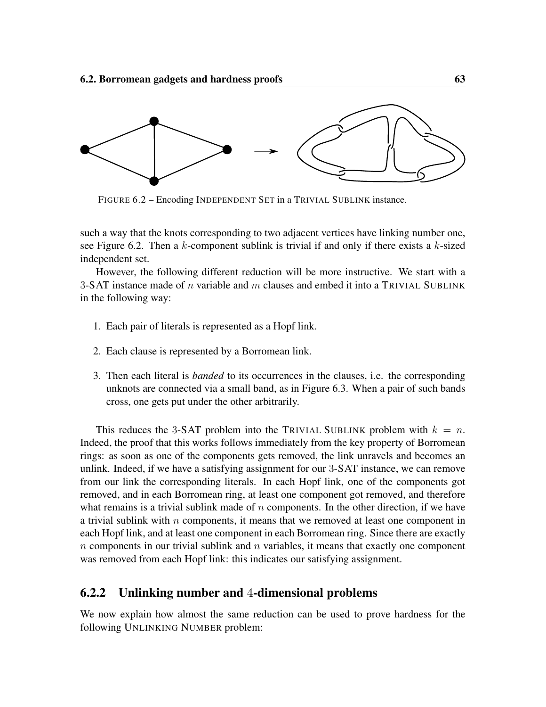<span id="page-74-0"></span>

FIGURE 6.2 – Encoding INDEPENDENT SET in a TRIVIAL SUBLINK instance.

such a way that the knots corresponding to two adjacent vertices have linking number one, see Figure [6.2.](#page-74-0) Then a  $k$ -component sublink is trivial if and only if there exists a  $k$ -sized independent set.

However, the following different reduction will be more instructive. We start with a 3-SAT instance made of n variable and m clauses and embed it into a TRIVIAL SUBLINK in the following way:

- 1. Each pair of literals is represented as a Hopf link.
- 2. Each clause is represented by a Borromean link.
- 3. Then each literal is *banded* to its occurrences in the clauses, i.e. the corresponding unknots are connected via a small band, as in Figure [6.3.](#page-75-0) When a pair of such bands cross, one gets put under the other arbitrarily.

This reduces the 3-SAT problem into the TRIVIAL SUBLINK problem with  $k = n$ . Indeed, the proof that this works follows immediately from the key property of Borromean rings: as soon as one of the components gets removed, the link unravels and becomes an unlink. Indeed, if we have a satisfying assignment for our 3-SAT instance, we can remove from our link the corresponding literals. In each Hopf link, one of the components got removed, and in each Borromean ring, at least one component got removed, and therefore what remains is a trivial sublink made of  $n$  components. In the other direction, if we have a trivial sublink with  $n$  components, it means that we removed at least one component in each Hopf link, and at least one component in each Borromean ring. Since there are exactly  $n$  components in our trivial sublink and  $n$  variables, it means that exactly one component was removed from each Hopf link: this indicates our satisfying assignment.

#### 6.2.2 Unlinking number and 4-dimensional problems

We now explain how almost the same reduction can be used to prove hardness for the following UNLINKING NUMBER problem: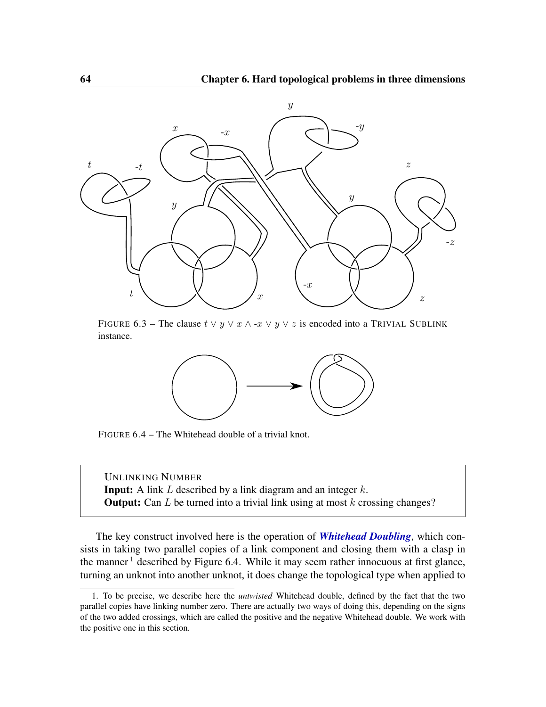<span id="page-75-0"></span>

<span id="page-75-2"></span>FIGURE 6.3 – The clause  $t \vee y \vee x \wedge -x \vee y \vee z$  is encoded into a TRIVIAL SUBLINK instance.



FIGURE 6.4 – The Whitehead double of a trivial knot.

UNLINKING NUMBER **Input:** A link  $L$  described by a link diagram and an integer  $k$ . **Output:** Can  $L$  be turned into a trivial link using at most  $k$  crossing changes?

The key construct involved here is the operation of *Whitehead Doubling*, which consists in taking two parallel copies of a link component and closing them with a clasp in the manner  $\frac{1}{1}$  $\frac{1}{1}$  $\frac{1}{1}$  described by Figure [6.4.](#page-75-2) While it may seem rather innocuous at first glance, turning an unknot into another unknot, it does change the topological type when applied to

<span id="page-75-1"></span><sup>1.</sup> To be precise, we describe here the *untwisted* Whitehead double, defined by the fact that the two parallel copies have linking number zero. There are actually two ways of doing this, depending on the signs of the two added crossings, which are called the positive and the negative Whitehead double. We work with the positive one in this section.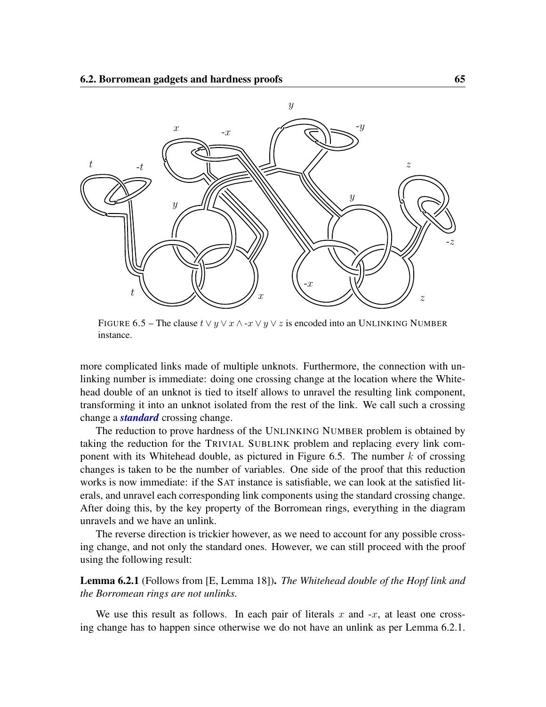<span id="page-76-0"></span>

FIGURE 6.5 – The clause  $t \vee y \vee x \wedge \neg x \vee y \vee z$  is encoded into an UNLINKING NUMBER instance.

more complicated links made of multiple unknots. Furthermore, the connection with unlinking number is immediate: doing one crossing change at the location where the Whitehead double of an unknot is tied to itself allows to unravel the resulting link component, transforming it into an unknot isolated from the rest of the link. We call such a crossing change a *standard* crossing change.

The reduction to prove hardness of the UNLINKING NUMBER problem is obtained by taking the reduction for the TRIVIAL SUBLINK problem and replacing every link com-ponent with its Whitehead double, as pictured in Figure [6.5.](#page-76-0) The number  $k$  of crossing changes is taken to be the number of variables. One side of the proof that this reduction works is now immediate: if the SAT instance is satisfiable, we can look at the satisfied literals, and unravel each corresponding link components using the standard crossing change. After doing this, by the key property of the Borromean rings, everything in the diagram unravels and we have an unlink.

The reverse direction is trickier however, as we need to account for any possible crossing change, and not only the standard ones. However, we can still proceed with the proof using the following result:

<span id="page-76-1"></span>Lemma 6.2.1 (Follows from [\[E,](#page-8-0) Lemma 18]). *The Whitehead double of the Hopf link and the Borromean rings are not unlinks.*

We use this result as follows. In each pair of literals x and  $-x$ , at least one crossing change has to happen since otherwise we do not have an unlink as per Lemma [6.2.1.](#page-76-1)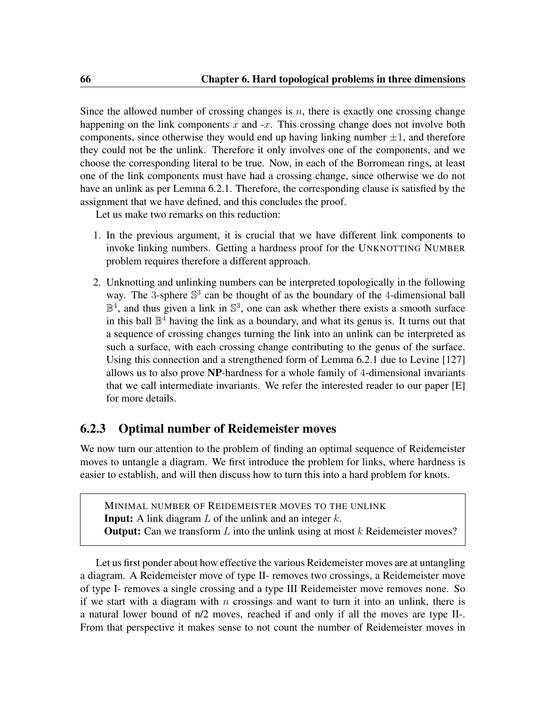Since the allowed number of crossing changes is  $n$ , there is exactly one crossing change happening on the link components x and  $-x$ . This crossing change does not involve both components, since otherwise they would end up having linking number  $\pm 1$ , and therefore they could not be the unlink. Therefore it only involves one of the components, and we choose the corresponding literal to be true. Now, in each of the Borromean rings, at least one of the link components must have had a crossing change, since otherwise we do not have an unlink as per Lemma [6.2.1.](#page-76-1) Therefore, the corresponding clause is satisfied by the assignment that we have defined, and this concludes the proof.

Let us make two remarks on this reduction:

- 1. In the previous argument, it is crucial that we have different link components to invoke linking numbers. Getting a hardness proof for the UNKNOTTING NUMBER problem requires therefore a different approach.
- 2. Unknotting and unlinking numbers can be interpreted topologically in the following way. The 3-sphere  $\mathbb{S}^3$  can be thought of as the boundary of the 4-dimensional ball  $\mathbb{B}^4$ , and thus given a link in  $\mathbb{S}^3$ , one can ask whether there exists a smooth surface in this ball  $\mathbb{B}^4$  having the link as a boundary, and what its genus is. It turns out that a sequence of crossing changes turning the link into an unlink can be interpreted as such a surface, with each crossing change contributing to the genus of the surface. Using this connection and a strengthened form of Lemma [6.2.1](#page-76-1) due to Levine [\[127\]](#page-116-0) allows us to also prove NP-hardness for a whole family of 4-dimensional invariants that we call intermediate invariants. We refer the interested reader to our paper [\[E\]](#page-8-0) for more details.

### 6.2.3 Optimal number of Reidemeister moves

We now turn our attention to the problem of finding an optimal sequence of Reidemeister moves to untangle a diagram. We first introduce the problem for links, where hardness is easier to establish, and will then discuss how to turn this into a hard problem for knots.

MINIMAL NUMBER OF REIDEMEISTER MOVES TO THE UNLINK **Input:** A link diagram  $L$  of the unlink and an integer  $k$ . **Output:** Can we transform  $L$  into the unlink using at most  $k$  Reidemeister moves?

Let us first ponder about how effective the various Reidemeister moves are at untangling a diagram. A Reidemeister move of type II- removes two crossings, a Reidemeister move of type I- removes a single crossing and a type III Reidemeister move removes none. So if we start with a diagram with n crossings and want to turn it into an unlink, there is a natural lower bound of n/2 moves, reached if and only if all the moves are type II-. From that perspective it makes sense to not count the number of Reidemeister moves in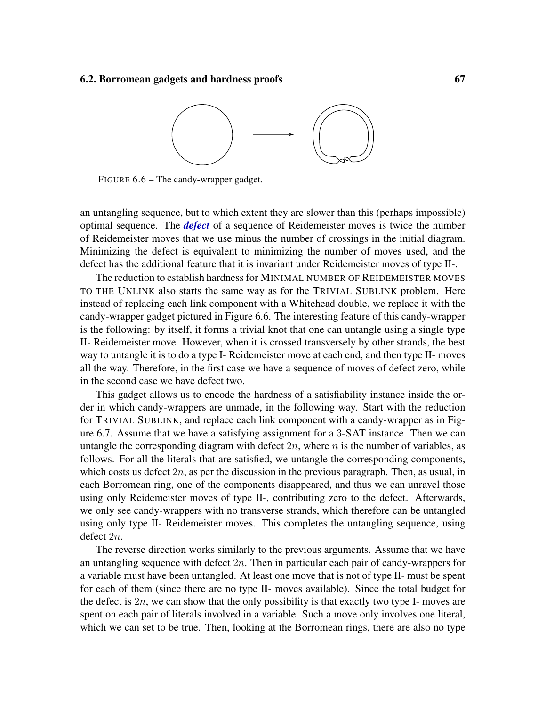<span id="page-78-0"></span>

FIGURE 6.6 – The candy-wrapper gadget.

an untangling sequence, but to which extent they are slower than this (perhaps impossible) optimal sequence. The *defect* of a sequence of Reidemeister moves is twice the number of Reidemeister moves that we use minus the number of crossings in the initial diagram. Minimizing the defect is equivalent to minimizing the number of moves used, and the defect has the additional feature that it is invariant under Reidemeister moves of type II-.

The reduction to establish hardness for MINIMAL NUMBER OF REIDEMEISTER MOVES TO THE UNLINK also starts the same way as for the TRIVIAL SUBLINK problem. Here instead of replacing each link component with a Whitehead double, we replace it with the candy-wrapper gadget pictured in Figure [6.6.](#page-78-0) The interesting feature of this candy-wrapper is the following: by itself, it forms a trivial knot that one can untangle using a single type II- Reidemeister move. However, when it is crossed transversely by other strands, the best way to untangle it is to do a type I- Reidemeister move at each end, and then type II- moves all the way. Therefore, in the first case we have a sequence of moves of defect zero, while in the second case we have defect two.

This gadget allows us to encode the hardness of a satisfiability instance inside the order in which candy-wrappers are unmade, in the following way. Start with the reduction for TRIVIAL SUBLINK, and replace each link component with a candy-wrapper as in Figure [6.7.](#page-79-0) Assume that we have a satisfying assignment for a 3-SAT instance. Then we can untangle the corresponding diagram with defect  $2n$ , where n is the number of variables, as follows. For all the literals that are satisfied, we untangle the corresponding components, which costs us defect  $2n$ , as per the discussion in the previous paragraph. Then, as usual, in each Borromean ring, one of the components disappeared, and thus we can unravel those using only Reidemeister moves of type II-, contributing zero to the defect. Afterwards, we only see candy-wrappers with no transverse strands, which therefore can be untangled using only type II- Reidemeister moves. This completes the untangling sequence, using defect 2n.

The reverse direction works similarly to the previous arguments. Assume that we have an untangling sequence with defect  $2n$ . Then in particular each pair of candy-wrappers for a variable must have been untangled. At least one move that is not of type II- must be spent for each of them (since there are no type II- moves available). Since the total budget for the defect is  $2n$ , we can show that the only possibility is that exactly two type I- moves are spent on each pair of literals involved in a variable. Such a move only involves one literal, which we can set to be true. Then, looking at the Borromean rings, there are also no type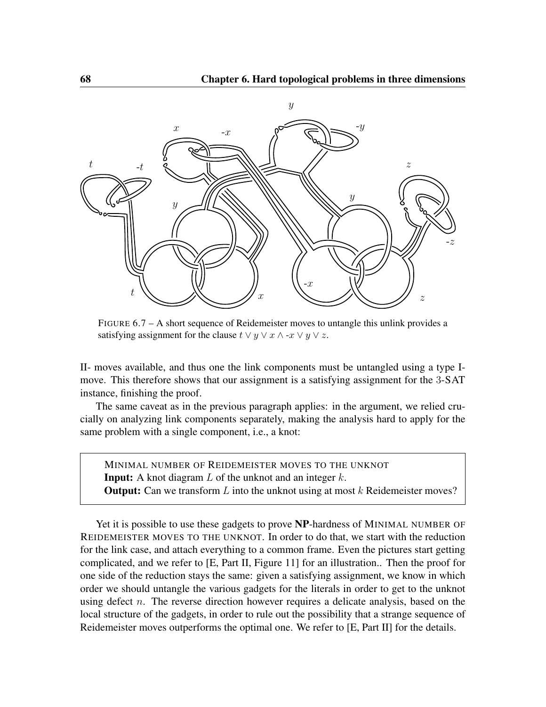<span id="page-79-0"></span>

FIGURE 6.7 – A short sequence of Reidemeister moves to untangle this unlink provides a satisfying assignment for the clause  $t \vee y \vee x \wedge -x \vee y \vee z$ .

II- moves available, and thus one the link components must be untangled using a type Imove. This therefore shows that our assignment is a satisfying assignment for the 3-SAT instance, finishing the proof.

The same caveat as in the previous paragraph applies: in the argument, we relied crucially on analyzing link components separately, making the analysis hard to apply for the same problem with a single component, i.e., a knot:

MINIMAL NUMBER OF REIDEMEISTER MOVES TO THE UNKNOT **Input:** A knot diagram  $L$  of the unknot and an integer  $k$ . **Output:** Can we transform  $L$  into the unknot using at most  $k$  Reidemeister moves?

Yet it is possible to use these gadgets to prove **NP**-hardness of MINIMAL NUMBER OF REIDEMEISTER MOVES TO THE UNKNOT. In order to do that, we start with the reduction for the link case, and attach everything to a common frame. Even the pictures start getting complicated, and we refer to [\[E,](#page-8-0) Part II, Figure 11] for an illustration.. Then the proof for one side of the reduction stays the same: given a satisfying assignment, we know in which order we should untangle the various gadgets for the literals in order to get to the unknot using defect n. The reverse direction however requires a delicate analysis, based on the local structure of the gadgets, in order to rule out the possibility that a strange sequence of Reidemeister moves outperforms the optimal one. We refer to [\[E,](#page-8-0) Part II] for the details.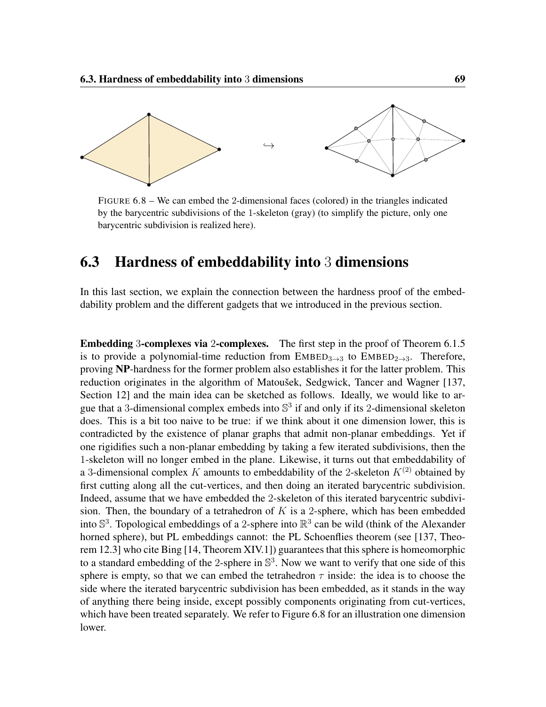<span id="page-80-2"></span><span id="page-80-1"></span>

FIGURE 6.8 – We can embed the 2-dimensional faces (colored) in the triangles indicated by the barycentric subdivisions of the 1-skeleton (gray) (to simplify the picture, only one barycentric subdivision is realized here).

## <span id="page-80-0"></span>6.3 Hardness of embeddability into 3 dimensions

In this last section, we explain the connection between the hardness proof of the embeddability problem and the different gadgets that we introduced in the previous section.

Embedding 3-complexes via 2-complexes. The first step in the proof of Theorem [6.1.5](#page-73-0) is to provide a polynomial-time reduction from  $EMBED_{3\rightarrow 3}$  to  $EMBED_{2\rightarrow 3}$ . Therefore, proving NP-hardness for the former problem also establishes it for the latter problem. This reduction originates in the algorithm of Matoušek, Sedgwick, Tancer and Wagner [\[137,](#page-117-1) Section 12] and the main idea can be sketched as follows. Ideally, we would like to argue that a 3-dimensional complex embeds into  $\mathbb{S}^3$  if and only if its 2-dimensional skeleton does. This is a bit too naive to be true: if we think about it one dimension lower, this is contradicted by the existence of planar graphs that admit non-planar embeddings. Yet if one rigidifies such a non-planar embedding by taking a few iterated subdivisions, then the 1-skeleton will no longer embed in the plane. Likewise, it turns out that embeddability of a 3-dimensional complex K amounts to embeddability of the 2-skeleton  $K^{(2)}$  obtained by first cutting along all the cut-vertices, and then doing an iterated barycentric subdivision. Indeed, assume that we have embedded the 2-skeleton of this iterated barycentric subdivision. Then, the boundary of a tetrahedron of  $K$  is a 2-sphere, which has been embedded into  $\mathbb{S}^3$ . Topological embeddings of a 2-sphere into  $\mathbb{R}^3$  can be wild (think of the Alexander horned sphere), but PL embeddings cannot: the PL Schoenflies theorem (see [\[137,](#page-117-1) Theorem 12.3] who cite Bing [\[14,](#page-107-0) Theorem XIV.1]) guarantees that this sphere is homeomorphic to a standard embedding of the 2-sphere in  $\mathbb{S}^3$ . Now we want to verify that one side of this sphere is empty, so that we can embed the tetrahedron  $\tau$  inside: the idea is to choose the side where the iterated barycentric subdivision has been embedded, as it stands in the way of anything there being inside, except possibly components originating from cut-vertices, which have been treated separately. We refer to Figure [6.8](#page-80-1) for an illustration one dimension lower.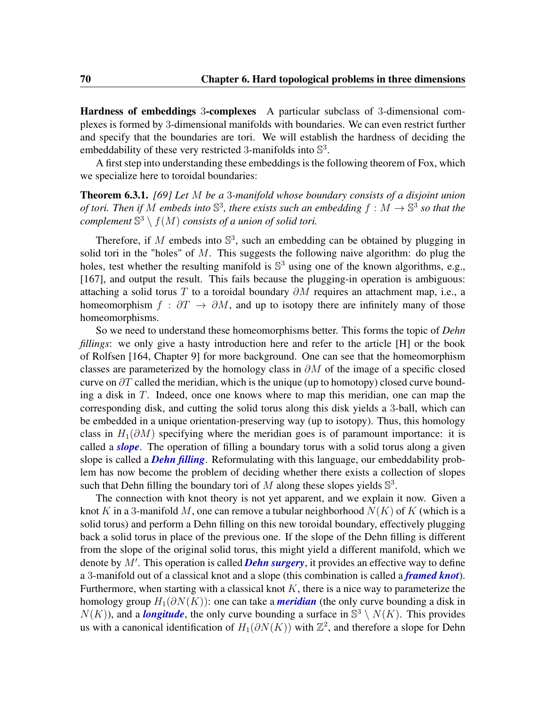Hardness of embeddings 3-complexes A particular subclass of 3-dimensional complexes is formed by 3-dimensional manifolds with boundaries. We can even restrict further and specify that the boundaries are tori. We will establish the hardness of deciding the embeddability of these very restricted 3-manifolds into  $\mathbb{S}^3$ .

A first step into understanding these embeddings is the following theorem of Fox, which we specialize here to toroidal boundaries:

Theorem 6.3.1. *[\[69\]](#page-111-1) Let* M *be a* 3*-manifold whose boundary consists of a disjoint union of tori. Then if* M *embeds into*  $\mathbb{S}^3$ *, there exists such an embedding*  $f : M \to \mathbb{S}^3$  so that the *complement*  $\mathbb{S}^3 \setminus f(M)$  *consists of a union of solid tori.* 

Therefore, if M embeds into  $\mathbb{S}^3$ , such an embedding can be obtained by plugging in solid tori in the "holes" of  $M$ . This suggests the following naive algorithm: do plug the holes, test whether the resulting manifold is  $\mathbb{S}^3$  using one of the known algorithms, e.g., [\[167\]](#page-119-1), and output the result. This fails because the plugging-in operation is ambiguous: attaching a solid torus T to a toroidal boundary  $\partial M$  requires an attachment map, i.e., a homeomorphism  $f : \partial T \to \partial M$ , and up to isotopy there are infinitely many of those homeomorphisms.

So we need to understand these homeomorphisms better. This forms the topic of *Dehn fillings*: we only give a hasty introduction here and refer to the article [\[H\]](#page-9-1) or the book of Rolfsen [\[164,](#page-119-2) Chapter 9] for more background. One can see that the homeomorphism classes are parameterized by the homology class in  $\partial M$  of the image of a specific closed curve on  $\partial T$  called the meridian, which is the unique (up to homotopy) closed curve bounding a disk in  $T$ . Indeed, once one knows where to map this meridian, one can map the corresponding disk, and cutting the solid torus along this disk yields a 3-ball, which can be embedded in a unique orientation-preserving way (up to isotopy). Thus, this homology class in  $H_1(\partial M)$  specifying where the meridian goes is of paramount importance: it is called a *slope*. The operation of filling a boundary torus with a solid torus along a given slope is called a *Dehn filling*. Reformulating with this language, our embeddability problem has now become the problem of deciding whether there exists a collection of slopes such that Dehn filling the boundary tori of M along these slopes yields  $\mathbb{S}^3$ .

The connection with knot theory is not yet apparent, and we explain it now. Given a knot K in a 3-manifold M, one can remove a tubular neighborhood  $N(K)$  of K (which is a solid torus) and perform a Dehn filling on this new toroidal boundary, effectively plugging back a solid torus in place of the previous one. If the slope of the Dehn filling is different from the slope of the original solid torus, this might yield a different manifold, which we denote by M'. This operation is called **Dehn surgery**, it provides an effective way to define a 3-manifold out of a classical knot and a slope (this combination is called a *framed knot*). Furthermore, when starting with a classical knot  $K$ , there is a nice way to parameterize the homology group  $H_1(\partial N(K))$ : one can take a *meridian* (the only curve bounding a disk in  $N(K)$ ), and a *longitude*, the only curve bounding a surface in  $\mathbb{S}^3 \setminus N(K)$ . This provides us with a canonical identification of  $H_1(\partial N(K))$  with  $\mathbb{Z}^2$ , and therefore a slope for Dehn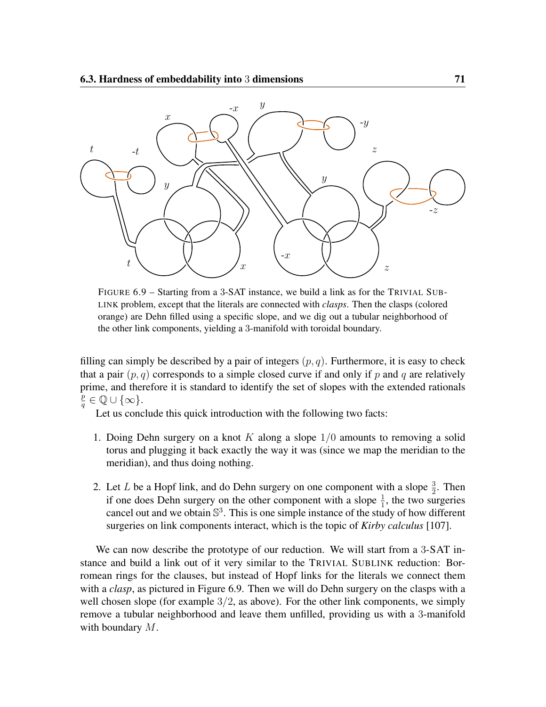<span id="page-82-0"></span>

FIGURE 6.9 – Starting from a 3-SAT instance, we build a link as for the TRIVIAL SUB-LINK problem, except that the literals are connected with *clasps*. Then the clasps (colored orange) are Dehn filled using a specific slope, and we dig out a tubular neighborhood of the other link components, yielding a 3-manifold with toroidal boundary.

filling can simply be described by a pair of integers  $(p, q)$ . Furthermore, it is easy to check that a pair  $(p, q)$  corresponds to a simple closed curve if and only if p and q are relatively prime, and therefore it is standard to identify the set of slopes with the extended rationals p  $\frac{p}{q} \in \mathbb{Q} \cup \{\infty\}.$ 

Let us conclude this quick introduction with the following two facts:

- 1. Doing Dehn surgery on a knot  $K$  along a slope  $1/0$  amounts to removing a solid torus and plugging it back exactly the way it was (since we map the meridian to the meridian), and thus doing nothing.
- 2. Let L be a Hopf link, and do Dehn surgery on one component with a slope  $\frac{3}{2}$ . Then if one does Dehn surgery on the other component with a slope  $\frac{1}{1}$ , the two surgeries cancel out and we obtain  $\mathbb{S}^3$ . This is one simple instance of the study of how different surgeries on link components interact, which is the topic of *Kirby calculus* [\[107\]](#page-114-3).

We can now describe the prototype of our reduction. We will start from a 3-SAT instance and build a link out of it very similar to the TRIVIAL SUBLINK reduction: Borromean rings for the clauses, but instead of Hopf links for the literals we connect them with a *clasp*, as pictured in Figure [6.9.](#page-82-0) Then we will do Dehn surgery on the clasps with a well chosen slope (for example  $3/2$ , as above). For the other link components, we simply remove a tubular neighborhood and leave them unfilled, providing us with a 3-manifold with boundary M.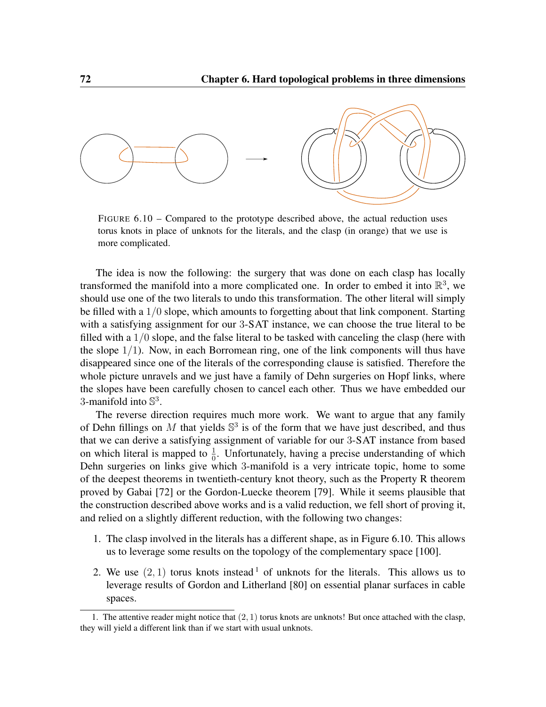<span id="page-83-0"></span>

FIGURE 6.10 – Compared to the prototype described above, the actual reduction uses torus knots in place of unknots for the literals, and the clasp (in orange) that we use is more complicated.

The idea is now the following: the surgery that was done on each clasp has locally transformed the manifold into a more complicated one. In order to embed it into  $\mathbb{R}^3$ , we should use one of the two literals to undo this transformation. The other literal will simply be filled with a  $1/0$  slope, which amounts to forgetting about that link component. Starting with a satisfying assignment for our 3-SAT instance, we can choose the true literal to be filled with a  $1/0$  slope, and the false literal to be tasked with canceling the clasp (here with the slope  $1/1$ ). Now, in each Borromean ring, one of the link components will thus have disappeared since one of the literals of the corresponding clause is satisfied. Therefore the whole picture unravels and we just have a family of Dehn surgeries on Hopf links, where the slopes have been carefully chosen to cancel each other. Thus we have embedded our 3-manifold into  $\mathbb{S}^3$ .

The reverse direction requires much more work. We want to argue that any family of Dehn fillings on M that yields  $\mathbb{S}^3$  is of the form that we have just described, and thus that we can derive a satisfying assignment of variable for our 3-SAT instance from based on which literal is mapped to  $\frac{1}{0}$ . Unfortunately, having a precise understanding of which Dehn surgeries on links give which 3-manifold is a very intricate topic, home to some of the deepest theorems in twentieth-century knot theory, such as the Property R theorem proved by Gabai [\[72\]](#page-112-1) or the Gordon-Luecke theorem [\[79\]](#page-112-2). While it seems plausible that the construction described above works and is a valid reduction, we fell short of proving it, and relied on a slightly different reduction, with the following two changes:

- 1. The clasp involved in the literals has a different shape, as in Figure [6.10.](#page-83-0) This allows us to leverage some results on the topology of the complementary space [\[100\]](#page-114-4).
- 2. We use  $(2, 1)$  $(2, 1)$  $(2, 1)$  torus knots instead  $\frac{1}{1}$  of unknots for the literals. This allows us to leverage results of Gordon and Litherland [\[80\]](#page-112-3) on essential planar surfaces in cable spaces.

<span id="page-83-1"></span><sup>1.</sup> The attentive reader might notice that  $(2, 1)$  torus knots are unknots! But once attached with the clasp, they will yield a different link than if we start with usual unknots.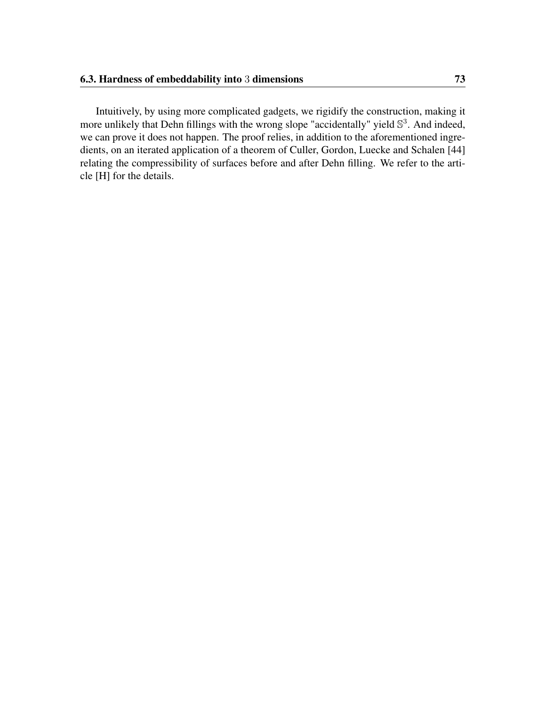Intuitively, by using more complicated gadgets, we rigidify the construction, making it more unlikely that Dehn fillings with the wrong slope "accidentally" yield  $\mathbb{S}^3$ . And indeed, we can prove it does not happen. The proof relies, in addition to the aforementioned ingredients, on an iterated application of a theorem of Culler, Gordon, Luecke and Schalen [\[44\]](#page-109-0) relating the compressibility of surfaces before and after Dehn filling. We refer to the article [\[H\]](#page-9-1) for the details.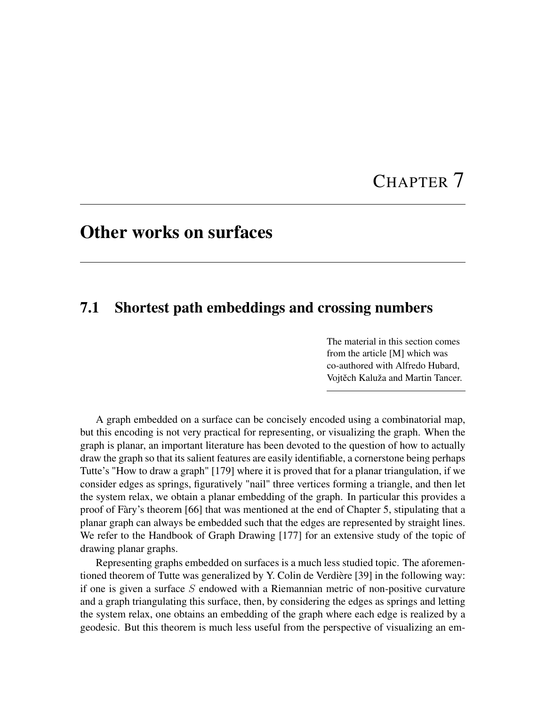# CHAPTER 7

## <span id="page-86-0"></span>Other works on surfaces

## 7.1 Shortest path embeddings and crossing numbers

The material in this section comes from the article [\[M\]](#page-9-2) which was co-authored with Alfredo Hubard, Vojtěch Kaluža and Martin Tancer.

A graph embedded on a surface can be concisely encoded using a combinatorial map, but this encoding is not very practical for representing, or visualizing the graph. When the graph is planar, an important literature has been devoted to the question of how to actually draw the graph so that its salient features are easily identifiable, a cornerstone being perhaps Tutte's "How to draw a graph" [\[179\]](#page-120-1) where it is proved that for a planar triangulation, if we consider edges as springs, figuratively "nail" three vertices forming a triangle, and then let the system relax, we obtain a planar embedding of the graph. In particular this provides a proof of Fàry's theorem [\[66\]](#page-111-2) that was mentioned at the end of Chapter [5,](#page-52-0) stipulating that a planar graph can always be embedded such that the edges are represented by straight lines. We refer to the Handbook of Graph Drawing [\[177\]](#page-120-2) for an extensive study of the topic of drawing planar graphs.

Representing graphs embedded on surfaces is a much less studied topic. The aforementioned theorem of Tutte was generalized by Y. Colin de Verdière [\[39\]](#page-109-1) in the following way: if one is given a surface  $S$  endowed with a Riemannian metric of non-positive curvature and a graph triangulating this surface, then, by considering the edges as springs and letting the system relax, one obtains an embedding of the graph where each edge is realized by a geodesic. But this theorem is much less useful from the perspective of visualizing an em-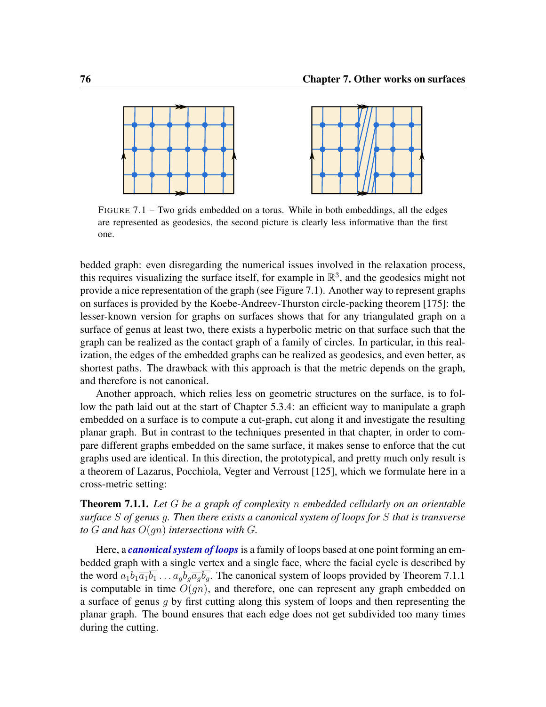<span id="page-87-0"></span>

FIGURE 7.1 – Two grids embedded on a torus. While in both embeddings, all the edges are represented as geodesics, the second picture is clearly less informative than the first one.

bedded graph: even disregarding the numerical issues involved in the relaxation process, this requires visualizing the surface itself, for example in  $\mathbb{R}^3$ , and the geodesics might not provide a nice representation of the graph (see Figure [7.1\)](#page-87-0). Another way to represent graphs on surfaces is provided by the Koebe-Andreev-Thurston circle-packing theorem [\[175\]](#page-119-3): the lesser-known version for graphs on surfaces shows that for any triangulated graph on a surface of genus at least two, there exists a hyperbolic metric on that surface such that the graph can be realized as the contact graph of a family of circles. In particular, in this realization, the edges of the embedded graphs can be realized as geodesics, and even better, as shortest paths. The drawback with this approach is that the metric depends on the graph, and therefore is not canonical.

Another approach, which relies less on geometric structures on the surface, is to follow the path laid out at the start of Chapter [5.3.4:](#page-62-0) an efficient way to manipulate a graph embedded on a surface is to compute a cut-graph, cut along it and investigate the resulting planar graph. But in contrast to the techniques presented in that chapter, in order to compare different graphs embedded on the same surface, it makes sense to enforce that the cut graphs used are identical. In this direction, the prototypical, and pretty much only result is a theorem of Lazarus, Pocchiola, Vegter and Verroust [\[125\]](#page-116-1), which we formulate here in a cross-metric setting:

<span id="page-87-1"></span>Theorem 7.1.1. *Let* G *be a graph of complexity* n *embedded cellularly on an orientable surface* S *of genus* g*. Then there exists a canonical system of loops for* S *that is transverse to*  $G$  *and has*  $O(qn)$  *intersections with*  $G$ *.* 

Here, a *canonical system of loops* is a family of loops based at one point forming an embedded graph with a single vertex and a single face, where the facial cycle is described by the word  $a_1b_1\overline{a_1}\overline{b_1} \ldots a_nb_q\overline{a_q}\overline{b_q}$ . The canonical system of loops provided by Theorem [7.1.1](#page-87-1) is computable in time  $O(qn)$ , and therefore, one can represent any graph embedded on a surface of genus q by first cutting along this system of loops and then representing the planar graph. The bound ensures that each edge does not get subdivided too many times during the cutting.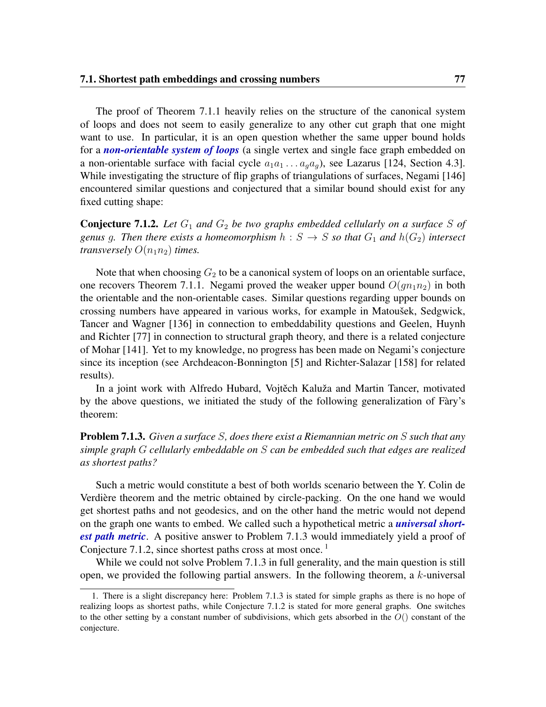<span id="page-88-3"></span>The proof of Theorem [7.1.1](#page-87-1) heavily relies on the structure of the canonical system of loops and does not seem to easily generalize to any other cut graph that one might want to use. In particular, it is an open question whether the same upper bound holds for a *non-orientable system of loops* (a single vertex and single face graph embedded on a non-orientable surface with facial cycle  $a_1a_1 \ldots a_qa_q$ ), see Lazarus [\[124,](#page-116-2) Section 4.3]. While investigating the structure of flip graphs of triangulations of surfaces, Negami [\[146\]](#page-117-2) encountered similar questions and conjectured that a similar bound should exist for any fixed cutting shape:

<span id="page-88-1"></span>**Conjecture 7.1.2.** Let  $G_1$  and  $G_2$  be two graphs embedded cellularly on a surface S of *genus g. Then there exists a homeomorphism*  $h : S \rightarrow S$  *so that*  $G_1$  *and*  $h(G_2)$  *intersect transversely*  $O(n_1n_2)$  *times.* 

Note that when choosing  $G_2$  to be a canonical system of loops on an orientable surface, one recovers Theorem [7.1.1.](#page-87-1) Negami proved the weaker upper bound  $O(gn_1n_2)$  in both the orientable and the non-orientable cases. Similar questions regarding upper bounds on crossing numbers have appeared in various works, for example in Matoušek, Sedgwick, Tancer and Wagner [\[136\]](#page-117-3) in connection to embeddability questions and Geelen, Huynh and Richter [\[77\]](#page-112-4) in connection to structural graph theory, and there is a related conjecture of Mohar [\[141\]](#page-117-4). Yet to my knowledge, no progress has been made on Negami's conjecture since its inception (see Archdeacon-Bonnington [\[5\]](#page-106-1) and Richter-Salazar [\[158\]](#page-118-0) for related results).

In a joint work with Alfredo Hubard, Vojtěch Kaluža and Martin Tancer, motivated by the above questions, we initiated the study of the following generalization of Fàry's theorem:

### <span id="page-88-0"></span>Problem 7.1.3. *Given a surface* S*, does there exist a Riemannian metric on* S *such that any simple graph* G *cellularly embeddable on* S *can be embedded such that edges are realized as shortest paths?*

Such a metric would constitute a best of both worlds scenario between the Y. Colin de Verdière theorem and the metric obtained by circle-packing. On the one hand we would get shortest paths and not geodesics, and on the other hand the metric would not depend on the graph one wants to embed. We called such a hypothetical metric a *universal shortest path metric*. A positive answer to Problem [7.1.3](#page-88-0) would immediately yield a proof of Conjecture [7.1.2,](#page-88-1) since shortest paths cross at most once.  $<sup>1</sup>$  $<sup>1</sup>$  $<sup>1</sup>$ </sup>

While we could not solve Problem [7.1.3](#page-88-0) in full generality, and the main question is still open, we provided the following partial answers. In the following theorem, a  $k$ -universal

<span id="page-88-2"></span><sup>1.</sup> There is a slight discrepancy here: Problem [7.1.3](#page-88-0) is stated for simple graphs as there is no hope of realizing loops as shortest paths, while Conjecture [7.1.2](#page-88-1) is stated for more general graphs. One switches to the other setting by a constant number of subdivisions, which gets absorbed in the  $O($ ) constant of the conjecture.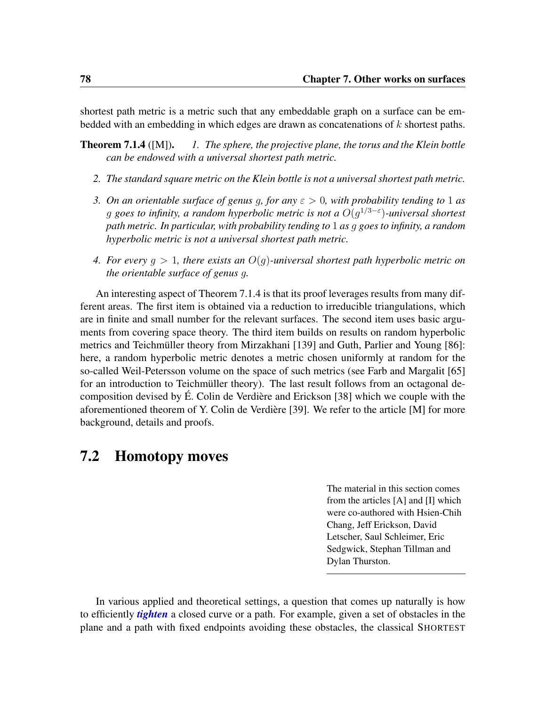shortest path metric is a metric such that any embeddable graph on a surface can be embedded with an embedding in which edges are drawn as concatenations of  $k$  shortest paths.

- Theorem 7.1.4 ([\[M\]](#page-9-2)). *1. The sphere, the projective plane, the torus and the Klein bottle can be endowed with a universal shortest path metric.*
	- *2. The standard square metric on the Klein bottle is not a universal shortest path metric.*
	- *3. On an orientable surface of genus* g*, for any* ε > 0*, with probability tending to* 1 *as* g *goes to infinity, a random hyperbolic metric is not a* O(g 1/3−ε )*-universal shortest path metric. In particular, with probability tending to* 1 *as* g *goes to infinity, a random hyperbolic metric is not a universal shortest path metric.*
	- *4. For every* g > 1*, there exists an* O(g)*-universal shortest path hyperbolic metric on the orientable surface of genus* g*.*

An interesting aspect of Theorem [7.1.4](#page-0-0) is that its proof leverages results from many different areas. The first item is obtained via a reduction to irreducible triangulations, which are in finite and small number for the relevant surfaces. The second item uses basic arguments from covering space theory. The third item builds on results on random hyperbolic metrics and Teichmüller theory from Mirzakhani [\[139\]](#page-117-5) and Guth, Parlier and Young [\[86\]](#page-113-0): here, a random hyperbolic metric denotes a metric chosen uniformly at random for the so-called Weil-Petersson volume on the space of such metrics (see Farb and Margalit [\[65\]](#page-111-3) for an introduction to Teichmüller theory). The last result follows from an octagonal decomposition devised by É. Colin de Verdière and Erickson [\[38\]](#page-109-2) which we couple with the aforementioned theorem of Y. Colin de Verdière [\[39\]](#page-109-1). We refer to the article [\[M\]](#page-9-2) for more background, details and proofs.

### 7.2 Homotopy moves

The material in this section comes from the articles [\[A\]](#page-8-1) and [\[I\]](#page-9-3) which were co-authored with Hsien-Chih Chang, Jeff Erickson, David Letscher, Saul Schleimer, Eric Sedgwick, Stephan Tillman and Dylan Thurston.

In various applied and theoretical settings, a question that comes up naturally is how to efficiently *tighten* a closed curve or a path. For example, given a set of obstacles in the plane and a path with fixed endpoints avoiding these obstacles, the classical SHORTEST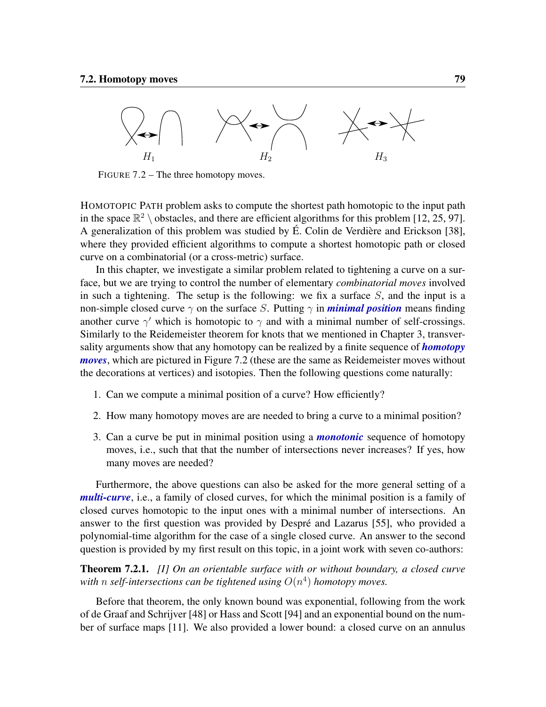<span id="page-90-2"></span><span id="page-90-0"></span>

FIGURE 7.2 – The three homotopy moves.

HOMOTOPIC PATH problem asks to compute the shortest path homotopic to the input path in the space  $\mathbb{R}^2 \setminus$  obstacles, and there are efficient algorithms for this problem [\[12,](#page-107-1) [25,](#page-108-0) [97\]](#page-114-5). A generalization of this problem was studied by É. Colin de Verdière and Erickson [\[38\]](#page-109-2), where they provided efficient algorithms to compute a shortest homotopic path or closed curve on a combinatorial (or a cross-metric) surface.

In this chapter, we investigate a similar problem related to tightening a curve on a surface, but we are trying to control the number of elementary *combinatorial moves* involved in such a tightening. The setup is the following: we fix a surface  $S$ , and the input is a non-simple closed curve  $\gamma$  on the surface S. Putting  $\gamma$  in *minimal position* means finding another curve  $\gamma'$  which is homotopic to  $\gamma$  and with a minimal number of self-crossings. Similarly to the Reidemeister theorem for knots that we mentioned in Chapter [3,](#page-24-0) transversality arguments show that any homotopy can be realized by a finite sequence of *homotopy moves*, which are pictured in Figure [7.2](#page-90-0) (these are the same as Reidemeister moves without the decorations at vertices) and isotopies. Then the following questions come naturally:

- 1. Can we compute a minimal position of a curve? How efficiently?
- 2. How many homotopy moves are are needed to bring a curve to a minimal position?
- 3. Can a curve be put in minimal position using a *monotonic* sequence of homotopy moves, i.e., such that that the number of intersections never increases? If yes, how many moves are needed?

Furthermore, the above questions can also be asked for the more general setting of a *multi-curve*, i.e., a family of closed curves, for which the minimal position is a family of closed curves homotopic to the input ones with a minimal number of intersections. An answer to the first question was provided by Despré and Lazarus [\[55\]](#page-110-0), who provided a polynomial-time algorithm for the case of a single closed curve. An answer to the second question is provided by my first result on this topic, in a joint work with seven co-authors:

<span id="page-90-1"></span>Theorem 7.2.1. *[\[I\]](#page-9-3) On an orientable surface with or without boundary, a closed curve* with  $n$  self-intersections can be tightened using  $O(n^4)$  homotopy moves.

Before that theorem, the only known bound was exponential, following from the work of de Graaf and Schrijver [\[48\]](#page-110-1) or Hass and Scott [\[94\]](#page-113-1) and an exponential bound on the number of surface maps [\[11\]](#page-107-2). We also provided a lower bound: a closed curve on an annulus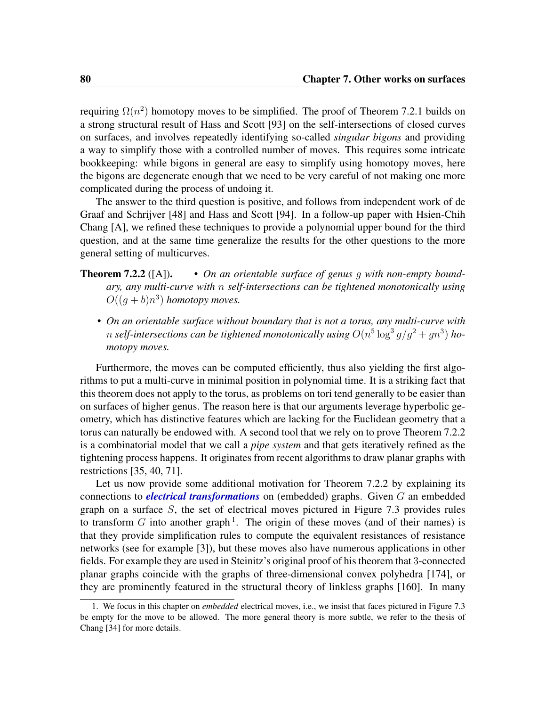<span id="page-91-1"></span>requiring  $\Omega(n^2)$  homotopy moves to be simplified. The proof of Theorem [7.2.1](#page-90-1) builds on a strong structural result of Hass and Scott [\[93\]](#page-113-2) on the self-intersections of closed curves on surfaces, and involves repeatedly identifying so-called *singular bigons* and providing a way to simplify those with a controlled number of moves. This requires some intricate bookkeeping: while bigons in general are easy to simplify using homotopy moves, here the bigons are degenerate enough that we need to be very careful of not making one more complicated during the process of undoing it.

The answer to the third question is positive, and follows from independent work of de Graaf and Schrijver [\[48\]](#page-110-1) and Hass and Scott [\[94\]](#page-113-1). In a follow-up paper with Hsien-Chih Chang [\[A\]](#page-8-1), we refined these techniques to provide a polynomial upper bound for the third question, and at the same time generalize the results for the other questions to the more general setting of multicurves.

- **Theorem 7.2.2** ([\[A\]](#page-8-1)). *On an orientable surface of genus q with non-empty boundary, any multi-curve with* n *self-intersections can be tightened monotonically using*  $O((g+b)n^3)$  *homotopy moves.* 
	- *On an orientable surface without boundary that is not a torus, any multi-curve with*  $n$  self-intersections can be tightened monotonically using  $O(n^5\log^3 g/g^2 + gn^3)$  ho*motopy moves.*

Furthermore, the moves can be computed efficiently, thus also yielding the first algorithms to put a multi-curve in minimal position in polynomial time. It is a striking fact that this theorem does not apply to the torus, as problems on tori tend generally to be easier than on surfaces of higher genus. The reason here is that our arguments leverage hyperbolic geometry, which has distinctive features which are lacking for the Euclidean geometry that a torus can naturally be endowed with. A second tool that we rely on to prove Theorem [7.2.2](#page-0-0) is a combinatorial model that we call a *pipe system* and that gets iteratively refined as the tightening process happens. It originates from recent algorithms to draw planar graphs with restrictions [\[35,](#page-109-3) [40,](#page-109-4) [71\]](#page-112-5).

Let us now provide some additional motivation for Theorem [7.2.2](#page-0-0) by explaining its connections to *electrical transformations* on (embedded) graphs. Given G an embedded graph on a surface S, the set of electrical moves pictured in Figure [7.3](#page-92-0) provides rules to transform G into another graph<sup>[1](#page-91-0)</sup>. The origin of these moves (and of their names) is that they provide simplification rules to compute the equivalent resistances of resistance networks (see for example [\[3\]](#page-106-2)), but these moves also have numerous applications in other fields. For example they are used in Steinitz's original proof of his theorem that 3-connected planar graphs coincide with the graphs of three-dimensional convex polyhedra [\[174\]](#page-119-4), or they are prominently featured in the structural theory of linkless graphs [\[160\]](#page-118-1). In many

<span id="page-91-0"></span><sup>1.</sup> We focus in this chapter on *embedded* electrical moves, i.e., we insist that faces pictured in Figure [7.3](#page-92-0) be empty for the move to be allowed. The more general theory is more subtle, we refer to the thesis of Chang [\[34\]](#page-109-5) for more details.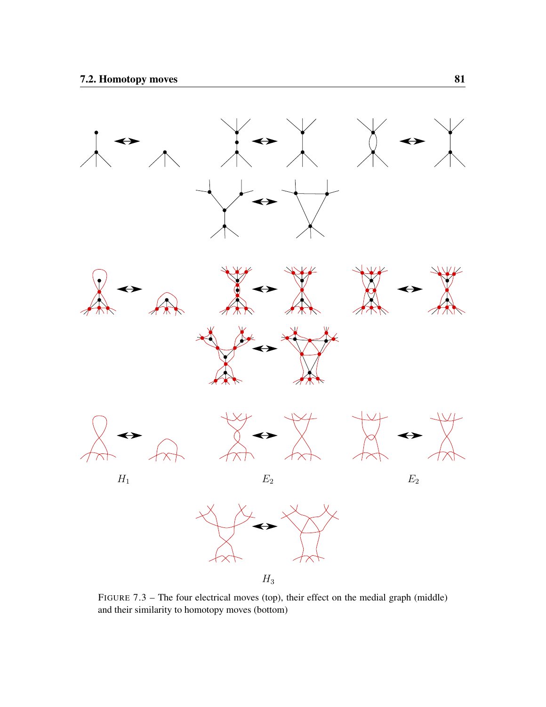<span id="page-92-0"></span>

FIGURE 7.3 – The four electrical moves (top), their effect on the medial graph (middle) and their similarity to homotopy moves (bottom)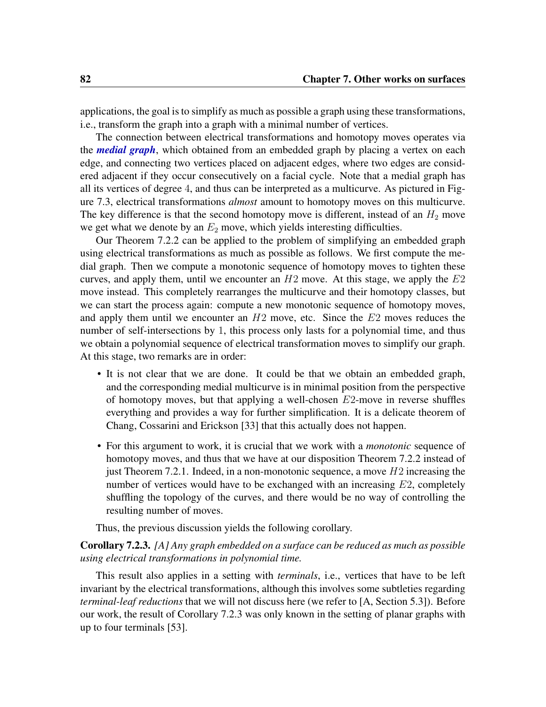applications, the goal is to simplify as much as possible a graph using these transformations, i.e., transform the graph into a graph with a minimal number of vertices.

The connection between electrical transformations and homotopy moves operates via the *medial graph*, which obtained from an embedded graph by placing a vertex on each edge, and connecting two vertices placed on adjacent edges, where two edges are considered adjacent if they occur consecutively on a facial cycle. Note that a medial graph has all its vertices of degree 4, and thus can be interpreted as a multicurve. As pictured in Figure [7.3,](#page-92-0) electrical transformations *almost* amount to homotopy moves on this multicurve. The key difference is that the second homotopy move is different, instead of an  $H_2$  move we get what we denote by an  $E_2$  move, which yields interesting difficulties.

Our Theorem [7.2.2](#page-0-0) can be applied to the problem of simplifying an embedded graph using electrical transformations as much as possible as follows. We first compute the medial graph. Then we compute a monotonic sequence of homotopy moves to tighten these curves, and apply them, until we encounter an  $H2$  move. At this stage, we apply the  $E2$ move instead. This completely rearranges the multicurve and their homotopy classes, but we can start the process again: compute a new monotonic sequence of homotopy moves, and apply them until we encounter an  $H2$  move, etc. Since the  $E2$  moves reduces the number of self-intersections by 1, this process only lasts for a polynomial time, and thus we obtain a polynomial sequence of electrical transformation moves to simplify our graph. At this stage, two remarks are in order:

- It is not clear that we are done. It could be that we obtain an embedded graph, and the corresponding medial multicurve is in minimal position from the perspective of homotopy moves, but that applying a well-chosen  $E2$ -move in reverse shuffles everything and provides a way for further simplification. It is a delicate theorem of Chang, Cossarini and Erickson [\[33\]](#page-108-1) that this actually does not happen.
- For this argument to work, it is crucial that we work with a *monotonic* sequence of homotopy moves, and thus that we have at our disposition Theorem [7.2.2](#page-0-0) instead of just Theorem [7.2.1.](#page-90-1) Indeed, in a non-monotonic sequence, a move  $H2$  increasing the number of vertices would have to be exchanged with an increasing E2, completely shuffling the topology of the curves, and there would be no way of controlling the resulting number of moves.

Thus, the previous discussion yields the following corollary.

#### <span id="page-93-0"></span>Corollary 7.2.3. *[\[A\]](#page-8-1) Any graph embedded on a surface can be reduced as much as possible using electrical transformations in polynomial time.*

This result also applies in a setting with *terminals*, i.e., vertices that have to be left invariant by the electrical transformations, although this involves some subtleties regarding *terminal-leaf reductions* that we will not discuss here (we refer to [\[A,](#page-8-1) Section 5.3]). Before our work, the result of Corollary [7.2.3](#page-93-0) was only known in the setting of planar graphs with up to four terminals [\[53\]](#page-110-2).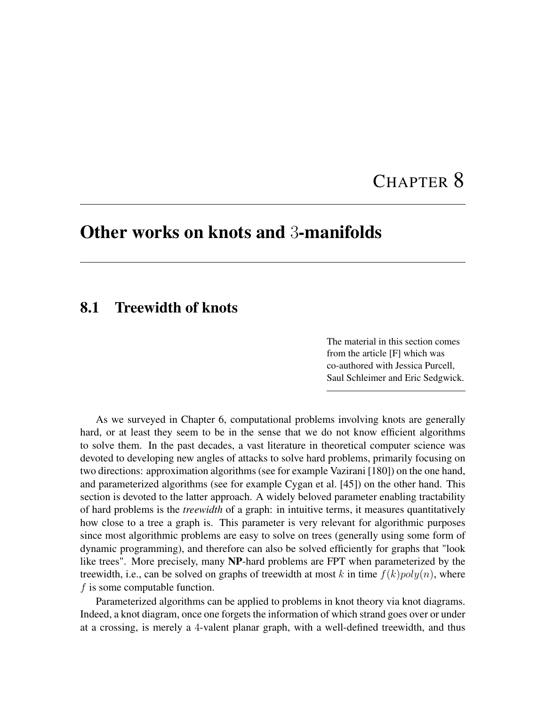# CHAPTER 8

## <span id="page-94-0"></span>Other works on knots and 3-manifolds

## 8.1 Treewidth of knots

The material in this section comes from the article [\[F\]](#page-9-4) which was co-authored with Jessica Purcell, Saul Schleimer and Eric Sedgwick.

As we surveyed in Chapter [6,](#page-68-0) computational problems involving knots are generally hard, or at least they seem to be in the sense that we do not know efficient algorithms to solve them. In the past decades, a vast literature in theoretical computer science was devoted to developing new angles of attacks to solve hard problems, primarily focusing on two directions: approximation algorithms (see for example Vazirani [\[180\]](#page-120-3)) on the one hand, and parameterized algorithms (see for example Cygan et al. [\[45\]](#page-110-3)) on the other hand. This section is devoted to the latter approach. A widely beloved parameter enabling tractability of hard problems is the *treewidth* of a graph: in intuitive terms, it measures quantitatively how close to a tree a graph is. This parameter is very relevant for algorithmic purposes since most algorithmic problems are easy to solve on trees (generally using some form of dynamic programming), and therefore can also be solved efficiently for graphs that "look like trees". More precisely, many NP-hard problems are FPT when parameterized by the treewidth, i.e., can be solved on graphs of treewidth at most k in time  $f(k)poly(n)$ , where  $f$  is some computable function.

Parameterized algorithms can be applied to problems in knot theory via knot diagrams. Indeed, a knot diagram, once one forgets the information of which strand goes over or under at a crossing, is merely a 4-valent planar graph, with a well-defined treewidth, and thus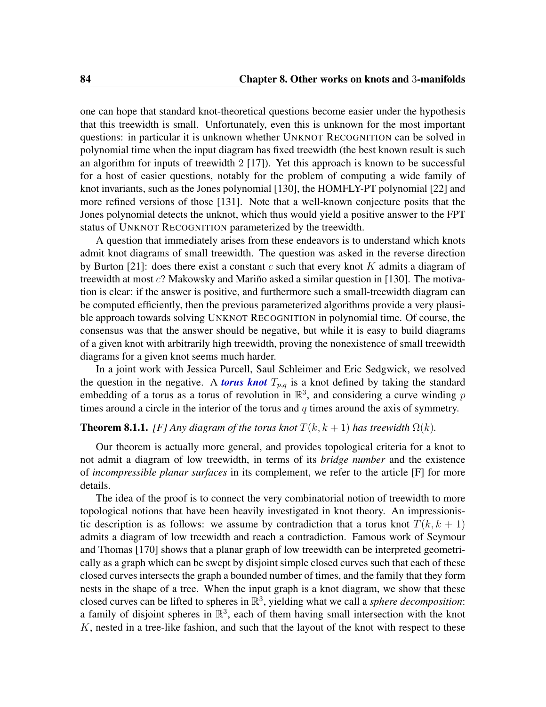<span id="page-95-1"></span>one can hope that standard knot-theoretical questions become easier under the hypothesis that this treewidth is small. Unfortunately, even this is unknown for the most important questions: in particular it is unknown whether UNKNOT RECOGNITION can be solved in polynomial time when the input diagram has fixed treewidth (the best known result is such an algorithm for inputs of treewidth  $2 \lfloor 17 \rfloor$ . Yet this approach is known to be successful for a host of easier questions, notably for the problem of computing a wide family of knot invariants, such as the Jones polynomial [\[130\]](#page-116-3), the HOMFLY-PT polynomial [\[22\]](#page-108-2) and more refined versions of those [\[131\]](#page-116-4). Note that a well-known conjecture posits that the Jones polynomial detects the unknot, which thus would yield a positive answer to the FPT status of UNKNOT RECOGNITION parameterized by the treewidth.

A question that immediately arises from these endeavors is to understand which knots admit knot diagrams of small treewidth. The question was asked in the reverse direction by Burton [\[21\]](#page-107-4): does there exist a constant c such that every knot K admits a diagram of treewidth at most c? Makowsky and Mariño asked a similar question in [\[130\]](#page-116-3). The motivation is clear: if the answer is positive, and furthermore such a small-treewidth diagram can be computed efficiently, then the previous parameterized algorithms provide a very plausible approach towards solving UNKNOT RECOGNITION in polynomial time. Of course, the consensus was that the answer should be negative, but while it is easy to build diagrams of a given knot with arbitrarily high treewidth, proving the nonexistence of small treewidth diagrams for a given knot seems much harder.

In a joint work with Jessica Purcell, Saul Schleimer and Eric Sedgwick, we resolved the question in the negative. A *torus knot*  $T_{p,q}$  is a knot defined by taking the standard embedding of a torus as a torus of revolution in  $\mathbb{R}^3$ , and considering a curve winding p times around a circle in the interior of the torus and  $q$  times around the axis of symmetry.

#### <span id="page-95-0"></span>**Theorem 8.1.1.** *[\[F\]](#page-9-4)* Any diagram of the torus knot  $T(k, k + 1)$  has treewidth  $\Omega(k)$ *.*

Our theorem is actually more general, and provides topological criteria for a knot to not admit a diagram of low treewidth, in terms of its *bridge number* and the existence of *incompressible planar surfaces* in its complement, we refer to the article [\[F\]](#page-9-4) for more details.

The idea of the proof is to connect the very combinatorial notion of treewidth to more topological notions that have been heavily investigated in knot theory. An impressionistic description is as follows: we assume by contradiction that a torus knot  $T(k, k + 1)$ admits a diagram of low treewidth and reach a contradiction. Famous work of Seymour and Thomas [\[170\]](#page-119-5) shows that a planar graph of low treewidth can be interpreted geometrically as a graph which can be swept by disjoint simple closed curves such that each of these closed curves intersects the graph a bounded number of times, and the family that they form nests in the shape of a tree. When the input graph is a knot diagram, we show that these closed curves can be lifted to spheres in  $\mathbb{R}^3$ , yielding what we call a *sphere decomposition*: a family of disjoint spheres in  $\mathbb{R}^3$ , each of them having small intersection with the knot K, nested in a tree-like fashion, and such that the layout of the knot with respect to these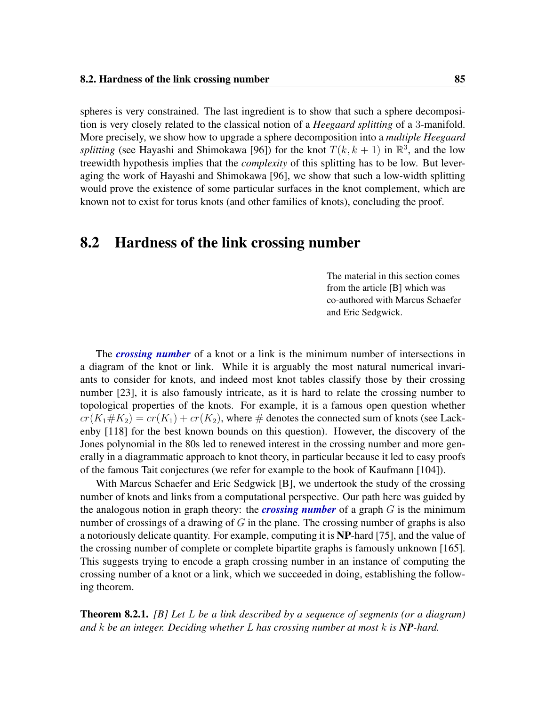spheres is very constrained. The last ingredient is to show that such a sphere decomposition is very closely related to the classical notion of a *Heegaard splitting* of a 3-manifold. More precisely, we show how to upgrade a sphere decomposition into a *multiple Heegaard splitting* (see Hayashi and Shimokawa [\[96\]](#page-113-3)) for the knot  $T(k, k + 1)$  in  $\mathbb{R}^3$ , and the low treewidth hypothesis implies that the *complexity* of this splitting has to be low. But leveraging the work of Hayashi and Shimokawa [\[96\]](#page-113-3), we show that such a low-width splitting would prove the existence of some particular surfaces in the knot complement, which are known not to exist for torus knots (and other families of knots), concluding the proof.

### 8.2 Hardness of the link crossing number

The material in this section comes from the article [\[B\]](#page-8-2) which was co-authored with Marcus Schaefer and Eric Sedgwick.

The *crossing number* of a knot or a link is the minimum number of intersections in a diagram of the knot or link. While it is arguably the most natural numerical invariants to consider for knots, and indeed most knot tables classify those by their crossing number [\[23\]](#page-108-3), it is also famously intricate, as it is hard to relate the crossing number to topological properties of the knots. For example, it is a famous open question whether  $cr(K_1 \# K_2) = cr(K_1) + cr(K_2)$ , where  $\#$  denotes the connected sum of knots (see Lackenby [\[118\]](#page-115-0) for the best known bounds on this question). However, the discovery of the Jones polynomial in the 80s led to renewed interest in the crossing number and more generally in a diagrammatic approach to knot theory, in particular because it led to easy proofs of the famous Tait conjectures (we refer for example to the book of Kaufmann [\[104\]](#page-114-6)).

With Marcus Schaefer and Eric Sedgwick [\[B\]](#page-8-2), we undertook the study of the crossing number of knots and links from a computational perspective. Our path here was guided by the analogous notion in graph theory: the *crossing number* of a graph G is the minimum number of crossings of a drawing of  $G$  in the plane. The crossing number of graphs is also a notoriously delicate quantity. For example, computing it is NP-hard [\[75\]](#page-112-6), and the value of the crossing number of complete or complete bipartite graphs is famously unknown [\[165\]](#page-119-6). This suggests trying to encode a graph crossing number in an instance of computing the crossing number of a knot or a link, which we succeeded in doing, establishing the following theorem.

<span id="page-96-0"></span>Theorem 8.2.1. *[\[B\]](#page-8-2) Let* L *be a link described by a sequence of segments (or a diagram) and* k *be an integer. Deciding whether* L *has crossing number at most* k *is NP-hard.*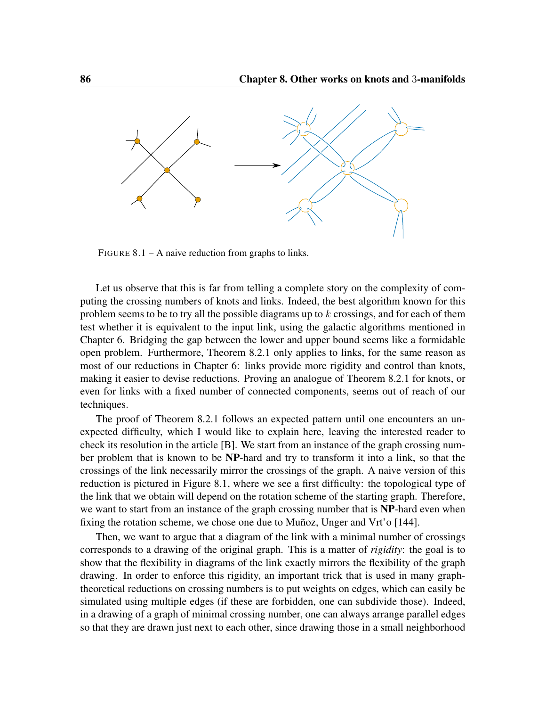<span id="page-97-0"></span>

FIGURE  $8.1 - A$  naive reduction from graphs to links.

Let us observe that this is far from telling a complete story on the complexity of computing the crossing numbers of knots and links. Indeed, the best algorithm known for this problem seems to be to try all the possible diagrams up to  $k$  crossings, and for each of them test whether it is equivalent to the input link, using the galactic algorithms mentioned in Chapter [6.](#page-68-0) Bridging the gap between the lower and upper bound seems like a formidable open problem. Furthermore, Theorem [8.2.1](#page-96-0) only applies to links, for the same reason as most of our reductions in Chapter [6:](#page-68-0) links provide more rigidity and control than knots, making it easier to devise reductions. Proving an analogue of Theorem [8.2.1](#page-96-0) for knots, or even for links with a fixed number of connected components, seems out of reach of our techniques.

The proof of Theorem [8.2.1](#page-96-0) follows an expected pattern until one encounters an unexpected difficulty, which I would like to explain here, leaving the interested reader to check its resolution in the article [\[B\]](#page-8-2). We start from an instance of the graph crossing number problem that is known to be NP-hard and try to transform it into a link, so that the crossings of the link necessarily mirror the crossings of the graph. A naive version of this reduction is pictured in Figure [8.1,](#page-97-0) where we see a first difficulty: the topological type of the link that we obtain will depend on the rotation scheme of the starting graph. Therefore, we want to start from an instance of the graph crossing number that is NP-hard even when fixing the rotation scheme, we chose one due to Muñoz, Unger and Vrt'o [\[144\]](#page-117-6).

Then, we want to argue that a diagram of the link with a minimal number of crossings corresponds to a drawing of the original graph. This is a matter of *rigidity*: the goal is to show that the flexibility in diagrams of the link exactly mirrors the flexibility of the graph drawing. In order to enforce this rigidity, an important trick that is used in many graphtheoretical reductions on crossing numbers is to put weights on edges, which can easily be simulated using multiple edges (if these are forbidden, one can subdivide those). Indeed, in a drawing of a graph of minimal crossing number, one can always arrange parallel edges so that they are drawn just next to each other, since drawing those in a small neighborhood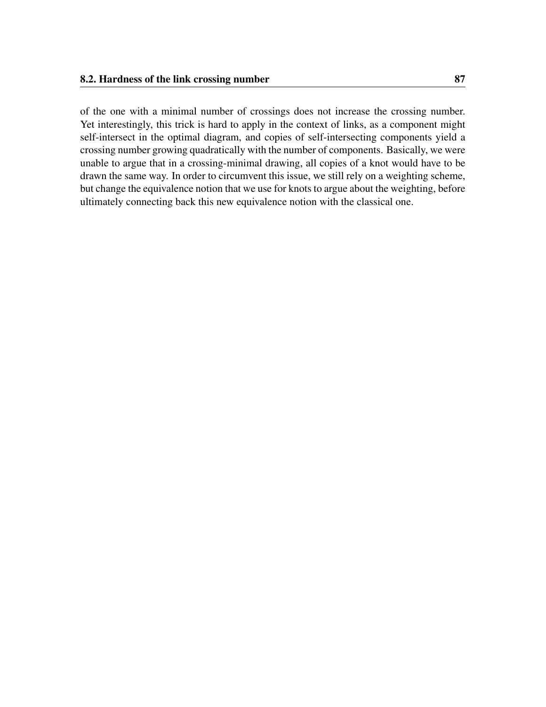of the one with a minimal number of crossings does not increase the crossing number. Yet interestingly, this trick is hard to apply in the context of links, as a component might self-intersect in the optimal diagram, and copies of self-intersecting components yield a crossing number growing quadratically with the number of components. Basically, we were unable to argue that in a crossing-minimal drawing, all copies of a knot would have to be drawn the same way. In order to circumvent this issue, we still rely on a weighting scheme, but change the equivalence notion that we use for knots to argue about the weighting, before ultimately connecting back this new equivalence notion with the classical one.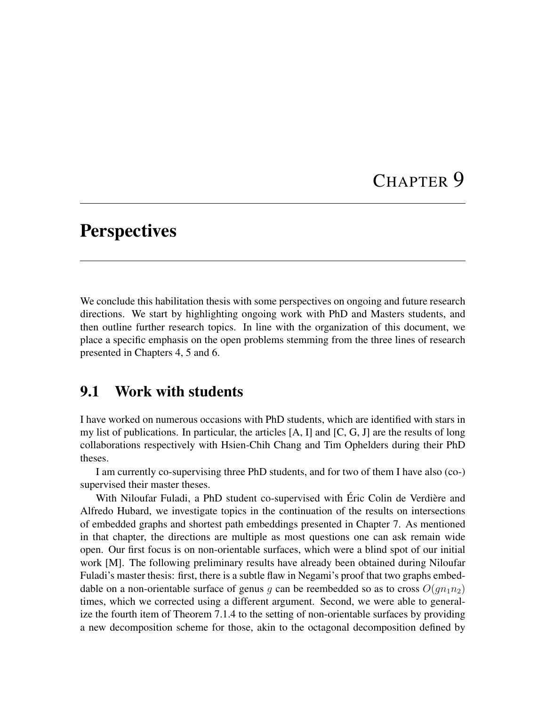# CHAPTER 9

## **Perspectives**

We conclude this habilitation thesis with some perspectives on ongoing and future research directions. We start by highlighting ongoing work with PhD and Masters students, and then outline further research topics. In line with the organization of this document, we place a specific emphasis on the open problems stemming from the three lines of research presented in Chapters [4,](#page-34-0) [5](#page-52-0) and [6.](#page-68-0)

## 9.1 Work with students

I have worked on numerous occasions with PhD students, which are identified with stars in my list of publications. In particular, the articles  $[A, I]$  $[A, I]$  $[A, I]$  and  $[C, G, J]$  $[C, G, J]$  $[C, G, J]$  $[C, G, J]$  $[C, G, J]$  are the results of long collaborations respectively with Hsien-Chih Chang and Tim Ophelders during their PhD theses.

I am currently co-supervising three PhD students, and for two of them I have also (co-) supervised their master theses.

With Niloufar Fuladi, a PhD student co-supervised with Éric Colin de Verdière and Alfredo Hubard, we investigate topics in the continuation of the results on intersections of embedded graphs and shortest path embeddings presented in Chapter [7.](#page-86-0) As mentioned in that chapter, the directions are multiple as most questions one can ask remain wide open. Our first focus is on non-orientable surfaces, which were a blind spot of our initial work [\[M\]](#page-9-2). The following preliminary results have already been obtained during Niloufar Fuladi's master thesis: first, there is a subtle flaw in Negami's proof that two graphs embeddable on a non-orientable surface of genus q can be reembedded so as to cross  $O(qn_1n_2)$ times, which we corrected using a different argument. Second, we were able to generalize the fourth item of Theorem [7.1.4](#page-0-0) to the setting of non-orientable surfaces by providing a new decomposition scheme for those, akin to the octagonal decomposition defined by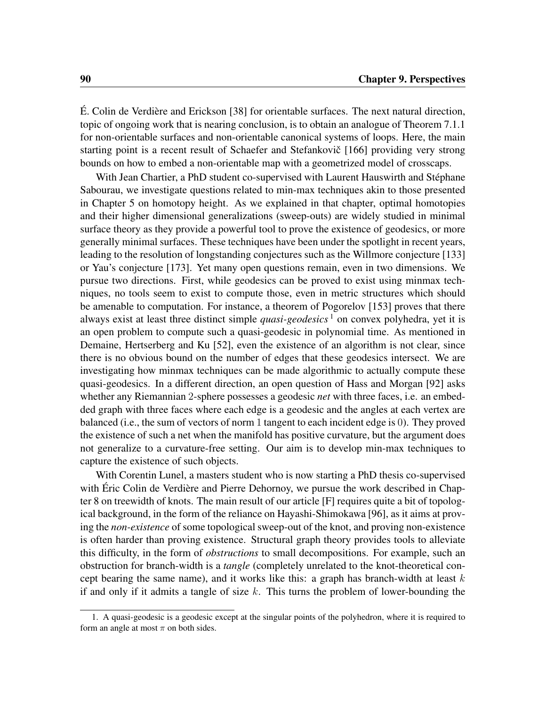É. Colin de Verdière and Erickson [\[38\]](#page-109-2) for orientable surfaces. The next natural direction, topic of ongoing work that is nearing conclusion, is to obtain an analogue of Theorem [7.1.1](#page-87-1) for non-orientable surfaces and non-orientable canonical systems of loops. Here, the main starting point is a recent result of Schaefer and Stefankovic [[166\]](#page-119-7) providing very strong bounds on how to embed a non-orientable map with a geometrized model of crosscaps.

With Jean Chartier, a PhD student co-supervised with Laurent Hauswirth and Stéphane Sabourau, we investigate questions related to min-max techniques akin to those presented in Chapter [5](#page-52-0) on homotopy height. As we explained in that chapter, optimal homotopies and their higher dimensional generalizations (sweep-outs) are widely studied in minimal surface theory as they provide a powerful tool to prove the existence of geodesics, or more generally minimal surfaces. These techniques have been under the spotlight in recent years, leading to the resolution of longstanding conjectures such as the Willmore conjecture [\[133\]](#page-116-5) or Yau's conjecture [\[173\]](#page-119-8). Yet many open questions remain, even in two dimensions. We pursue two directions. First, while geodesics can be proved to exist using minmax techniques, no tools seem to exist to compute those, even in metric structures which should be amenable to computation. For instance, a theorem of Pogorelov [\[153\]](#page-118-2) proves that there always exist at least three distinct simple *quasi-geodesics* [1](#page-101-0) on convex polyhedra, yet it is an open problem to compute such a quasi-geodesic in polynomial time. As mentioned in Demaine, Hertserberg and Ku [\[52\]](#page-110-4), even the existence of an algorithm is not clear, since there is no obvious bound on the number of edges that these geodesics intersect. We are investigating how minmax techniques can be made algorithmic to actually compute these quasi-geodesics. In a different direction, an open question of Hass and Morgan [\[92\]](#page-113-4) asks whether any Riemannian 2-sphere possesses a geodesic *net* with three faces, i.e. an embedded graph with three faces where each edge is a geodesic and the angles at each vertex are balanced (i.e., the sum of vectors of norm 1 tangent to each incident edge is 0). They proved the existence of such a net when the manifold has positive curvature, but the argument does not generalize to a curvature-free setting. Our aim is to develop min-max techniques to capture the existence of such objects.

With Corentin Lunel, a masters student who is now starting a PhD thesis co-supervised with Éric Colin de Verdière and Pierre Dehornoy, we pursue the work described in Chapter [8](#page-94-0) on treewidth of knots. The main result of our article [\[F\]](#page-9-4) requires quite a bit of topological background, in the form of the reliance on Hayashi-Shimokawa [\[96\]](#page-113-3), as it aims at proving the *non-existence* of some topological sweep-out of the knot, and proving non-existence is often harder than proving existence. Structural graph theory provides tools to alleviate this difficulty, in the form of *obstructions* to small decompositions. For example, such an obstruction for branch-width is a *tangle* (completely unrelated to the knot-theoretical concept bearing the same name), and it works like this: a graph has branch-width at least  $k$ if and only if it admits a tangle of size  $k$ . This turns the problem of lower-bounding the

<span id="page-101-0"></span><sup>1.</sup> A quasi-geodesic is a geodesic except at the singular points of the polyhedron, where it is required to form an angle at most  $\pi$  on both sides.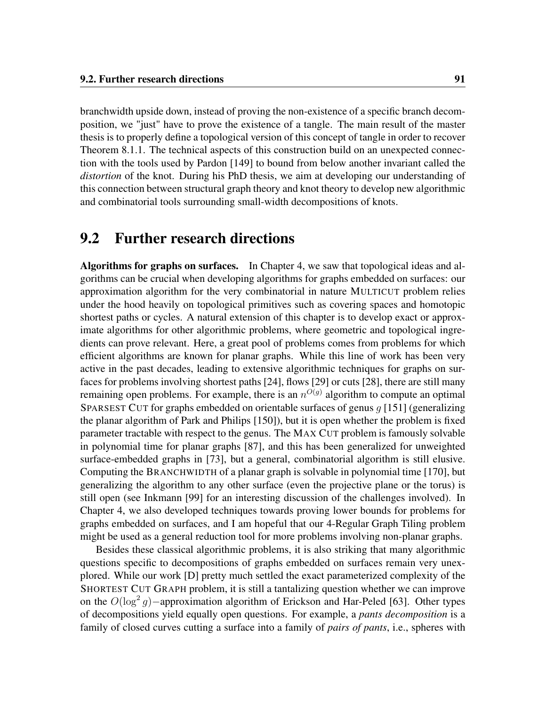branchwidth upside down, instead of proving the non-existence of a specific branch decomposition, we "just" have to prove the existence of a tangle. The main result of the master thesis is to properly define a topological version of this concept of tangle in order to recover Theorem [8.1.1.](#page-95-0) The technical aspects of this construction build on an unexpected connection with the tools used by Pardon [\[149\]](#page-118-3) to bound from below another invariant called the *distortion* of the knot. During his PhD thesis, we aim at developing our understanding of this connection between structural graph theory and knot theory to develop new algorithmic and combinatorial tools surrounding small-width decompositions of knots.

### 9.2 Further research directions

Algorithms for graphs on surfaces. In Chapter [4,](#page-34-0) we saw that topological ideas and algorithms can be crucial when developing algorithms for graphs embedded on surfaces: our approximation algorithm for the very combinatorial in nature MULTICUT problem relies under the hood heavily on topological primitives such as covering spaces and homotopic shortest paths or cycles. A natural extension of this chapter is to develop exact or approximate algorithms for other algorithmic problems, where geometric and topological ingredients can prove relevant. Here, a great pool of problems comes from problems for which efficient algorithms are known for planar graphs. While this line of work has been very active in the past decades, leading to extensive algorithmic techniques for graphs on surfaces for problems involving shortest paths [\[24\]](#page-108-4), flows [\[29\]](#page-108-5) or cuts [\[28\]](#page-108-6), there are still many remaining open problems. For example, there is an  $n^{O(g)}$  algorithm to compute an optimal SPARSEST CUT for graphs embedded on orientable surfaces of genus  $q$  [\[151\]](#page-118-4) (generalizing the planar algorithm of Park and Philips [\[150\]](#page-118-5)), but it is open whether the problem is fixed parameter tractable with respect to the genus. The MAX CUT problem is famously solvable in polynomial time for planar graphs [\[87\]](#page-113-5), and this has been generalized for unweighted surface-embedded graphs in [\[73\]](#page-112-7), but a general, combinatorial algorithm is still elusive. Computing the BRANCHWIDTH of a planar graph is solvable in polynomial time [\[170\]](#page-119-5), but generalizing the algorithm to any other surface (even the projective plane or the torus) is still open (see Inkmann [\[99\]](#page-114-7) for an interesting discussion of the challenges involved). In Chapter [4,](#page-34-0) we also developed techniques towards proving lower bounds for problems for graphs embedded on surfaces, and I am hopeful that our 4-Regular Graph Tiling problem might be used as a general reduction tool for more problems involving non-planar graphs.

Besides these classical algorithmic problems, it is also striking that many algorithmic questions specific to decompositions of graphs embedded on surfaces remain very unexplored. While our work [\[D\]](#page-8-4) pretty much settled the exact parameterized complexity of the SHORTEST CUT GRAPH problem, it is still a tantalizing question whether we can improve on the  $O(\log^2 g)$  -approximation algorithm of Erickson and Har-Peled [\[63\]](#page-111-4). Other types of decompositions yield equally open questions. For example, a *pants decomposition* is a family of closed curves cutting a surface into a family of *pairs of pants*, i.e., spheres with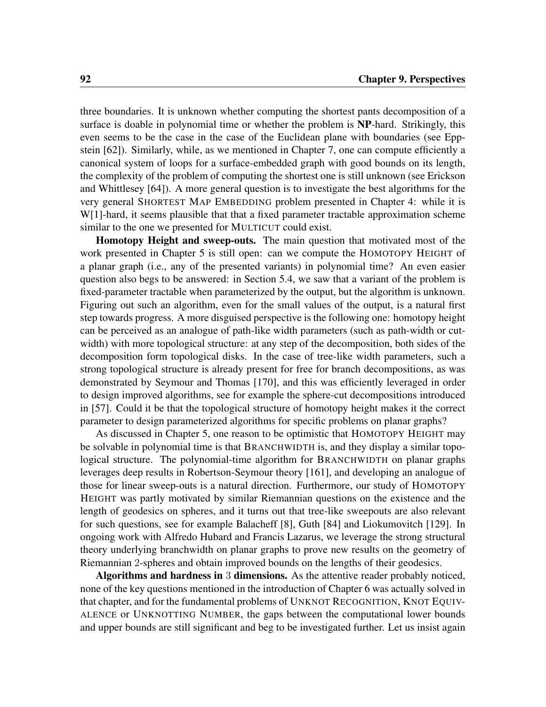<span id="page-103-0"></span>three boundaries. It is unknown whether computing the shortest pants decomposition of a surface is doable in polynomial time or whether the problem is NP-hard. Strikingly, this even seems to be the case in the case of the Euclidean plane with boundaries (see Eppstein [\[62\]](#page-111-5)). Similarly, while, as we mentioned in Chapter [7,](#page-86-0) one can compute efficiently a canonical system of loops for a surface-embedded graph with good bounds on its length, the complexity of the problem of computing the shortest one is still unknown (see Erickson and Whittlesey [\[64\]](#page-111-6)). A more general question is to investigate the best algorithms for the very general SHORTEST MAP EMBEDDING problem presented in Chapter [4:](#page-34-0) while it is W[1]-hard, it seems plausible that that a fixed parameter tractable approximation scheme similar to the one we presented for MULTICUT could exist.

Homotopy Height and sweep-outs. The main question that motivated most of the work presented in Chapter [5](#page-52-0) is still open: can we compute the HOMOTOPY HEIGHT of a planar graph (i.e., any of the presented variants) in polynomial time? An even easier question also begs to be answered: in Section [5.4,](#page-63-0) we saw that a variant of the problem is fixed-parameter tractable when parameterized by the output, but the algorithm is unknown. Figuring out such an algorithm, even for the small values of the output, is a natural first step towards progress. A more disguised perspective is the following one: homotopy height can be perceived as an analogue of path-like width parameters (such as path-width or cutwidth) with more topological structure: at any step of the decomposition, both sides of the decomposition form topological disks. In the case of tree-like width parameters, such a strong topological structure is already present for free for branch decompositions, as was demonstrated by Seymour and Thomas [\[170\]](#page-119-5), and this was efficiently leveraged in order to design improved algorithms, see for example the sphere-cut decompositions introduced in [\[57\]](#page-111-7). Could it be that the topological structure of homotopy height makes it the correct parameter to design parameterized algorithms for specific problems on planar graphs?

As discussed in Chapter [5,](#page-52-0) one reason to be optimistic that HOMOTOPY HEIGHT may be solvable in polynomial time is that BRANCHWIDTH is, and they display a similar topological structure. The polynomial-time algorithm for BRANCHWIDTH on planar graphs leverages deep results in Robertson-Seymour theory [\[161\]](#page-119-9), and developing an analogue of those for linear sweep-outs is a natural direction. Furthermore, our study of HOMOTOPY HEIGHT was partly motivated by similar Riemannian questions on the existence and the length of geodesics on spheres, and it turns out that tree-like sweepouts are also relevant for such questions, see for example Balacheff [\[8\]](#page-106-3), Guth [\[84\]](#page-113-6) and Liokumovitch [\[129\]](#page-116-6). In ongoing work with Alfredo Hubard and Francis Lazarus, we leverage the strong structural theory underlying branchwidth on planar graphs to prove new results on the geometry of Riemannian 2-spheres and obtain improved bounds on the lengths of their geodesics.

Algorithms and hardness in 3 dimensions. As the attentive reader probably noticed, none of the key questions mentioned in the introduction of Chapter [6](#page-68-0) was actually solved in that chapter, and for the fundamental problems of UNKNOT RECOGNITION, KNOT EQUIV-ALENCE or UNKNOTTING NUMBER, the gaps between the computational lower bounds and upper bounds are still significant and beg to be investigated further. Let us insist again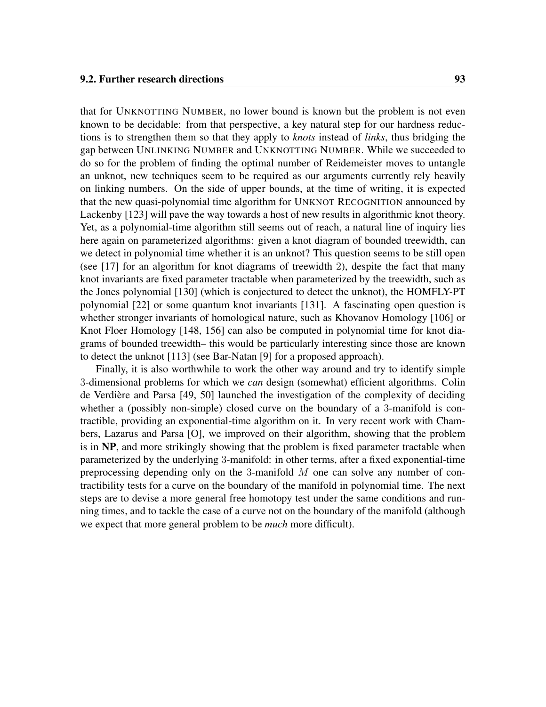<span id="page-104-0"></span>that for UNKNOTTING NUMBER, no lower bound is known but the problem is not even known to be decidable: from that perspective, a key natural step for our hardness reductions is to strengthen them so that they apply to *knots* instead of *links*, thus bridging the gap between UNLINKING NUMBER and UNKNOTTING NUMBER. While we succeeded to do so for the problem of finding the optimal number of Reidemeister moves to untangle an unknot, new techniques seem to be required as our arguments currently rely heavily on linking numbers. On the side of upper bounds, at the time of writing, it is expected that the new quasi-polynomial time algorithm for UNKNOT RECOGNITION announced by Lackenby [\[123\]](#page-115-1) will pave the way towards a host of new results in algorithmic knot theory. Yet, as a polynomial-time algorithm still seems out of reach, a natural line of inquiry lies here again on parameterized algorithms: given a knot diagram of bounded treewidth, can we detect in polynomial time whether it is an unknot? This question seems to be still open (see [\[17\]](#page-107-3) for an algorithm for knot diagrams of treewidth 2), despite the fact that many knot invariants are fixed parameter tractable when parameterized by the treewidth, such as the Jones polynomial [\[130\]](#page-116-3) (which is conjectured to detect the unknot), the HOMFLY-PT polynomial [\[22\]](#page-108-2) or some quantum knot invariants [\[131\]](#page-116-4). A fascinating open question is whether stronger invariants of homological nature, such as Khovanov Homology [\[106\]](#page-114-8) or Knot Floer Homology [\[148,](#page-118-6) [156\]](#page-118-7) can also be computed in polynomial time for knot diagrams of bounded treewidth– this would be particularly interesting since those are known to detect the unknot [\[113\]](#page-115-2) (see Bar-Natan [\[9\]](#page-106-4) for a proposed approach).

Finally, it is also worthwhile to work the other way around and try to identify simple 3-dimensional problems for which we *can* design (somewhat) efficient algorithms. Colin de Verdière and Parsa [\[49,](#page-110-5) [50\]](#page-110-6) launched the investigation of the complexity of deciding whether a (possibly non-simple) closed curve on the boundary of a 3-manifold is contractible, providing an exponential-time algorithm on it. In very recent work with Chambers, Lazarus and Parsa [\[O\]](#page-10-0), we improved on their algorithm, showing that the problem is in NP, and more strikingly showing that the problem is fixed parameter tractable when parameterized by the underlying 3-manifold: in other terms, after a fixed exponential-time preprocessing depending only on the 3-manifold  $M$  one can solve any number of contractibility tests for a curve on the boundary of the manifold in polynomial time. The next steps are to devise a more general free homotopy test under the same conditions and running times, and to tackle the case of a curve not on the boundary of the manifold (although we expect that more general problem to be *much* more difficult).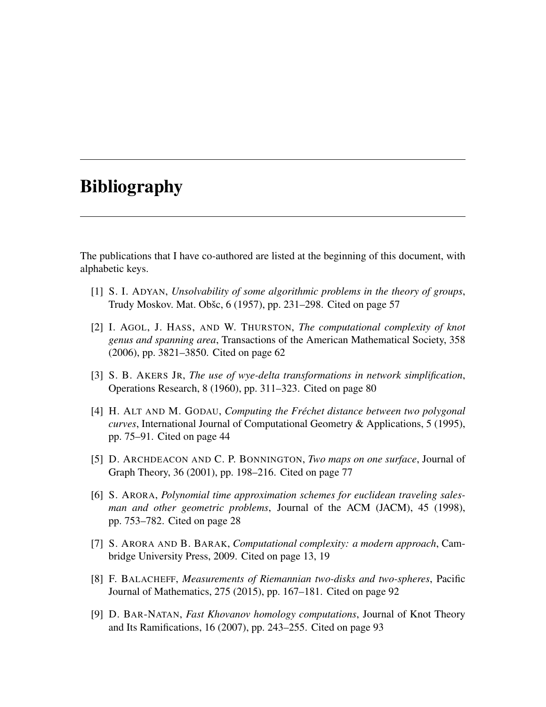# Bibliography

The publications that I have co-authored are listed at the beginning of this document, with alphabetic keys.

- [1] S. I. ADYAN, *Unsolvability of some algorithmic problems in the theory of groups*, Trudy Moskov. Mat. Obšc, 6 (1957), pp. 231–298. Cited on page [57](#page-68-1)
- <span id="page-106-0"></span>[2] I. AGOL, J. HASS, AND W. THURSTON, *The computational complexity of knot genus and spanning area*, Transactions of the American Mathematical Society, 358 (2006), pp. 3821–3850. Cited on page [62](#page-73-2)
- <span id="page-106-2"></span>[3] S. B. AKERS JR, *The use of wye-delta transformations in network simplification*, Operations Research, 8 (1960), pp. 311–323. Cited on page [80](#page-91-1)
- [4] H. ALT AND M. GODAU, *Computing the Fréchet distance between two polygonal curves*, International Journal of Computational Geometry & Applications, 5 (1995), pp. 75–91. Cited on page [44](#page-55-0)
- <span id="page-106-1"></span>[5] D. ARCHDEACON AND C. P. BONNINGTON, *Two maps on one surface*, Journal of Graph Theory, 36 (2001), pp. 198–216. Cited on page [77](#page-88-3)
- [6] S. ARORA, *Polynomial time approximation schemes for euclidean traveling salesman and other geometric problems*, Journal of the ACM (JACM), 45 (1998), pp. 753–782. Cited on page [28](#page-39-0)
- [7] S. ARORA AND B. BARAK, *Computational complexity: a modern approach*, Cambridge University Press, 2009. Cited on page [13,](#page-24-1) [19](#page-30-0)
- <span id="page-106-3"></span>[8] F. BALACHEFF, *Measurements of Riemannian two-disks and two-spheres*, Pacific Journal of Mathematics, 275 (2015), pp. 167–181. Cited on page [92](#page-103-0)
- <span id="page-106-4"></span>[9] D. BAR-NATAN, *Fast Khovanov homology computations*, Journal of Knot Theory and Its Ramifications, 16 (2007), pp. 243–255. Cited on page [93](#page-104-0)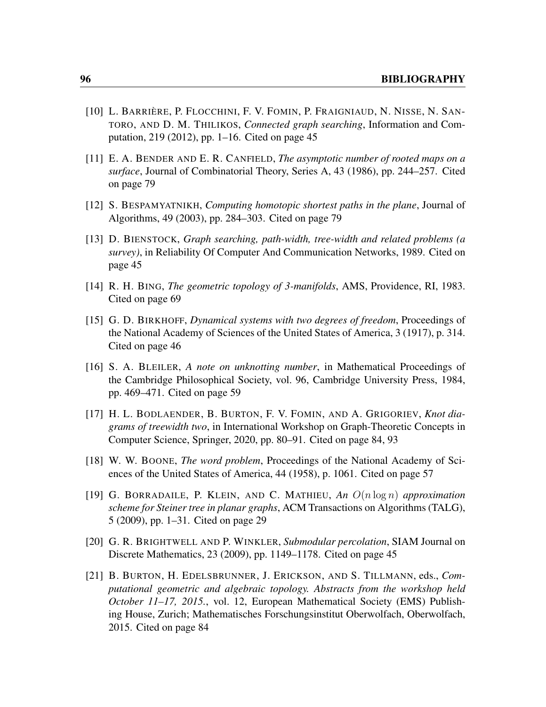- [10] L. BARRIÈRE, P. FLOCCHINI, F. V. FOMIN, P. FRAIGNIAUD, N. NISSE, N. SAN-TORO, AND D. M. THILIKOS, *Connected graph searching*, Information and Computation, 219 (2012), pp. 1–16. Cited on page [45](#page-56-0)
- <span id="page-107-2"></span>[11] E. A. BENDER AND E. R. CANFIELD, *The asymptotic number of rooted maps on a surface*, Journal of Combinatorial Theory, Series A, 43 (1986), pp. 244–257. Cited on page [79](#page-90-2)
- <span id="page-107-1"></span>[12] S. BESPAMYATNIKH, *Computing homotopic shortest paths in the plane*, Journal of Algorithms, 49 (2003), pp. 284–303. Cited on page [79](#page-90-2)
- [13] D. BIENSTOCK, *Graph searching, path-width, tree-width and related problems (a survey)*, in Reliability Of Computer And Communication Networks, 1989. Cited on page [45](#page-56-0)
- <span id="page-107-0"></span>[14] R. H. BING, *The geometric topology of 3-manifolds*, AMS, Providence, RI, 1983. Cited on page [69](#page-80-2)
- [15] G. D. BIRKHOFF, *Dynamical systems with two degrees of freedom*, Proceedings of the National Academy of Sciences of the United States of America, 3 (1917), p. 314. Cited on page [46](#page-57-0)
- [16] S. A. BLEILER, *A note on unknotting number*, in Mathematical Proceedings of the Cambridge Philosophical Society, vol. 96, Cambridge University Press, 1984, pp. 469–471. Cited on page [59](#page-70-1)
- <span id="page-107-3"></span>[17] H. L. BODLAENDER, B. BURTON, F. V. FOMIN, AND A. GRIGORIEV, *Knot diagrams of treewidth two*, in International Workshop on Graph-Theoretic Concepts in Computer Science, Springer, 2020, pp. 80–91. Cited on page [84,](#page-95-1) [93](#page-104-0)
- [18] W. W. BOONE, *The word problem*, Proceedings of the National Academy of Sciences of the United States of America, 44 (1958), p. 1061. Cited on page [57](#page-68-1)
- [19] G. BORRADAILE, P. KLEIN, AND C. MATHIEU, *An* O(n log n) *approximation scheme for Steiner tree in planar graphs*, ACM Transactions on Algorithms (TALG), 5 (2009), pp. 1–31. Cited on page [29](#page-40-0)
- [20] G. R. BRIGHTWELL AND P. WINKLER, *Submodular percolation*, SIAM Journal on Discrete Mathematics, 23 (2009), pp. 1149–1178. Cited on page [45](#page-56-0)
- <span id="page-107-4"></span>[21] B. BURTON, H. EDELSBRUNNER, J. ERICKSON, AND S. TILLMANN, eds., *Computational geometric and algebraic topology. Abstracts from the workshop held October 11–17, 2015.*, vol. 12, European Mathematical Society (EMS) Publishing House, Zurich; Mathematisches Forschungsinstitut Oberwolfach, Oberwolfach, 2015. Cited on page [84](#page-95-1)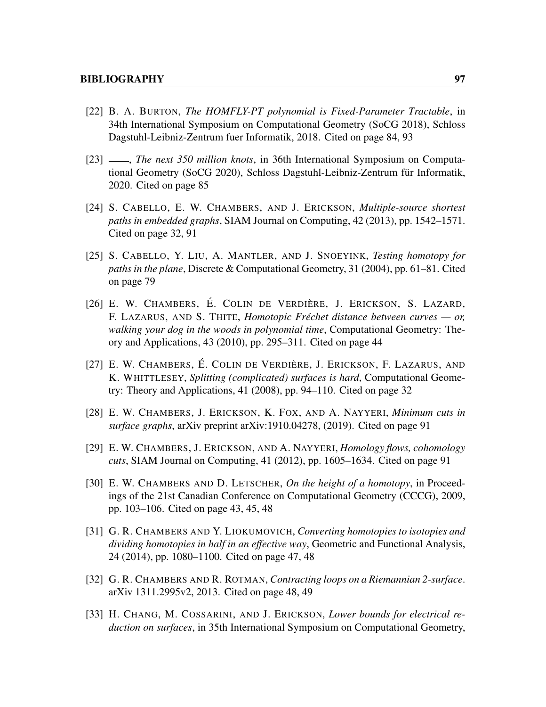- [22] B. A. BURTON, *The HOMFLY-PT polynomial is Fixed-Parameter Tractable*, in 34th International Symposium on Computational Geometry (SoCG 2018), Schloss Dagstuhl-Leibniz-Zentrum fuer Informatik, 2018. Cited on page [84,](#page-95-0) [93](#page-104-0)
- [23] , *The next 350 million knots*, in 36th International Symposium on Computational Geometry (SoCG 2020), Schloss Dagstuhl-Leibniz-Zentrum für Informatik, 2020. Cited on page [85](#page-96-0)
- [24] S. CABELLO, E. W. CHAMBERS, AND J. ERICKSON, *Multiple-source shortest paths in embedded graphs*, SIAM Journal on Computing, 42 (2013), pp. 1542–1571. Cited on page [32,](#page-43-0) [91](#page-102-0)
- [25] S. CABELLO, Y. LIU, A. MANTLER, AND J. SNOEYINK, *Testing homotopy for paths in the plane*, Discrete & Computational Geometry, 31 (2004), pp. 61–81. Cited on page [79](#page-90-0)
- [26] E. W. CHAMBERS, É. COLIN DE VERDIÈRE, J. ERICKSON, S. LAZARD, F. LAZARUS, AND S. THITE, *Homotopic Fréchet distance between curves — or, walking your dog in the woods in polynomial time*, Computational Geometry: Theory and Applications, 43 (2010), pp. 295–311. Cited on page [44](#page-55-0)
- [27] E. W. CHAMBERS, É. COLIN DE VERDIÈRE, J. ERICKSON, F. LAZARUS, AND K. WHITTLESEY, *Splitting (complicated) surfaces is hard*, Computational Geometry: Theory and Applications, 41 (2008), pp. 94–110. Cited on page [32](#page-43-0)
- [28] E. W. CHAMBERS, J. ERICKSON, K. FOX, AND A. NAYYERI, *Minimum cuts in surface graphs*, arXiv preprint arXiv:1910.04278, (2019). Cited on page [91](#page-102-0)
- [29] E. W. CHAMBERS, J. ERICKSON, AND A. NAYYERI, *Homology flows, cohomology cuts*, SIAM Journal on Computing, 41 (2012), pp. 1605–1634. Cited on page [91](#page-102-0)
- [30] E. W. CHAMBERS AND D. LETSCHER, *On the height of a homotopy*, in Proceedings of the 21st Canadian Conference on Computational Geometry (CCCG), 2009, pp. 103–106. Cited on page [43,](#page-54-0) [45,](#page-56-0) [48](#page-59-0)
- [31] G. R. CHAMBERS AND Y. LIOKUMOVICH, *Converting homotopies to isotopies and dividing homotopies in half in an effective way*, Geometric and Functional Analysis, 24 (2014), pp. 1080–1100. Cited on page [47,](#page-58-0) [48](#page-59-0)
- [32] G. R. CHAMBERS AND R. ROTMAN, *Contracting loops on a Riemannian 2-surface*. arXiv 1311.2995v2, 2013. Cited on page [48,](#page-59-0) [49](#page-60-0)
- [33] H. CHANG, M. COSSARINI, AND J. ERICKSON, *Lower bounds for electrical reduction on surfaces*, in 35th International Symposium on Computational Geometry,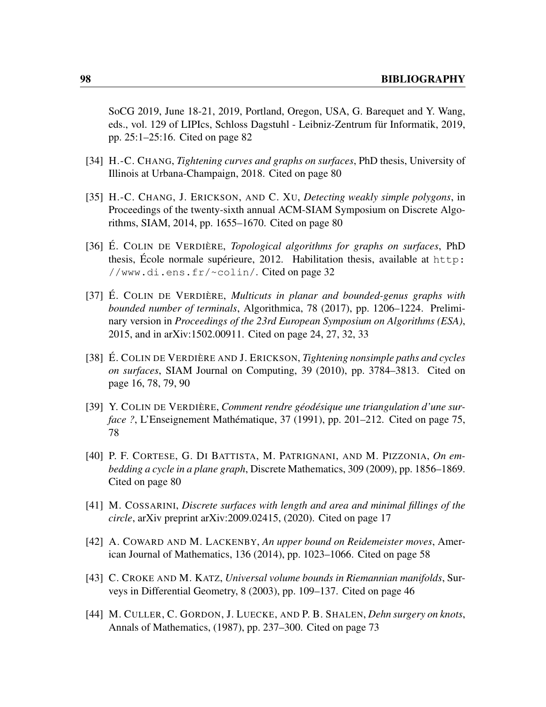SoCG 2019, June 18-21, 2019, Portland, Oregon, USA, G. Barequet and Y. Wang, eds., vol. 129 of LIPIcs, Schloss Dagstuhl - Leibniz-Zentrum für Informatik, 2019, pp. 25:1–25:16. Cited on page [82](#page-93-0)

- [34] H.-C. CHANG, *Tightening curves and graphs on surfaces*, PhD thesis, University of Illinois at Urbana-Champaign, 2018. Cited on page [80](#page-91-0)
- [35] H.-C. CHANG, J. ERICKSON, AND C. XU, *Detecting weakly simple polygons*, in Proceedings of the twenty-sixth annual ACM-SIAM Symposium on Discrete Algorithms, SIAM, 2014, pp. 1655–1670. Cited on page [80](#page-91-0)
- [36] É. COLIN DE VERDIÈRE, *Topological algorithms for graphs on surfaces*, PhD thesis, École normale supérieure, 2012. Habilitation thesis, available at [http:](http://www.di.ens.fr/~colin/) [//www.di.ens.fr/~colin/](http://www.di.ens.fr/~colin/). Cited on page [32](#page-43-0)
- [37] É. COLIN DE VERDIÈRE, *Multicuts in planar and bounded-genus graphs with bounded number of terminals*, Algorithmica, 78 (2017), pp. 1206–1224. Preliminary version in *Proceedings of the 23rd European Symposium on Algorithms (ESA)*, 2015, and in arXiv:1502.00911. Cited on page [24,](#page-35-0) [27,](#page-38-0) [32,](#page-43-0) [33](#page-44-0)
- [38] É. COLIN DE VERDIÈRE AND J. ERICKSON, *Tightening nonsimple paths and cycles on surfaces*, SIAM Journal on Computing, 39 (2010), pp. 3784–3813. Cited on page [16,](#page-27-0) [78,](#page-89-0) [79,](#page-90-0) [90](#page-101-0)
- [39] Y. COLIN DE VERDIÈRE, *Comment rendre géodésique une triangulation d'une surface ?*, L'Enseignement Mathématique, 37 (1991), pp. 201–212. Cited on page [75,](#page-86-0) [78](#page-89-0)
- [40] P. F. CORTESE, G. DI BATTISTA, M. PATRIGNANI, AND M. PIZZONIA, *On embedding a cycle in a plane graph*, Discrete Mathematics, 309 (2009), pp. 1856–1869. Cited on page [80](#page-91-0)
- [41] M. COSSARINI, *Discrete surfaces with length and area and minimal fillings of the circle*, arXiv preprint arXiv:2009.02415, (2020). Cited on page [17](#page-28-0)
- [42] A. COWARD AND M. LACKENBY, *An upper bound on Reidemeister moves*, American Journal of Mathematics, 136 (2014), pp. 1023–1066. Cited on page [58](#page-69-0)
- [43] C. CROKE AND M. KATZ, *Universal volume bounds in Riemannian manifolds*, Surveys in Differential Geometry, 8 (2003), pp. 109–137. Cited on page [46](#page-57-0)
- [44] M. CULLER, C. GORDON, J. LUECKE, AND P. B. SHALEN, *Dehn surgery on knots*, Annals of Mathematics, (1987), pp. 237–300. Cited on page [73](#page-84-0)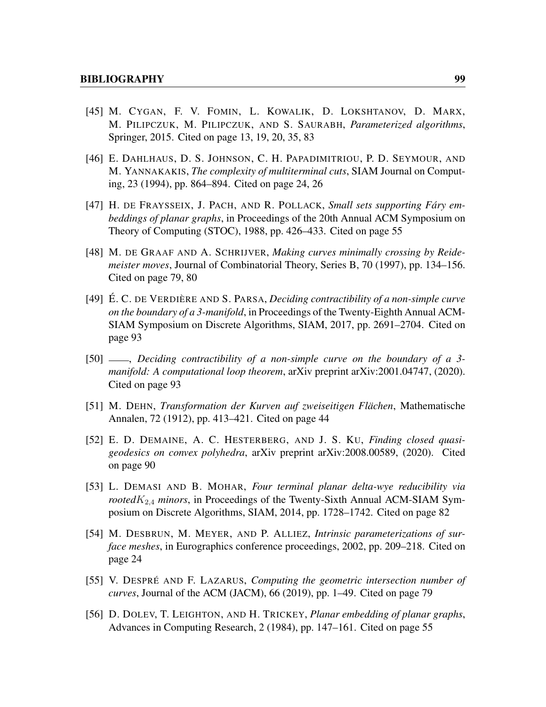- [45] M. CYGAN, F. V. FOMIN, L. KOWALIK, D. LOKSHTANOV, D. MARX, M. PILIPCZUK, M. PILIPCZUK, AND S. SAURABH, *Parameterized algorithms*, Springer, 2015. Cited on page [13,](#page-24-0) [19,](#page-30-0) [20,](#page-31-0) [35,](#page-46-0) [83](#page-94-0)
- [46] E. DAHLHAUS, D. S. JOHNSON, C. H. PAPADIMITRIOU, P. D. SEYMOUR, AND M. YANNAKAKIS, *The complexity of multiterminal cuts*, SIAM Journal on Computing, 23 (1994), pp. 864–894. Cited on page [24,](#page-35-0) [26](#page-37-0)
- [47] H. DE FRAYSSEIX, J. PACH, AND R. POLLACK, *Small sets supporting Fáry embeddings of planar graphs*, in Proceedings of the 20th Annual ACM Symposium on Theory of Computing (STOC), 1988, pp. 426–433. Cited on page [55](#page-66-0)
- [48] M. DE GRAAF AND A. SCHRIJVER, *Making curves minimally crossing by Reidemeister moves*, Journal of Combinatorial Theory, Series B, 70 (1997), pp. 134–156. Cited on page [79,](#page-90-0) [80](#page-91-0)
- [49] É. C. DE VERDIÈRE AND S. PARSA, *Deciding contractibility of a non-simple curve on the boundary of a 3-manifold*, in Proceedings of the Twenty-Eighth Annual ACM-SIAM Symposium on Discrete Algorithms, SIAM, 2017, pp. 2691–2704. Cited on page [93](#page-104-0)
- [50] , *Deciding contractibility of a non-simple curve on the boundary of a 3 manifold: A computational loop theorem*, arXiv preprint arXiv:2001.04747, (2020). Cited on page [93](#page-104-0)
- [51] M. DEHN, *Transformation der Kurven auf zweiseitigen Flächen*, Mathematische Annalen, 72 (1912), pp. 413–421. Cited on page [44](#page-55-0)
- [52] E. D. DEMAINE, A. C. HESTERBERG, AND J. S. KU, *Finding closed quasigeodesics on convex polyhedra*, arXiv preprint arXiv:2008.00589, (2020). Cited on page [90](#page-101-0)
- [53] L. DEMASI AND B. MOHAR, *Four terminal planar delta-wye reducibility via rooted* $K_{2,4}$  *minors*, in Proceedings of the Twenty-Sixth Annual ACM-SIAM Symposium on Discrete Algorithms, SIAM, 2014, pp. 1728–1742. Cited on page [82](#page-93-0)
- [54] M. DESBRUN, M. MEYER, AND P. ALLIEZ, *Intrinsic parameterizations of surface meshes*, in Eurographics conference proceedings, 2002, pp. 209–218. Cited on page [24](#page-35-0)
- [55] V. DESPRÉ AND F. LAZARUS, *Computing the geometric intersection number of curves*, Journal of the ACM (JACM), 66 (2019), pp. 1–49. Cited on page [79](#page-90-0)
- [56] D. DOLEV, T. LEIGHTON, AND H. TRICKEY, *Planar embedding of planar graphs*, Advances in Computing Research, 2 (1984), pp. 147–161. Cited on page [55](#page-66-0)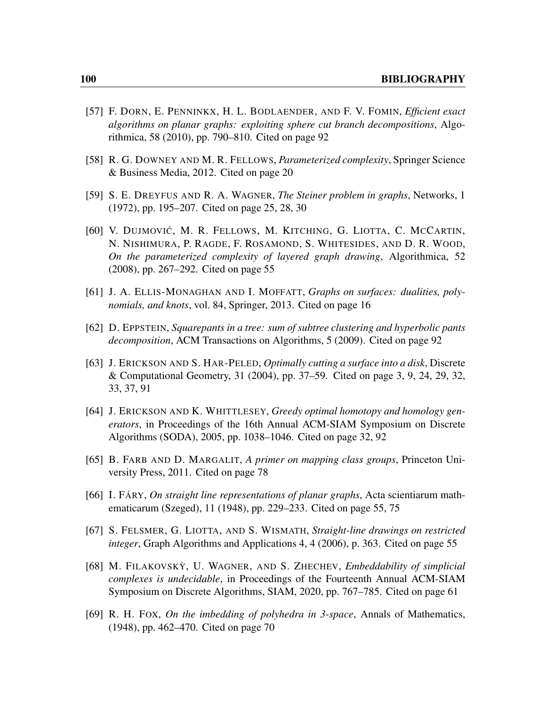- [57] F. DORN, E. PENNINKX, H. L. BODLAENDER, AND F. V. FOMIN, *Efficient exact algorithms on planar graphs: exploiting sphere cut branch decompositions*, Algorithmica, 58 (2010), pp. 790–810. Cited on page [92](#page-103-0)
- [58] R. G. DOWNEY AND M. R. FELLOWS, *Parameterized complexity*, Springer Science & Business Media, 2012. Cited on page [20](#page-31-0)
- [59] S. E. DREYFUS AND R. A. WAGNER, *The Steiner problem in graphs*, Networks, 1 (1972), pp. 195–207. Cited on page [25,](#page-36-0) [28,](#page-39-0) [30](#page-41-0)
- [60] V. DUJMOVIĆ, M. R. FELLOWS, M. KITCHING, G. LIOTTA, C. MCCARTIN, N. NISHIMURA, P. RAGDE, F. ROSAMOND, S. WHITESIDES, AND D. R. WOOD, *On the parameterized complexity of layered graph drawing*, Algorithmica, 52 (2008), pp. 267–292. Cited on page [55](#page-66-0)
- [61] J. A. ELLIS-MONAGHAN AND I. MOFFATT, *Graphs on surfaces: dualities, polynomials, and knots*, vol. 84, Springer, 2013. Cited on page [16](#page-27-0)
- [62] D. EPPSTEIN, *Squarepants in a tree: sum of subtree clustering and hyperbolic pants decomposition*, ACM Transactions on Algorithms, 5 (2009). Cited on page [92](#page-103-0)
- [63] J. ERICKSON AND S. HAR-PELED, *Optimally cutting a surface into a disk*, Discrete & Computational Geometry, 31 (2004), pp. 37–59. Cited on page [3,](#page-14-0) [9,](#page-20-0) [24,](#page-35-0) [29,](#page-40-0) [32,](#page-43-0) [33,](#page-44-0) [37,](#page-48-0) [91](#page-102-0)
- [64] J. ERICKSON AND K. WHITTLESEY, *Greedy optimal homotopy and homology generators*, in Proceedings of the 16th Annual ACM-SIAM Symposium on Discrete Algorithms (SODA), 2005, pp. 1038–1046. Cited on page [32,](#page-43-0) [92](#page-103-0)
- [65] B. FARB AND D. MARGALIT, *A primer on mapping class groups*, Princeton University Press, 2011. Cited on page [78](#page-89-0)
- [66] I. FÁRY, *On straight line representations of planar graphs*, Acta scientiarum mathematicarum (Szeged), 11 (1948), pp. 229–233. Cited on page [55,](#page-66-0) [75](#page-86-0)
- [67] S. FELSMER, G. LIOTTA, AND S. WISMATH, *Straight-line drawings on restricted integer*, Graph Algorithms and Applications 4, 4 (2006), p. 363. Cited on page [55](#page-66-0)
- [68] M. FILAKOVSKY` , U. WAGNER, AND S. ZHECHEV, *Embeddability of simplicial complexes is undecidable*, in Proceedings of the Fourteenth Annual ACM-SIAM Symposium on Discrete Algorithms, SIAM, 2020, pp. 767–785. Cited on page [61](#page-72-0)
- [69] R. H. FOX, *On the imbedding of polyhedra in 3-space*, Annals of Mathematics, (1948), pp. 462–470. Cited on page [70](#page-81-0)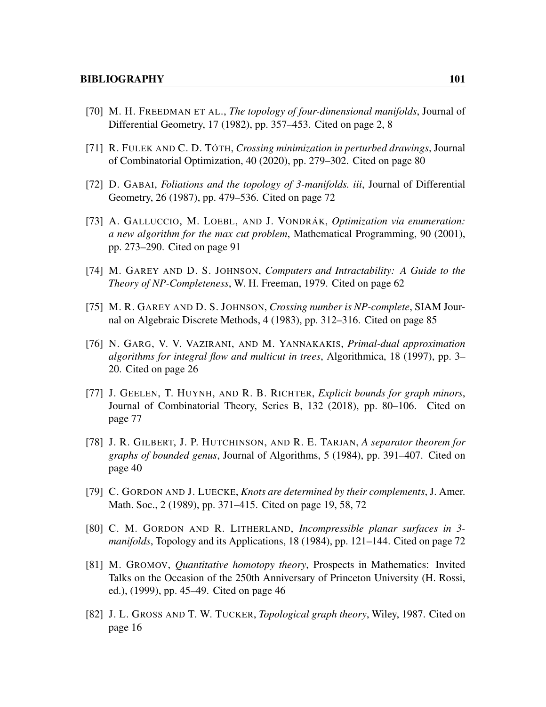- [70] M. H. FREEDMAN ET AL., *The topology of four-dimensional manifolds*, Journal of Differential Geometry, 17 (1982), pp. 357–453. Cited on page [2,](#page-13-0) [8](#page-19-0)
- [71] R. FULEK AND C. D. TÓTH, *Crossing minimization in perturbed drawings*, Journal of Combinatorial Optimization, 40 (2020), pp. 279–302. Cited on page [80](#page-91-0)
- [72] D. GABAI, *Foliations and the topology of 3-manifolds. iii*, Journal of Differential Geometry, 26 (1987), pp. 479–536. Cited on page [72](#page-83-0)
- [73] A. GALLUCCIO, M. LOEBL, AND J. VONDRÁK, *Optimization via enumeration: a new algorithm for the max cut problem*, Mathematical Programming, 90 (2001), pp. 273–290. Cited on page [91](#page-102-0)
- [74] M. GAREY AND D. S. JOHNSON, *Computers and Intractability: A Guide to the Theory of NP-Completeness*, W. H. Freeman, 1979. Cited on page [62](#page-73-0)
- [75] M. R. GAREY AND D. S. JOHNSON, *Crossing number is NP-complete*, SIAM Journal on Algebraic Discrete Methods, 4 (1983), pp. 312–316. Cited on page [85](#page-96-0)
- [76] N. GARG, V. V. VAZIRANI, AND M. YANNAKAKIS, *Primal-dual approximation algorithms for integral flow and multicut in trees*, Algorithmica, 18 (1997), pp. 3– 20. Cited on page [26](#page-37-0)
- [77] J. GEELEN, T. HUYNH, AND R. B. RICHTER, *Explicit bounds for graph minors*, Journal of Combinatorial Theory, Series B, 132 (2018), pp. 80–106. Cited on page [77](#page-88-0)
- [78] J. R. GILBERT, J. P. HUTCHINSON, AND R. E. TARJAN, *A separator theorem for graphs of bounded genus*, Journal of Algorithms, 5 (1984), pp. 391–407. Cited on page [40](#page-51-0)
- [79] C. GORDON AND J. LUECKE, *Knots are determined by their complements*, J. Amer. Math. Soc., 2 (1989), pp. 371–415. Cited on page [19,](#page-30-0) [58,](#page-69-0) [72](#page-83-0)
- [80] C. M. GORDON AND R. LITHERLAND, *Incompressible planar surfaces in 3 manifolds*, Topology and its Applications, 18 (1984), pp. 121–144. Cited on page [72](#page-83-0)
- [81] M. GROMOV, *Quantitative homotopy theory*, Prospects in Mathematics: Invited Talks on the Occasion of the 250th Anniversary of Princeton University (H. Rossi, ed.), (1999), pp. 45–49. Cited on page [46](#page-57-0)
- [82] J. L. GROSS AND T. W. TUCKER, *Topological graph theory*, Wiley, 1987. Cited on page [16](#page-27-0)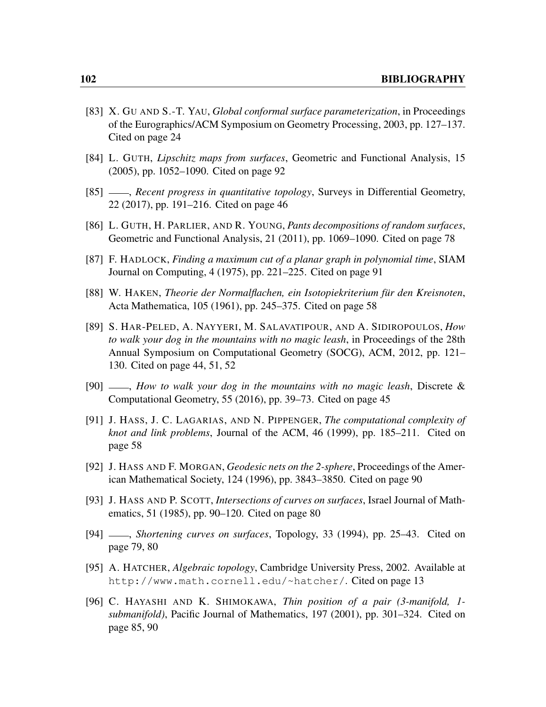- [83] X. GU AND S.-T. YAU, *Global conformal surface parameterization*, in Proceedings of the Eurographics/ACM Symposium on Geometry Processing, 2003, pp. 127–137. Cited on page [24](#page-35-0)
- [84] L. GUTH, *Lipschitz maps from surfaces*, Geometric and Functional Analysis, 15 (2005), pp. 1052–1090. Cited on page [92](#page-103-0)
- [85]  $\_\_\_\$ *Recent progress in quantitative topology*, Surveys in Differential Geometry, 22 (2017), pp. 191–216. Cited on page [46](#page-57-0)
- [86] L. GUTH, H. PARLIER, AND R. YOUNG, *Pants decompositions of random surfaces*, Geometric and Functional Analysis, 21 (2011), pp. 1069–1090. Cited on page [78](#page-89-0)
- [87] F. HADLOCK, *Finding a maximum cut of a planar graph in polynomial time*, SIAM Journal on Computing, 4 (1975), pp. 221–225. Cited on page [91](#page-102-0)
- [88] W. HAKEN, *Theorie der Normalflachen, ein Isotopiekriterium für den Kreisnoten*, Acta Mathematica, 105 (1961), pp. 245–375. Cited on page [58](#page-69-0)
- [89] S. HAR-PELED, A. NAYYERI, M. SALAVATIPOUR, AND A. SIDIROPOULOS, *How to walk your dog in the mountains with no magic leash*, in Proceedings of the 28th Annual Symposium on Computational Geometry (SOCG), ACM, 2012, pp. 121– 130. Cited on page [44,](#page-55-0) [51,](#page-62-0) [52](#page-63-0)
- [90] , *How to walk your dog in the mountains with no magic leash*, Discrete & Computational Geometry, 55 (2016), pp. 39–73. Cited on page [45](#page-56-0)
- [91] J. HASS, J. C. LAGARIAS, AND N. PIPPENGER, *The computational complexity of knot and link problems*, Journal of the ACM, 46 (1999), pp. 185–211. Cited on page [58](#page-69-0)
- [92] J. HASS AND F. MORGAN, *Geodesic nets on the 2-sphere*, Proceedings of the American Mathematical Society, 124 (1996), pp. 3843–3850. Cited on page [90](#page-101-0)
- [93] J. HASS AND P. SCOTT, *Intersections of curves on surfaces*, Israel Journal of Mathematics, 51 (1985), pp. 90–120. Cited on page [80](#page-91-0)
- [94] , *Shortening curves on surfaces*, Topology, 33 (1994), pp. 25–43. Cited on page [79,](#page-90-0) [80](#page-91-0)
- [95] A. HATCHER, *Algebraic topology*, Cambridge University Press, 2002. Available at <http://www.math.cornell.edu/~hatcher/>. Cited on page [13](#page-24-0)
- [96] C. HAYASHI AND K. SHIMOKAWA, *Thin position of a pair (3-manifold, 1 submanifold)*, Pacific Journal of Mathematics, 197 (2001), pp. 301–324. Cited on page [85,](#page-96-0) [90](#page-101-0)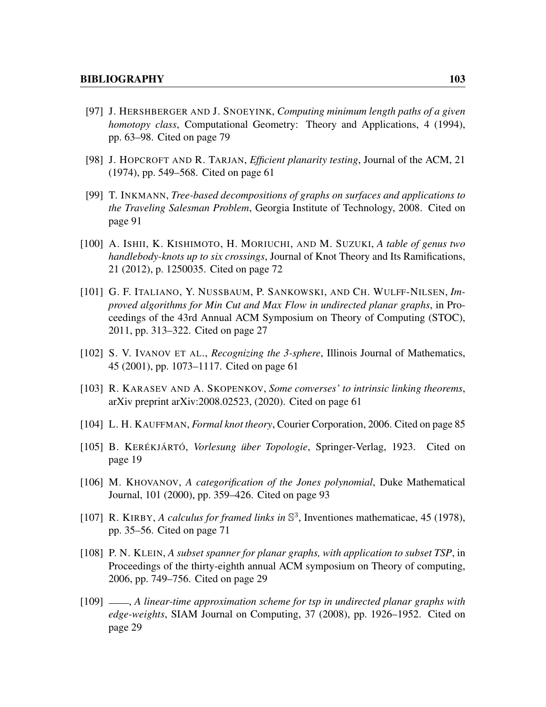- [97] J. HERSHBERGER AND J. SNOEYINK, *Computing minimum length paths of a given homotopy class*, Computational Geometry: Theory and Applications, 4 (1994), pp. 63–98. Cited on page [79](#page-90-0)
- [98] J. HOPCROFT AND R. TARJAN, *Efficient planarity testing*, Journal of the ACM, 21 (1974), pp. 549–568. Cited on page [61](#page-72-0)
- [99] T. INKMANN, *Tree-based decompositions of graphs on surfaces and applications to the Traveling Salesman Problem*, Georgia Institute of Technology, 2008. Cited on page [91](#page-102-0)
- [100] A. ISHII, K. KISHIMOTO, H. MORIUCHI, AND M. SUZUKI, *A table of genus two handlebody-knots up to six crossings*, Journal of Knot Theory and Its Ramifications, 21 (2012), p. 1250035. Cited on page [72](#page-83-0)
- [101] G. F. ITALIANO, Y. NUSSBAUM, P. SANKOWSKI, AND CH. WULFF-NILSEN, *Improved algorithms for Min Cut and Max Flow in undirected planar graphs*, in Proceedings of the 43rd Annual ACM Symposium on Theory of Computing (STOC), 2011, pp. 313–322. Cited on page [27](#page-38-0)
- [102] S. V. IVANOV ET AL., *Recognizing the 3-sphere*, Illinois Journal of Mathematics, 45 (2001), pp. 1073–1117. Cited on page [61](#page-72-0)
- [103] R. KARASEV AND A. SKOPENKOV, *Some converses' to intrinsic linking theorems*, arXiv preprint arXiv:2008.02523, (2020). Cited on page [61](#page-72-0)
- [104] L. H. KAUFFMAN, *Formal knot theory*, Courier Corporation, 2006. Cited on page [85](#page-96-0)
- [105] B. KERÉKJÁRTÓ, *Vorlesung über Topologie*, Springer-Verlag, 1923. Cited on page [19](#page-30-0)
- [106] M. KHOVANOV, *A categorification of the Jones polynomial*, Duke Mathematical Journal, 101 (2000), pp. 359–426. Cited on page [93](#page-104-0)
- [107] R. KIRBY, *A calculus for framed links in*  $\mathbb{S}^3$ , Inventiones mathematicae, 45 (1978), pp. 35–56. Cited on page [71](#page-82-0)
- [108] P. N. KLEIN, *A subset spanner for planar graphs, with application to subset TSP*, in Proceedings of the thirty-eighth annual ACM symposium on Theory of computing, 2006, pp. 749–756. Cited on page [29](#page-40-0)
- [109]  $\_\_\_\$ n, *A linear-time approximation scheme for tsp in undirected planar graphs with edge-weights*, SIAM Journal on Computing, 37 (2008), pp. 1926–1952. Cited on page [29](#page-40-0)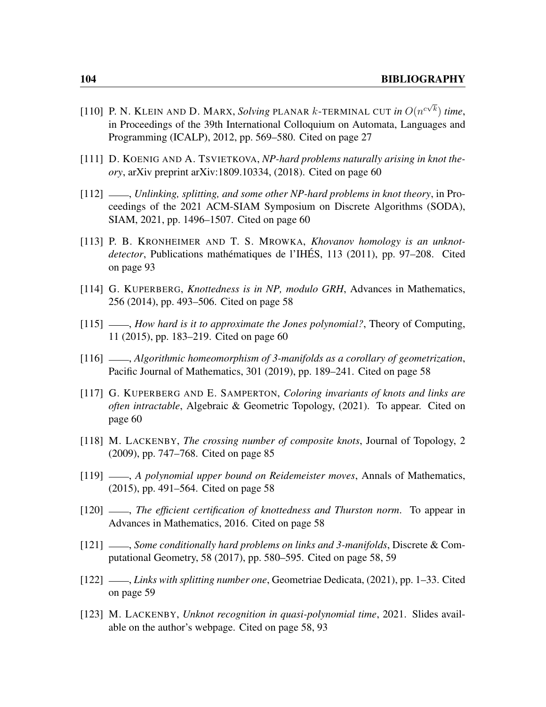- [110] P. N. KLEIN AND D. MARX, *Solving* PLANAR *k*-TERMINAL CUT in  $O(n^{c\sqrt{k}})$  time, in Proceedings of the 39th International Colloquium on Automata, Languages and Programming (ICALP), 2012, pp. 569–580. Cited on page [27](#page-38-0)
- [111] D. KOENIG AND A. TSVIETKOVA, *NP-hard problems naturally arising in knot theory*, arXiv preprint arXiv:1809.10334, (2018). Cited on page [60](#page-71-0)
- [112] , *Unlinking, splitting, and some other NP-hard problems in knot theory*, in Proceedings of the 2021 ACM-SIAM Symposium on Discrete Algorithms (SODA), SIAM, 2021, pp. 1496–1507. Cited on page [60](#page-71-0)
- [113] P. B. KRONHEIMER AND T. S. MROWKA, *Khovanov homology is an unknotdetector*, Publications mathématiques de l'IHÉS, 113 (2011), pp. 97–208. Cited on page [93](#page-104-0)
- [114] G. KUPERBERG, *Knottedness is in NP, modulo GRH*, Advances in Mathematics, 256 (2014), pp. 493–506. Cited on page [58](#page-69-0)
- [115]  $\_\_\_\_\$ *How hard is it to approximate the Jones polynomial?*, Theory of Computing, 11 (2015), pp. 183–219. Cited on page [60](#page-71-0)
- [116] , *Algorithmic homeomorphism of 3-manifolds as a corollary of geometrization*, Pacific Journal of Mathematics, 301 (2019), pp. 189–241. Cited on page [58](#page-69-0)
- [117] G. KUPERBERG AND E. SAMPERTON, *Coloring invariants of knots and links are often intractable*, Algebraic & Geometric Topology, (2021). To appear. Cited on page [60](#page-71-0)
- [118] M. LACKENBY, *The crossing number of composite knots*, Journal of Topology, 2 (2009), pp. 747–768. Cited on page [85](#page-96-0)
- [119] , *A polynomial upper bound on Reidemeister moves*, Annals of Mathematics, (2015), pp. 491–564. Cited on page [58](#page-69-0)
- [120]  $\frac{120}{120}$ , *The efficient certification of knottedness and Thurston norm.* To appear in Advances in Mathematics, 2016. Cited on page [58](#page-69-0)
- [121] , *Some conditionally hard problems on links and 3-manifolds*, Discrete & Computational Geometry, 58 (2017), pp. 580–595. Cited on page [58,](#page-69-0) [59](#page-70-0)
- [122] , *Links with splitting number one*, Geometriae Dedicata, (2021), pp. 1–33. Cited on page [59](#page-70-0)
- [123] M. LACKENBY, *Unknot recognition in quasi-polynomial time*, 2021. Slides available on the author's webpage. Cited on page [58,](#page-69-0) [93](#page-104-0)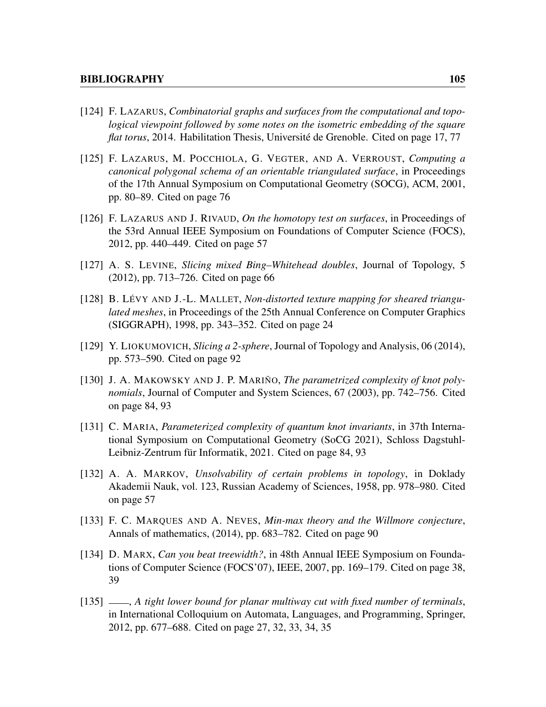- [124] F. LAZARUS, *Combinatorial graphs and surfaces from the computational and topological viewpoint followed by some notes on the isometric embedding of the square flat torus*, 2014. Habilitation Thesis, Université de Grenoble. Cited on page [17,](#page-28-0) [77](#page-88-0)
- [125] F. LAZARUS, M. POCCHIOLA, G. VEGTER, AND A. VERROUST, *Computing a canonical polygonal schema of an orientable triangulated surface*, in Proceedings of the 17th Annual Symposium on Computational Geometry (SOCG), ACM, 2001, pp. 80–89. Cited on page [76](#page-87-0)
- [126] F. LAZARUS AND J. RIVAUD, *On the homotopy test on surfaces*, in Proceedings of the 53rd Annual IEEE Symposium on Foundations of Computer Science (FOCS), 2012, pp. 440–449. Cited on page [57](#page-68-0)
- [127] A. S. LEVINE, *Slicing mixed Bing–Whitehead doubles*, Journal of Topology, 5 (2012), pp. 713–726. Cited on page [66](#page-77-0)
- [128] B. LÉVY AND J.-L. MALLET, *Non-distorted texture mapping for sheared triangulated meshes*, in Proceedings of the 25th Annual Conference on Computer Graphics (SIGGRAPH), 1998, pp. 343–352. Cited on page [24](#page-35-0)
- [129] Y. LIOKUMOVICH, *Slicing a 2-sphere*, Journal of Topology and Analysis, 06 (2014), pp. 573–590. Cited on page [92](#page-103-0)
- [130] J. A. MAKOWSKY AND J. P. MARIÑO, *The parametrized complexity of knot polynomials*, Journal of Computer and System Sciences, 67 (2003), pp. 742–756. Cited on page [84,](#page-95-0) [93](#page-104-0)
- [131] C. MARIA, *Parameterized complexity of quantum knot invariants*, in 37th International Symposium on Computational Geometry (SoCG 2021), Schloss Dagstuhl-Leibniz-Zentrum für Informatik, 2021. Cited on page [84,](#page-95-0) [93](#page-104-0)
- [132] A. A. MARKOV, *Unsolvability of certain problems in topology*, in Doklady Akademii Nauk, vol. 123, Russian Academy of Sciences, 1958, pp. 978–980. Cited on page [57](#page-68-0)
- [133] F. C. MARQUES AND A. NEVES, *Min-max theory and the Willmore conjecture*, Annals of mathematics, (2014), pp. 683–782. Cited on page [90](#page-101-0)
- [134] D. MARX, *Can you beat treewidth?*, in 48th Annual IEEE Symposium on Foundations of Computer Science (FOCS'07), IEEE, 2007, pp. 169–179. Cited on page [38,](#page-49-0) [39](#page-50-0)
- [135]  $\_\_\_\$ , *A tight lower bound for planar multiway cut with fixed number of terminals*, in International Colloquium on Automata, Languages, and Programming, Springer, 2012, pp. 677–688. Cited on page [27,](#page-38-0) [32,](#page-43-0) [33,](#page-44-0) [34,](#page-45-0) [35](#page-46-0)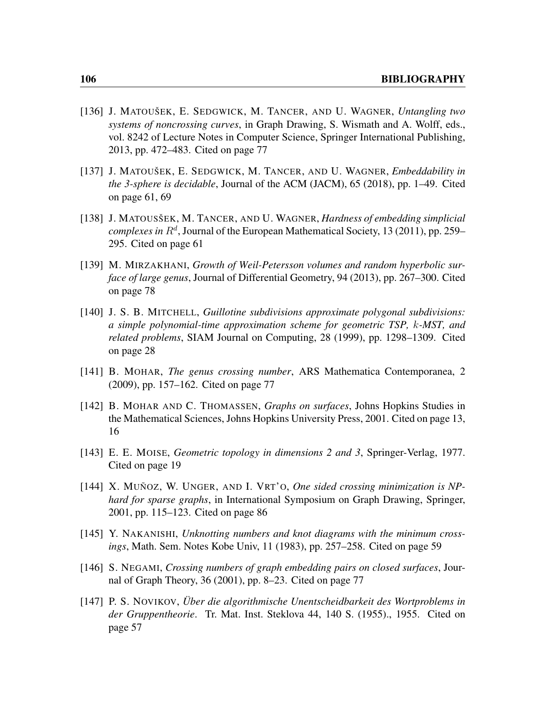- [136] J. MATOUŠEK, E. SEDGWICK, M. TANCER, AND U. WAGNER, *Untangling two systems of noncrossing curves*, in Graph Drawing, S. Wismath and A. Wolff, eds., vol. 8242 of Lecture Notes in Computer Science, Springer International Publishing, 2013, pp. 472–483. Cited on page [77](#page-88-0)
- [137] J. MATOUŠEK, E. SEDGWICK, M. TANCER, AND U. WAGNER, *Embeddability in the 3-sphere is decidable*, Journal of the ACM (JACM), 65 (2018), pp. 1–49. Cited on page [61,](#page-72-0) [69](#page-80-0)
- [138] J. MATOUSŠEK, M. TANCER, AND U. WAGNER, *Hardness of embedding simplicial*  $complexes$  in  $R^d$ , Journal of the European Mathematical Society, 13 (2011), pp. 259– 295. Cited on page [61](#page-72-0)
- [139] M. MIRZAKHANI, *Growth of Weil-Petersson volumes and random hyperbolic surface of large genus*, Journal of Differential Geometry, 94 (2013), pp. 267–300. Cited on page [78](#page-89-0)
- [140] J. S. B. MITCHELL, *Guillotine subdivisions approximate polygonal subdivisions: a simple polynomial-time approximation scheme for geometric TSP,* k*-MST, and related problems*, SIAM Journal on Computing, 28 (1999), pp. 1298–1309. Cited on page [28](#page-39-0)
- [141] B. MOHAR, *The genus crossing number*, ARS Mathematica Contemporanea, 2 (2009), pp. 157–162. Cited on page [77](#page-88-0)
- [142] B. MOHAR AND C. THOMASSEN, *Graphs on surfaces*, Johns Hopkins Studies in the Mathematical Sciences, Johns Hopkins University Press, 2001. Cited on page [13,](#page-24-0) [16](#page-27-0)
- [143] E. E. MOISE, *Geometric topology in dimensions 2 and 3*, Springer-Verlag, 1977. Cited on page [19](#page-30-0)
- [144] X. MUÑOZ, W. UNGER, AND I. VRT'O, *One sided crossing minimization is NPhard for sparse graphs*, in International Symposium on Graph Drawing, Springer, 2001, pp. 115–123. Cited on page [86](#page-97-0)
- [145] Y. NAKANISHI, *Unknotting numbers and knot diagrams with the minimum crossings*, Math. Sem. Notes Kobe Univ, 11 (1983), pp. 257–258. Cited on page [59](#page-70-0)
- [146] S. NEGAMI, *Crossing numbers of graph embedding pairs on closed surfaces*, Journal of Graph Theory, 36 (2001), pp. 8–23. Cited on page [77](#page-88-0)
- [147] P. S. NOVIKOV, *Über die algorithmische Unentscheidbarkeit des Wortproblems in der Gruppentheorie*. Tr. Mat. Inst. Steklova 44, 140 S. (1955)., 1955. Cited on page [57](#page-68-0)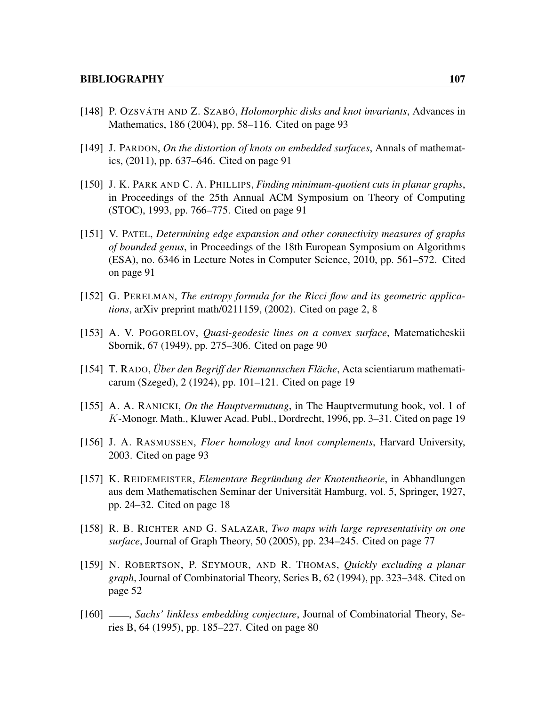- [148] P. OZSVÁTH AND Z. SZABÓ, *Holomorphic disks and knot invariants*, Advances in Mathematics, 186 (2004), pp. 58–116. Cited on page [93](#page-104-0)
- [149] J. PARDON, *On the distortion of knots on embedded surfaces*, Annals of mathematics, (2011), pp. 637–646. Cited on page [91](#page-102-0)
- [150] J. K. PARK AND C. A. PHILLIPS, *Finding minimum-quotient cuts in planar graphs*, in Proceedings of the 25th Annual ACM Symposium on Theory of Computing (STOC), 1993, pp. 766–775. Cited on page [91](#page-102-0)
- [151] V. PATEL, *Determining edge expansion and other connectivity measures of graphs of bounded genus*, in Proceedings of the 18th European Symposium on Algorithms (ESA), no. 6346 in Lecture Notes in Computer Science, 2010, pp. 561–572. Cited on page [91](#page-102-0)
- [152] G. PERELMAN, *The entropy formula for the Ricci flow and its geometric applications*, arXiv preprint math/0211159, (2002). Cited on page [2,](#page-13-0) [8](#page-19-0)
- [153] A. V. POGORELOV, *Quasi-geodesic lines on a convex surface*, Matematicheskii Sbornik, 67 (1949), pp. 275–306. Cited on page [90](#page-101-0)
- [154] T. RADO, *Über den Begriff der Riemannschen Fläche*, Acta scientiarum mathematicarum (Szeged), 2 (1924), pp. 101–121. Cited on page [19](#page-30-0)
- [155] A. A. RANICKI, *On the Hauptvermutung*, in The Hauptvermutung book, vol. 1 of K-Monogr. Math., Kluwer Acad. Publ., Dordrecht, 1996, pp. 3–31. Cited on page [19](#page-30-0)
- [156] J. A. RASMUSSEN, *Floer homology and knot complements*, Harvard University, 2003. Cited on page [93](#page-104-0)
- [157] K. REIDEMEISTER, *Elementare Begründung der Knotentheorie*, in Abhandlungen aus dem Mathematischen Seminar der Universität Hamburg, vol. 5, Springer, 1927, pp. 24–32. Cited on page [18](#page-29-0)
- [158] R. B. RICHTER AND G. SALAZAR, *Two maps with large representativity on one surface*, Journal of Graph Theory, 50 (2005), pp. 234–245. Cited on page [77](#page-88-0)
- [159] N. ROBERTSON, P. SEYMOUR, AND R. THOMAS, *Quickly excluding a planar graph*, Journal of Combinatorial Theory, Series B, 62 (1994), pp. 323–348. Cited on page [52](#page-63-0)
- [160] , *Sachs' linkless embedding conjecture*, Journal of Combinatorial Theory, Series B, 64 (1995), pp. 185–227. Cited on page [80](#page-91-0)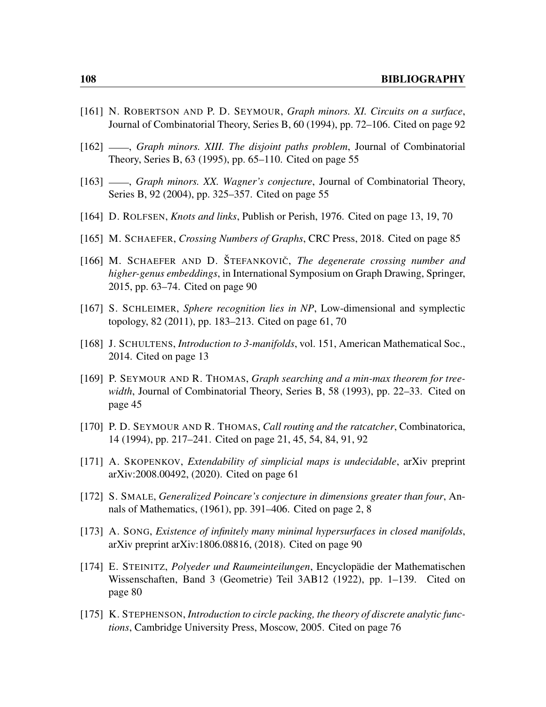- [161] N. ROBERTSON AND P. D. SEYMOUR, *Graph minors. XI. Circuits on a surface*, Journal of Combinatorial Theory, Series B, 60 (1994), pp. 72–106. Cited on page [92](#page-103-0)
- [162] <sub>-</sub>, *Graph minors. XIII. The disjoint paths problem*, Journal of Combinatorial Theory, Series B, 63 (1995), pp. 65–110. Cited on page [55](#page-66-0)
- [163]  $\_\_\_\$ *, Graph minors. XX. Wagner's conjecture*, Journal of Combinatorial Theory, Series B, 92 (2004), pp. 325–357. Cited on page [55](#page-66-0)
- [164] D. ROLFSEN, *Knots and links*, Publish or Perish, 1976. Cited on page [13,](#page-24-0) [19,](#page-30-0) [70](#page-81-0)
- [165] M. SCHAEFER, *Crossing Numbers of Graphs*, CRC Press, 2018. Cited on page [85](#page-96-0)
- [166] M. SCHAEFER AND D. ŠTEFANKOVIČ, *The degenerate crossing number and higher-genus embeddings*, in International Symposium on Graph Drawing, Springer, 2015, pp. 63–74. Cited on page [90](#page-101-0)
- [167] S. SCHLEIMER, *Sphere recognition lies in NP*, Low-dimensional and symplectic topology, 82 (2011), pp. 183–213. Cited on page [61,](#page-72-0) [70](#page-81-0)
- [168] J. SCHULTENS, *Introduction to 3-manifolds*, vol. 151, American Mathematical Soc., 2014. Cited on page [13](#page-24-0)
- [169] P. SEYMOUR AND R. THOMAS, *Graph searching and a min-max theorem for treewidth*, Journal of Combinatorial Theory, Series B, 58 (1993), pp. 22–33. Cited on page [45](#page-56-0)
- [170] P. D. SEYMOUR AND R. THOMAS, *Call routing and the ratcatcher*, Combinatorica, 14 (1994), pp. 217–241. Cited on page [21,](#page-32-0) [45,](#page-56-0) [54,](#page-65-0) [84,](#page-95-0) [91,](#page-102-0) [92](#page-103-0)
- [171] A. SKOPENKOV, *Extendability of simplicial maps is undecidable*, arXiv preprint arXiv:2008.00492, (2020). Cited on page [61](#page-72-0)
- [172] S. SMALE, *Generalized Poincare's conjecture in dimensions greater than four*, Annals of Mathematics, (1961), pp. 391–406. Cited on page [2,](#page-13-0) [8](#page-19-0)
- [173] A. SONG, *Existence of infinitely many minimal hypersurfaces in closed manifolds*, arXiv preprint arXiv:1806.08816, (2018). Cited on page [90](#page-101-0)
- [174] E. STEINITZ, *Polyeder und Raumeinteilungen*, Encyclopädie der Mathematischen Wissenschaften, Band 3 (Geometrie) Teil 3AB12 (1922), pp. 1–139. Cited on page [80](#page-91-0)
- [175] K. STEPHENSON, *Introduction to circle packing, the theory of discrete analytic functions*, Cambridge University Press, Moscow, 2005. Cited on page [76](#page-87-0)